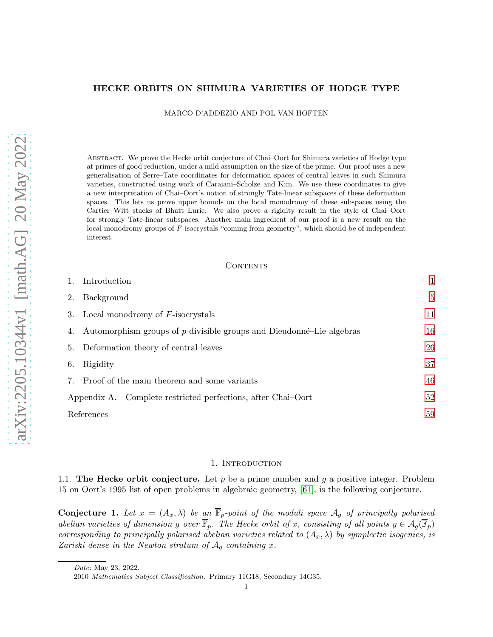## HECKE ORBITS ON SHIMURA VARIETIES OF HODGE TYPE

MARCO D'ADDEZIO AND POL VAN HOFTEN

Abstract. We prove the Hecke orbit conjecture of Chai–Oort for Shimura varieties of Hodge type at primes of good reduction, under a mild assumption on the size of the prime. Our proof uses a new generalisation of Serre–Tate coordinates for deformation spaces of central leaves in such Shimura varieties, constructed using work of Caraiani–Scholze and Kim. We use these coordinates to give a new interpretation of Chai–Oort's notion of strongly Tate-linear subspaces of these deformation spaces. This lets us prove upper bounds on the local monodromy of these subspaces using the Cartier–Witt stacks of Bhatt–Lurie. We also prove a rigidity result in the style of Chai–Oort for strongly Tate-linear subspaces. Another main ingredient of our proof is a new result on the local monodromy groups of F-isocrystals "coming from geometry", which should be of independent interest.

## **CONTENTS**

|            | Introduction                                                            |    |
|------------|-------------------------------------------------------------------------|----|
| 2.         | Background                                                              | 5  |
|            | 3. Local monodromy of $F$ -isocrystals                                  | 11 |
|            | 4. Automorphism groups of p-divisible groups and Dieudonné-Lie algebras | 16 |
| 5.         | Deformation theory of central leaves                                    | 26 |
| 6.         | Rigidity                                                                | 37 |
| 7.         | Proof of the main theorem and some variants                             | 46 |
|            | Appendix A. Complete restricted perfections, after Chai-Oort            | 52 |
| References |                                                                         | 59 |

## 1. INTRODUCTION

<span id="page-0-0"></span>1.1. The Hecke orbit conjecture. Let p be a prime number and q a positive integer. Problem 15 on Oort's 1995 list of open problems in algebraic geometry, [\[61\]](#page-60-0), is the following conjecture.

<span id="page-0-1"></span>**Conjecture 1.** Let  $x = (A_x, \lambda)$  be an  $\overline{\mathbb{F}}_p$ -point of the moduli space  $\mathcal{A}_g$  of principally polarised abelian varieties of dimension g over  $\overline{\mathbb{F}}_p$ . The Hecke orbit of x, consisting of all points  $y \in \mathcal{A}_q(\overline{\mathbb{F}}_p)$ corresponding to principally polarised abelian varieties related to  $(A_x, \lambda)$  by symplectic isogenies, is Zariski dense in the Newton stratum of  $A_q$  containing x.

Date: May 23, 2022.

<sup>2010</sup> Mathematics Subject Classification. Primary 11G18; Secondary 14G35.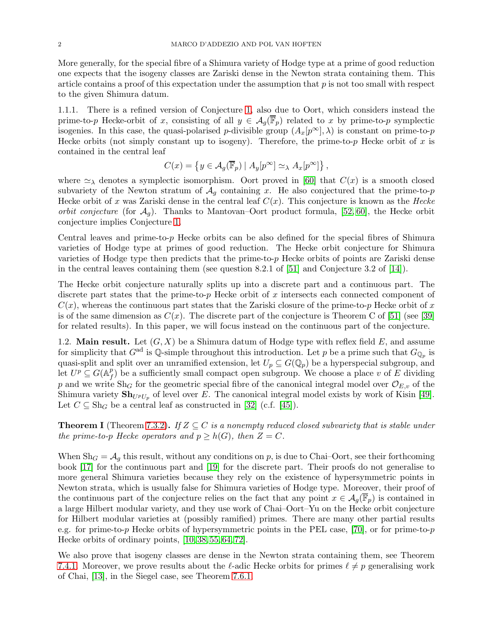More generally, for the special fibre of a Shimura variety of Hodge type at a prime of good reduction one expects that the isogeny classes are Zariski dense in the Newton strata containing them. This article contains a proof of this expectation under the assumption that  $p$  is not too small with respect to the given Shimura datum.

1.1.1. There is a refined version of Conjecture [1,](#page-0-1) also due to Oort, which considers instead the prime-to-p Hecke-orbit of x, consisting of all  $y \in \mathcal{A}_g(\overline{\mathbb{F}}_p)$  related to x by prime-to-p symplectic isogenies. In this case, the quasi-polarised p-divisible group  $(A_x[p^\infty], \lambda)$  is constant on prime-to-p Hecke orbits (not simply constant up to isogeny). Therefore, the prime-to-p Hecke orbit of x is contained in the central leaf

$$
C(x) = \left\{ y \in \mathcal{A}_{g}(\overline{\mathbb{F}}_{p}) \mid A_{y}[p^{\infty}] \simeq_{\lambda} A_{x}[p^{\infty}] \right\},\,
$$

where  $\approx_{\lambda}$  denotes a symplectic isomorphism. Oort proved in [\[60\]](#page-60-1) that  $C(x)$  is a smooth closed subvariety of the Newton stratum of  $A<sub>q</sub>$  containing x. He also conjectured that the prime-to-p Hecke orbit of x was Zariski dense in the central leaf  $C(x)$ . This conjecture is known as the Hecke *orbit conjecture* (for  $\mathcal{A}_g$ ). Thanks to Mantovan–Oort product formula, [\[52,](#page-60-2) [60\]](#page-60-1), the Hecke orbit conjecture implies Conjecture [1.](#page-0-1)

Central leaves and prime-to-p Hecke orbits can be also defined for the special fibres of Shimura varieties of Hodge type at primes of good reduction. The Hecke orbit conjecture for Shimura varieties of Hodge type then predicts that the prime-to- $p$  Hecke orbits of points are Zariski dense in the central leaves containing them (see question 8.2.1 of [\[51\]](#page-60-3) and Conjecture 3.2 of [\[14\]](#page-58-1)).

The Hecke orbit conjecture naturally splits up into a discrete part and a continuous part. The discrete part states that the prime-to-p Hecke orbit of x intersects each connected component of  $C(x)$ , whereas the continuous part states that the Zariski closure of the prime-to-p Hecke orbit of x is of the same dimension as  $C(x)$ . The discrete part of the conjecture is Theorem C of [\[51\]](#page-60-3) (see [\[39\]](#page-59-0) for related results). In this paper, we will focus instead on the continuous part of the conjecture.

1.2. Main result. Let  $(G, X)$  be a Shimura datum of Hodge type with reflex field E, and assume for simplicity that  $G^{ad}$  is Q-simple throughout this introduction. Let p be a prime such that  $G_{\mathbb{Q}_p}$  is quasi-split and split over an unramified extension, let  $U_p \subseteq G(\mathbb{Q}_p)$  be a hyperspecial subgroup, and let  $U^p \subseteq G(\mathbb{A}^p_f)$  $f(t)$  be a sufficiently small compact open subgroup. We choose a place v of E dividing p and we write  $\text{Sh}_G$  for the geometric special fibre of the canonical integral model over  $\mathcal{O}_{E,v}$  of the Shimura variety  $\mathbf{Sh}_{U}$ <sub>Up</sub> of level over E. The canonical integral model exists by work of Kisin [\[49\]](#page-60-4). Let  $C \subseteq Sh_G$  be a central leaf as constructed in [\[32\]](#page-59-1) (c.f. [\[45\]](#page-59-2)).

<span id="page-1-0"></span>**Theorem I** (Theorem [7.3.2\)](#page-47-0). If  $Z \subseteq C$  is a nonempty reduced closed subvariety that is stable under the prime-to-p Hecke operators and  $p \geq h(G)$ , then  $Z = C$ .

When  $\text{Sh}_G = \mathcal{A}_g$  this result, without any conditions on p, is due to Chai–Oort, see their forthcoming book [\[17\]](#page-58-2) for the continuous part and [\[19\]](#page-59-3) for the discrete part. Their proofs do not generalise to more general Shimura varieties because they rely on the existence of hypersymmetric points in Newton strata, which is usually false for Shimura varieties of Hodge type. Moreover, their proof of the continuous part of the conjecture relies on the fact that any point  $x \in \mathcal{A}_q(\mathbb{F}_p)$  is contained in a large Hilbert modular variety, and they use work of Chai–Oort–Yu on the Hecke orbit conjecture for Hilbert modular varieties at (possibly ramified) primes. There are many other partial results e.g. for prime-to-p Hecke orbits of hypersymmetric points in the PEL case, [\[70\]](#page-60-5), or for prime-to-p Hecke orbits of ordinary points, [\[10,](#page-58-3) [38,](#page-59-4) [55,](#page-60-6) [64,](#page-60-7) [72\]](#page-60-8).

We also prove that isogeny classes are dense in the Newton strata containing them, see Theorem [7.4.1.](#page-48-0) Moreover, we prove results about the  $\ell$ -adic Hecke orbits for primes  $\ell \neq p$  generalising work of Chai, [\[13\]](#page-58-4), in the Siegel case, see Theorem [7.6.1.](#page-49-0)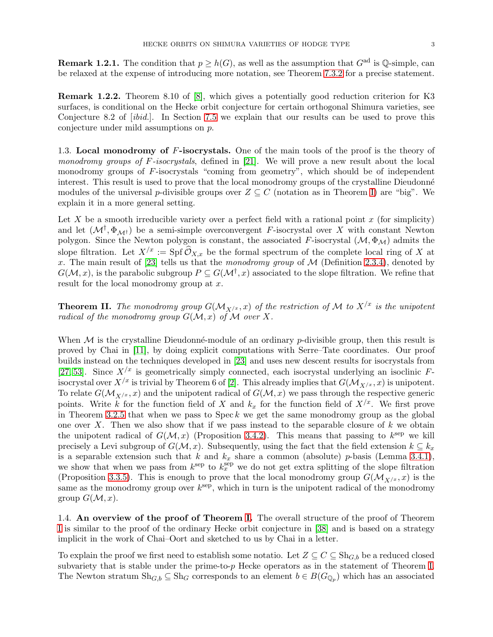**Remark 1.2.1.** The condition that  $p \ge h(G)$ , as well as the assumption that  $G^{\text{ad}}$  is  $\mathbb{Q}$ -simple, can be relaxed at the expense of introducing more notation, see Theorem [7.3.2](#page-47-0) for a precise statement.

Remark 1.2.2. Theorem 8.10 of [\[8\]](#page-58-5), which gives a potentially good reduction criterion for K3 surfaces, is conditional on the Hecke orbit conjecture for certain orthogonal Shimura varieties, see Conjecture 8.2 of [ibid.]. In Section [7.5](#page-48-1) we explain that our results can be used to prove this conjecture under mild assumptions on p.

1.3. Local monodromy of F-isocrystals. One of the main tools of the proof is the theory of *monodromy groups of F-isocrystals,* defined in [\[21\]](#page-59-5). We will prove a new result about the local monodromy groups of F-isocrystals "coming from geometry", which should be of independent interest. This result is used to prove that the local monodromy groups of the crystalline Dieudonné modules of the universal p-divisible groups over  $Z \subseteq C$  (notation as in Theorem [I\)](#page-1-0) are "big". We explain it in a more general setting.

Let X be a smooth irreducible variety over a perfect field with a rational point  $x$  (for simplicity) and let  $(\mathcal{M}^{\dagger}, \Phi_{\mathcal{M}^{\dagger}})$  be a semi-simple overconvergent F-isocrystal over X with constant Newton polygon. Since the Newton polygon is constant, the associated F-isocrystal  $(M, \Phi_M)$  admits the slope filtration. Let  $X^{x} := \text{Spf } \widehat{\mathcal{O}}_{X,x}$  be the formal spectrum of the complete local ring of X at x. The main result of [\[23\]](#page-59-6) tells us that the monodromy group of  $\mathcal M$  (Definition [2.3.4\)](#page-8-0), denoted by  $G(\mathcal{M},x)$ , is the parabolic subgroup  $P\subseteq G(\mathcal{M}^{\dagger},x)$  associated to the slope filtration. We refine that result for the local monodromy group at x.

<span id="page-2-0"></span>**Theorem II.** The monodromy group  $G(M_{X/x}, x)$  of the restriction of M to  $X^{x}$  is the unipotent radical of the monodromy group  $G(\mathcal{M},x)$  of  $\mathcal M$  over X.

When  $M$  is the crystalline Dieudonné-module of an ordinary p-divisible group, then this result is proved by Chai in [\[11\]](#page-58-6), by doing explicit computations with Serre–Tate coordinates. Our proof builds instead on the techniques developed in [\[23\]](#page-59-6) and uses new descent results for isocrystals from [\[27,](#page-59-7) [53\]](#page-60-9). Since  $X<sup>/x</sup>$  is geometrically simply connected, each isocrystal underlying an isoclinic Fisocrystal over  $X/x$  is trivial by Theorem 6 of [\[2\]](#page-58-7). This already implies that  $G(\mathcal{M}_{X/x}, x)$  is unipotent. To relate  $G(M_{X/x}, x)$  and the unipotent radical of  $G(M, x)$  we pass through the respective generic points. Write k for the function field of X and  $k_x$  for the function field of  $X/x$ . We first prove in Theorem [3.2.5](#page-12-0) that when we pass to Spec  $k$  we get the same monodromy group as the global one over  $X$ . Then we also show that if we pass instead to the separable closure of  $k$  we obtain the unipotent radical of  $G(M, x)$  (Proposition [3.4.2\)](#page-14-0). This means that passing to  $k^{\text{sep}}$  we kill precisely a Levi subgroup of  $G(\mathcal{M}, x)$ . Subsequently, using the fact that the field extension  $k \subseteq k_x$ is a separable extension such that k and  $k_x$  share a common (absolute) p-basis (Lemma [3.4.1\)](#page-14-1), we show that when we pass from  $k_{x}^{\text{sep}}$  to  $k_{x}^{\text{sep}}$  we do not get extra splitting of the slope filtration (Proposition [3.3.5\)](#page-14-2). This is enough to prove that the local monodromy group  $G(M_{X/x}, x)$  is the same as the monodromy group over  $k^{\text{sep}}$ , which in turn is the unipotent radical of the monodromy group  $G(M, x)$ .

1.4. An overview of the proof of Theorem [I.](#page-1-0) The overall structure of the proof of Theorem [I](#page-1-0) is similar to the proof of the ordinary Hecke orbit conjecture in [\[38\]](#page-59-4) and is based on a strategy implicit in the work of Chai–Oort and sketched to us by Chai in a letter.

To explain the proof we first need to establish some notatio. Let  $Z \subseteq C \subseteq Sh_{G,b}$  be a reduced closed subvariety that is stable under the prime-to-p Hecke operators as in the statement of Theorem [I.](#page-1-0) The Newton stratum  $\text{Sh}_{G,b} \subseteq \text{Sh}_G$  corresponds to an element  $b \in B(G_{\mathbb{Q}_p})$  which has an associated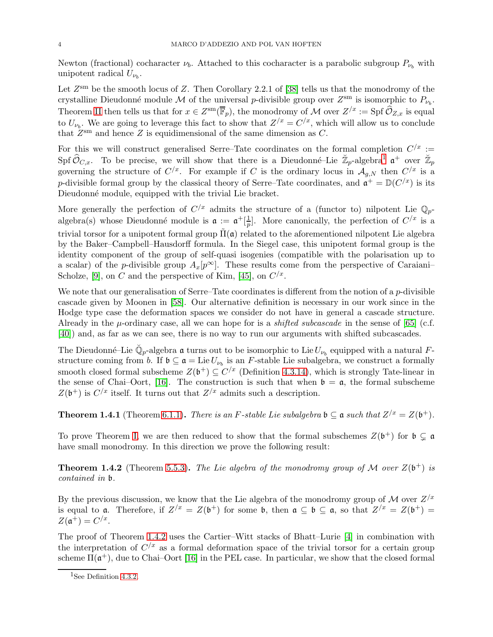Newton (fractional) cocharacter  $\nu_b$ . Attached to this cocharacter is a parabolic subgroup  $P_{\nu_b}$  with unipotent radical  $U_{\nu_b}$ .

Let  $Z<sup>sm</sup>$  be the smooth locus of Z. Then Corollary 2.2.1 of [\[38\]](#page-59-4) tells us that the monodromy of the crystalline Dieudonné module M of the universal p-divisible group over  $Z^{\text{sm}}$  is isomorphic to  $P_{\nu_b}$ . Theorem [II](#page-2-0) then tells us that for  $x \in Z^{\text{sm}}(\overline{\mathbb{F}}_p)$ , the monodromy of M over  $Z^{x} := \text{Spf } \widehat{\mathcal{O}}_{Z,x}$  is equal to  $U_{\nu_b}$ . We are going to leverage this fact to show that  $Z^{x} = C^{x}$ , which will allow us to conclude that  $Z^{\text{sm}}$  and hence Z is equidimensional of the same dimension as C.

For this we will construct generalised Serre–Tate coordinates on the formal completion  $C^{x}$  :=  $\text{Spf }\widehat{\mathcal{O}}_{C,x}.$  To be precise, we will show that there is a Dieudonné–Lie  $\mathbb{Z}_p$ -algebra<sup>1</sup>  $\mathfrak{a}^+$  over  $\mathbb{Z}_p$ governing the structure of  $C^{x}$ . For example if C is the ordinary locus in  $\mathcal{A}_{g,N}$  then  $C^{x}$  is a p-divisible formal group by the classical theory of Serre–Tate coordinates, and  $\mathfrak{a}^+ = \mathbb{D}(C^{/x})$  is its Dieudonné module, equipped with the trivial Lie bracket.

More generally the perfection of  $C/x$  admits the structure of a (functor to) nilpotent Lie  $\mathbb{Q}_p$ algebra(s) whose Dieudonné module is  $\mathfrak{a} := \mathfrak{a}^+[\frac{1}{n}]$  $\frac{1}{p}$ . More canonically, the perfection of  $C/x$  is a trivial torsor for a unipotent formal group  $\tilde{\Pi}(\mathfrak{a})$  related to the aforementioned nilpotent Lie algebra by the Baker–Campbell–Hausdorff formula. In the Siegel case, this unipotent formal group is the identity component of the group of self-quasi isogenies (compatible with the polarisation up to a scalar) of the p-divisible group  $A_x[p^\infty]$ . These results come from the perspective of Caraiani– Scholze, [\[9\]](#page-58-8), on C and the perspective of Kim, [\[45\]](#page-59-2), on  $C^{x}$ .

We note that our generalisation of Serre–Tate coordinates is different from the notion of a  $p$ -divisible cascade given by Moonen in [\[58\]](#page-60-10). Our alternative definition is necessary in our work since in the Hodge type case the deformation spaces we consider do not have in general a cascade structure. Already in the  $\mu$ -ordinary case, all we can hope for is a *shifted subcascade* in the sense of [\[65\]](#page-60-11) (c.f. [\[40\]](#page-59-8)) and, as far as we can see, there is no way to run our arguments with shifted subcascades.

The Dieudonné–Lie  $\breve{\mathbb{Q}}_p$ -algebra  $\frak a$  turns out to be isomorphic to Lie  $U_{\nu_b}$  equipped with a natural  $F$ structure coming from b. If  $\mathfrak{b} \subseteq \mathfrak{a} = \text{Lie } U_{\nu_b}$  is an F-stable Lie subalgebra, we construct a formally smooth closed formal subscheme  $Z(\mathfrak{b}^+) \subseteq C^{x}$  (Definition [4.3.14\)](#page-24-0), which is strongly Tate-linear in the sense of Chai–Oort, [\[16\]](#page-58-9). The construction is such that when  $\mathfrak{b} = \mathfrak{a}$ , the formal subscheme  $Z(\mathfrak{b}^+)$  is  $C/x$  itself. It turns out that  $Z/x$  admits such a description.

<span id="page-3-1"></span>**Theorem 1.4.1** (Theorem [6.1.1\)](#page-36-1). There is an F-stable Lie subalgebra  $\mathfrak{b} \subseteq \mathfrak{a}$  such that  $Z/x = Z(\mathfrak{b}^+)$ .

To prove Theorem [I,](#page-1-0) we are then reduced to show that the formal subschemes  $Z(\mathfrak{b}^+)$  for  $\mathfrak{b} \subsetneq \mathfrak{a}$ have small monodromy. In this direction we prove the following result:

<span id="page-3-0"></span>**Theorem 1.4.2** (Theorem [5.5.3\)](#page-33-0). The Lie algebra of the monodromy group of M over  $Z(\mathfrak{b}^+)$  is contained in b.

By the previous discussion, we know that the Lie algebra of the monodromy group of M over  $Z^{x}$ is equal to **a**. Therefore, if  $Z^{x} = Z(\mathfrak{b}^{+})$  for some **b**, then  $\mathfrak{a} \subseteq \mathfrak{b} \subseteq \mathfrak{a}$ , so that  $Z^{x} = Z(\mathfrak{b}^{+}) =$  $Z(\mathfrak{a}^+) = C^{x}.$ 

The proof of Theorem [1.4.2](#page-3-0) uses the Cartier–Witt stacks of Bhatt–Lurie [\[4\]](#page-58-10) in combination with the interpretation of  $C<sup>{x}</sup>$  as a formal deformation space of the trivial torsor for a certain group scheme  $\Pi(\mathfrak{a}^+)$ , due to Chai–Oort [\[16\]](#page-58-9) in the PEL case. In particular, we show that the closed formal

<sup>&</sup>lt;sup>1</sup>See Definition [4.3.2.](#page-20-0)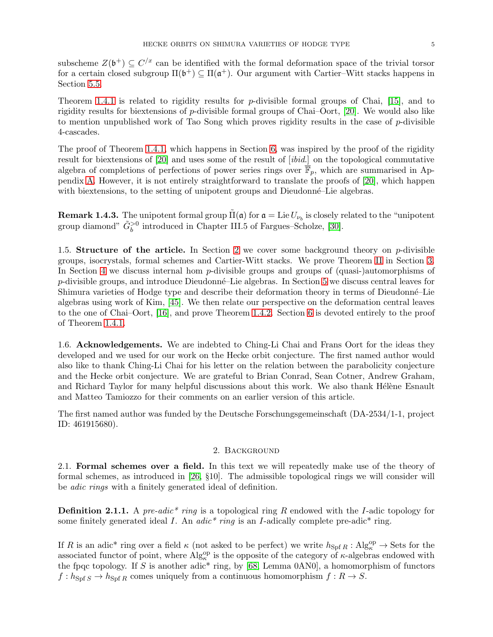subscheme  $Z(\mathfrak{b}^+) \subseteq C^{x}$  can be identified with the formal deformation space of the trivial torsor for a certain closed subgroup  $\Pi(\mathfrak{b}^+) \subseteq \Pi(\mathfrak{a}^+)$ . Our argument with Cartier–Witt stacks happens in Section [5.5.](#page-32-0)

Theorem [1.4.1](#page-3-1) is related to rigidity results for p-divisible formal groups of Chai, [\[15\]](#page-58-11), and to rigidity results for biextensions of p-divisible formal groups of Chai–Oort, [\[20\]](#page-59-9). We would also like to mention unpublished work of Tao Song which proves rigidity results in the case of  $p$ -divisible 4-cascades.

The proof of Theorem [1.4.1,](#page-3-1) which happens in Section [6,](#page-36-0) was inspired by the proof of the rigidity result for biextensions of [\[20\]](#page-59-9) and uses some of the result of [ibid.] on the topological commutative algebra of completions of perfections of power series rings over  $\overline{\mathbb{F}}_p$ , which are summarised in Appendix [A.](#page-51-0) However, it is not entirely straightforward to translate the proofs of [\[20\]](#page-59-9), which happen with biextensions, to the setting of unipotent groups and Dieudonné–Lie algebras.

**Remark 1.4.3.** The unipotent formal group  $\tilde{\Pi}(\mathfrak{a})$  for  $\mathfrak{a} = \text{Lie } U_{\nu_b}$  is closely related to the "unipotent group diamond"  $\tilde{G}_b^{>0}$  introduced in Chapter III.5 of Fargues–Scholze, [\[30\]](#page-59-10).

1.5. Structure of the article. In Section [2](#page-4-0) we cover some background theory on  $p$ -divisible groups, isocrystals, formal schemes and Cartier-Witt stacks. We prove Theorem [II](#page-2-0) in Section [3.](#page-10-0) In Section [4](#page-15-0) we discuss internal hom p-divisible groups and groups of (quasi-)automorphisms of  $p$ -divisible groups, and introduce Dieudonné–Lie algebras. In Section [5](#page-25-0) we discuss central leaves for Shimura varieties of Hodge type and describe their deformation theory in terms of Dieudonné–Lie algebras using work of Kim, [\[45\]](#page-59-2). We then relate our perspective on the deformation central leaves to the one of Chai–Oort, [\[16\]](#page-58-9), and prove Theorem [1.4.2.](#page-3-0) Section [6](#page-36-0) is devoted entirely to the proof of Theorem [1.4.1.](#page-3-1)

1.6. Acknowledgements. We are indebted to Ching-Li Chai and Frans Oort for the ideas they developed and we used for our work on the Hecke orbit conjecture. The first named author would also like to thank Ching-Li Chai for his letter on the relation between the parabolicity conjecture and the Hecke orbit conjecture. We are grateful to Brian Conrad, Sean Cotner, Andrew Graham, and Richard Taylor for many helpful discussions about this work. We also thank Hélène Esnault and Matteo Tamiozzo for their comments on an earlier version of this article.

<span id="page-4-0"></span>The first named author was funded by the Deutsche Forschungsgemeinschaft (DA-2534/1-1, project ID: 461915680).

# 2. Background

<span id="page-4-1"></span>2.1. Formal schemes over a field. In this text we will repeatedly make use of the theory of formal schemes, as introduced in [\[26,](#page-59-11) §10]. The admissible topological rings we will consider will be adic rings with a finitely generated ideal of definition.

**Definition 2.1.1.** A pre-adic<sup>\*</sup> ring is a topological ring R endowed with the I-adic topology for some finitely generated ideal I. An  $adic^*$  ring is an I-adically complete pre-adic<sup>\*</sup> ring.

If R is an adic<sup>\*</sup> ring over a field  $\kappa$  (not asked to be perfect) we write  $h_{\text{Spf }R} : \text{Alg}_{\kappa}^{\text{op}} \to \text{Sets}$  for the associated functor of point, where  $\text{Alg}_{\kappa}^{\text{op}}$  is the opposite of the category of  $\kappa$ -algebras endowed with the fpqc topology. If S is another adic\* ring, by  $[68,$  Lemma 0AN0], a homomorphism of functors  $f : h_{\text{Spf }S} \to h_{\text{Spf }R}$  comes uniquely from a continuous homomorphism  $f : R \to S$ .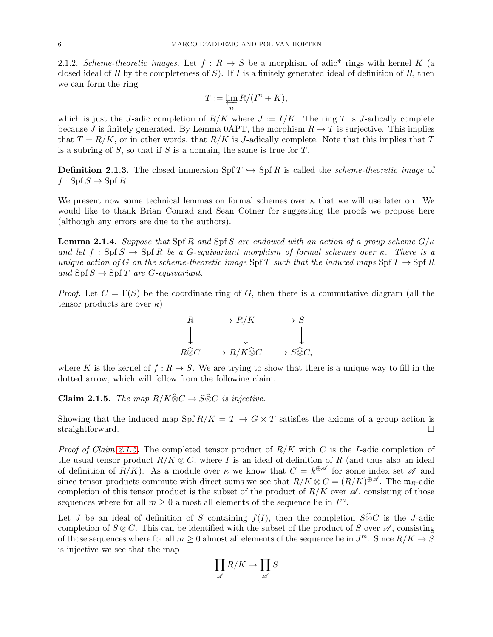2.1.2. Scheme-theoretic images. Let  $f: R \to S$  be a morphism of adic<sup>\*</sup> rings with kernel K (a closed ideal of R by the completeness of S). If I is a finitely generated ideal of definition of R, then we can form the ring

$$
T:=\varprojlim_n R/(I^n+K),
$$

which is just the J-adic completion of  $R/K$  where  $J := I/K$ . The ring T is J-adically complete because J is finitely generated. By Lemma 0APT, the morphism  $R \to T$  is surjective. This implies that  $T = R/K$ , or in other words, that  $R/K$  is J-adically complete. Note that this implies that T is a subring of  $S$ , so that if  $S$  is a domain, the same is true for  $T$ .

**Definition 2.1.3.** The closed immersion Spf  $T \hookrightarrow$  Spf R is called the *scheme-theoretic image* of  $f : Spf S \to Spf R$ .

We present now some technical lemmas on formal schemes over  $\kappa$  that we will use later on. We would like to thank Brian Conrad and Sean Cotner for suggesting the proofs we propose here (although any errors are due to the authors).

<span id="page-5-1"></span>**Lemma 2.1.4.** Suppose that Spf R and Spf S are endowed with an action of a group scheme  $G/\kappa$ and let  $f : Spf S \to Spf R$  be a G-equivariant morphism of formal schemes over κ. There is a unique action of G on the scheme-theoretic image Spf T such that the induced maps Spf  $T \rightarrow$  Spf R and  $\text{Spf } S \to \text{Spf } T$  are *G*-equivariant.

*Proof.* Let  $C = \Gamma(S)$  be the coordinate ring of G, then there is a commutative diagram (all the tensor products are over  $\kappa$ )



where K is the kernel of  $f: R \to S$ . We are trying to show that there is a unique way to fill in the dotted arrow, which will follow from the following claim.

<span id="page-5-0"></span>**Claim 2.1.5.** The map  $R/K\widehat{\otimes}C \rightarrow S\widehat{\otimes}C$  is injective.

Showing that the induced map Spf  $R/K = T \rightarrow G \times T$  satisfies the axioms of a group action is straightforward.

*Proof of Claim [2.1.5.](#page-5-0)* The completed tensor product of  $R/K$  with C is the I-adic completion of the usual tensor product  $R/K \otimes C$ , where I is an ideal of definition of R (and thus also an ideal of definition of  $R/K$ ). As a module over  $\kappa$  we know that  $C = k^{\oplus \mathscr{A}}$  for some index set  $\mathscr{A}$  and since tensor products commute with direct sums we see that  $R/K \otimes C = (R/K)^{\oplus \mathscr{A}}$ . The  $\mathfrak{m}_R$ -adic completion of this tensor product is the subset of the product of  $R/K$  over  $\mathscr A$ , consisting of those sequences where for all  $m \geq 0$  almost all elements of the sequence lie in  $I^m$ .

Let J be an ideal of definition of S containing  $f(I)$ , then the completion  $S\widehat{\otimes}C$  is the J-adic completion of  $S \otimes C$ . This can be identified with the subset of the product of S over  $\mathscr{A}$ , consisting of those sequences where for all  $m \geq 0$  almost all elements of the sequence lie in  $J^m$ . Since  $R/K \to S$ is injective we see that the map

$$
\prod_{\mathscr{A}}R/K\to\prod_{\mathscr{A}}S
$$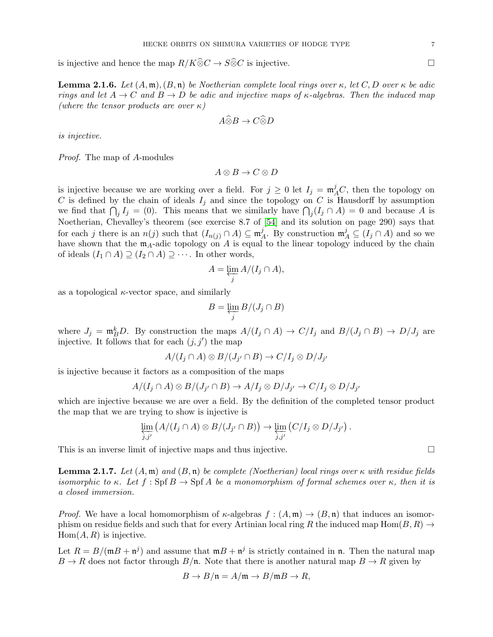is injective and hence the map  $R/K\widehat{\otimes}C\to S\widehat{\otimes}C$  is injective.

<span id="page-6-1"></span>**Lemma 2.1.6.** Let  $(A, \mathfrak{m})$ ,  $(B, \mathfrak{n})$  be Noetherian complete local rings over  $\kappa$ , let  $C, D$  over  $\kappa$  be adic rings and let  $A \to C$  and  $B \to D$  be adic and injective maps of  $\kappa$ -algebras. Then the induced map (where the tensor products are over  $\kappa$ )

$$
A \widehat{\otimes} B \to C \widehat{\otimes} D
$$

is injective.

Proof. The map of A-modules

$$
A \otimes B \to C \otimes D
$$

is injective because we are working over a field. For  $j \geq 0$  let  $I_j = \mathfrak{m}_A^j C$ , then the topology on C is defined by the chain of ideals  $I_j$  and since the topology on C is Hausdorff by assumption we find that  $\bigcap_j I_j = (0)$ . This means that we similarly have  $\bigcap_j (I_j \cap A) = 0$  and because A is Noetherian, Chevalley's theorem (see exercise 8.7 of [\[54\]](#page-60-13) and its solution on page 290) says that for each j there is an  $n(j)$  such that  $(I_{n(j)} \cap A) \subseteq \mathfrak{m}_{\ell}^{j}$  $A^j$ . By construction  $\mathfrak{m}_A^j \subseteq (I_j \cap A)$  and so we have shown that the  $m_A$ -adic topology on A is equal to the linear topology induced by the chain of ideals  $(I_1 \cap A) \supseteq (I_2 \cap A) \supseteq \cdots$ . In other words,

$$
A = \varprojlim_j A/(I_j \cap A),
$$

as a topological  $\kappa$ -vector space, and similarly

$$
B = \varprojlim_j B/(J_j \cap B)
$$

where  $J_j = \mathfrak{m}_B^k D$ . By construction the maps  $A/(I_j \cap A) \to C/I_j$  and  $B/(J_j \cap B) \to D/J_j$  are injective. It follows that for each  $(j, j')$  the map

$$
A/(I_j \cap A) \otimes B/(J_{j'} \cap B) \to C/I_j \otimes D/J_{j'}
$$

is injective because it factors as a composition of the maps

$$
A/(I_j \cap A) \otimes B/(J_{j'} \cap B) \to A/I_j \otimes D/J_{j'} \to C/I_j \otimes D/J_{j'}
$$

which are injective because we are over a field. By the definition of the completed tensor product the map that we are trying to show is injective is

$$
\varprojlim_{j,j'} (A/(I_j \cap A) \otimes B/(J_{j'} \cap B)) \to \varprojlim_{j,j'} (C/I_j \otimes D/J_{j'}) .
$$

This is an inverse limit of injective maps and thus injective.

<span id="page-6-0"></span>**Lemma 2.1.7.** Let  $(A, \mathfrak{m})$  and  $(B, \mathfrak{n})$  be complete (Noetherian) local rings over  $\kappa$  with residue fields isomorphic to κ. Let  $f : \operatorname{Spf} B \to \operatorname{Spf} A$  be a monomorphism of formal schemes over κ, then it is a closed immersion.

*Proof.* We have a local homomorphism of  $\kappa$ -algebras  $f : (A, \mathfrak{m}) \to (B, \mathfrak{n})$  that induces an isomorphism on residue fields and such that for every Artinian local ring R the induced map Hom $(B, R) \rightarrow$  $Hom(A, R)$  is injective.

Let  $R = B/(\mathfrak{m}B + \mathfrak{n}^j)$  and assume that  $\mathfrak{m}B + \mathfrak{n}^j$  is strictly contained in  $\mathfrak{n}$ . Then the natural map  $B \to R$  does not factor through  $B/\mathfrak{n}$ . Note that there is another natural map  $B \to R$  given by

$$
B \to B/\mathfrak{n} = A/\mathfrak{m} \to B/\mathfrak{m}B \to R,
$$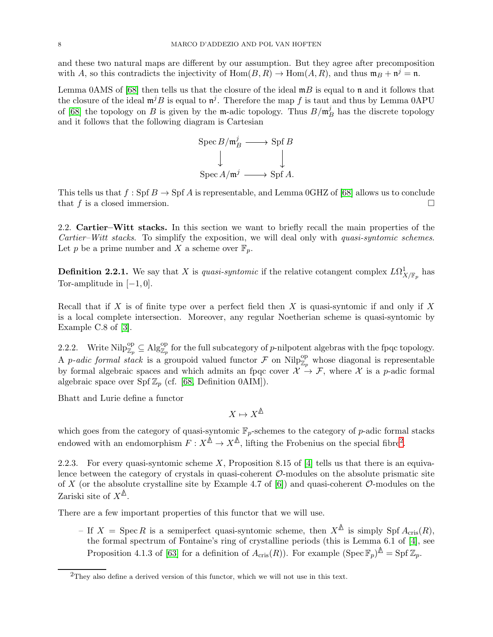and these two natural maps are different by our assumption. But they agree after precomposition with A, so this contradicts the injectivity of  $Hom(B, R) \to Hom(A, R)$ , and thus  $\mathfrak{m}_B + \mathfrak{n}^j = \mathfrak{n}$ .

Lemma 0AMS of [\[68\]](#page-60-12) then tells us that the closure of the ideal  $mB$  is equal to n and it follows that the closure of the ideal  $\mathfrak{m}^jB$  is equal to  $\mathfrak{n}^j$ . Therefore the map f is taut and thus by Lemma 0APU of [\[68\]](#page-60-12) the topology on B is given by the m-adic topology. Thus  $B/\mathfrak{m}_h^j$  $B_B^J$  has the discrete topology and it follows that the following diagram is Cartesian



This tells us that  $f : Spf B \to Spf A$  is representable, and Lemma 0GHZ of [\[68\]](#page-60-12) allows us to conclude that  $f$  is a closed immersion.  $\Box$ 

2.2. Cartier–Witt stacks. In this section we want to briefly recall the main properties of the Cartier–Witt stacks. To simplify the exposition, we will deal only with quasi-syntomic schemes. Let p be a prime number and X a scheme over  $\mathbb{F}_p$ .

**Definition 2.2.1.** We say that X is *quasi-syntomic* if the relative cotangent complex  $L\Omega^1_{X/\mathbb{F}_p}$  has Tor-amplitude in  $[-1, 0]$ .

Recall that if X is of finite type over a perfect field then X is quasi-syntomic if and only if X is a local complete intersection. Moreover, any regular Noetherian scheme is quasi-syntomic by Example C.8 of [\[3\]](#page-58-12).

2.2.2. Write  $\text{Nilp}_{\mathbb{Z}_p}^{\text{op}} \subseteq \text{Alg}_{\mathbb{Z}_p}^{\text{op}}$  for the full subcategory of p-nilpotent algebras with the fpqc topology. A *p-adic formal stack* is a groupoid valued functor  $\mathcal F$  on  $\text{Nilp}^{\text{op}}_{\mathbb{Z}_p}$  whose diagonal is representable by formal algebraic spaces and which admits an fpqc cover  $\mathcal{X} \to \mathcal{F}$ , where  $\mathcal{X}$  is a p-adic formal algebraic space over Spf  $\mathbb{Z}_p$  (cf. [\[68,](#page-60-12) Definition 0AIM]).

Bhatt and Lurie define a functor

$$
X\mapsto X^{\underline{\mathbb{A}}}
$$

which goes from the category of quasi-syntomic  $\mathbb{F}_p$ -schemes to the category of p-adic formal stacks endowed with an endomorphism  $F: X^{\Delta} \to X^{\Delta}$ , lifting the Frobenius on the special fibre<sup>2</sup>.

2.2.3. For every quasi-syntomic scheme X, Proposition 8.15 of [\[4\]](#page-58-10) tells us that there is an equivalence between the category of crystals in quasi-coherent  $\mathcal{O}\text{-modules}$  on the absolute prismatic site of X (or the absolute crystalline site by Example 4.7 of  $[6]$ ) and quasi-coherent  $\mathcal{O}$ -modules on the Zariski site of  $X^{\mathbb{A}}$ .

There are a few important properties of this functor that we will use.

– If  $X = \text{Spec } R$  is a semiperfect quasi-syntomic scheme, then  $X^{\mathbb{A}}$  is simply Spf  $A_{\text{cris}}(R)$ , the formal spectrum of Fontaine's ring of crystalline periods (this is Lemma 6.1 of [\[4\]](#page-58-10), see Proposition 4.1.3 of [\[63\]](#page-60-14) for a definition of  $A_{\text{cris}}(R)$ ). For example  $(\text{Spec } \mathbb{F}_p)^{\mathbb{A}} = \text{Spf } \mathbb{Z}_p$ .

 $2$ They also define a derived version of this functor, which we will not use in this text.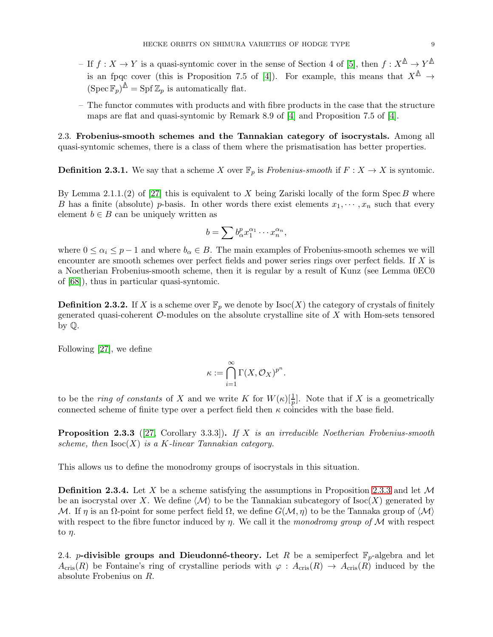- $-$  If  $f: X \to Y$  is a quasi-syntomic cover in the sense of Section 4 of [\[5\]](#page-58-14), then  $f: X^{\mathbb{A}} \to Y^{\mathbb{A}}$ is an fpqc cover (this is Proposition 7.5 of [\[4\]](#page-58-10)). For example, this means that  $X^{\mathbb{A}} \to$  $(\operatorname{Spec} \mathbb{F}_p)^{\mathbb{A}} = \operatorname{Spf} \mathbb{Z}_p$  is automatically flat.
- The functor commutes with products and with fibre products in the case that the structure maps are flat and quasi-syntomic by Remark 8.9 of [\[4\]](#page-58-10) and Proposition 7.5 of [\[4\]](#page-58-10).

2.3. Frobenius-smooth schemes and the Tannakian category of isocrystals. Among all quasi-syntomic schemes, there is a class of them where the prismatisation has better properties.

**Definition 2.3.1.** We say that a scheme X over  $\mathbb{F}_p$  is Frobenius-smooth if  $F : X \to X$  is syntomic.

By Lemma 2.1.1.(2) of [\[27\]](#page-59-7) this is equivalent to X being Zariski locally of the form Spec B where B has a finite (absolute) p-basis. In other words there exist elements  $x_1, \dots, x_n$  such that every element  $b \in B$  can be uniquely written as

$$
b=\sum b_{\alpha}^p x_1^{\alpha_1}\cdots x_n^{\alpha_n},
$$

where  $0 \le \alpha_i \le p-1$  and where  $b_\alpha \in B$ . The main examples of Frobenius-smooth schemes we will encounter are smooth schemes over perfect fields and power series rings over perfect fields. If X is a Noetherian Frobenius-smooth scheme, then it is regular by a result of Kunz (see Lemma 0EC0 of [\[68\]](#page-60-12)), thus in particular quasi-syntomic.

**Definition 2.3.2.** If X is a scheme over  $\mathbb{F}_p$  we denote by  $\text{Isoc}(X)$  the category of crystals of finitely generated quasi-coherent  $\mathcal{O}$ -modules on the absolute crystalline site of  $X$  with Hom-sets tensored by Q.

Following [\[27\]](#page-59-7), we define

$$
\kappa:=\bigcap_{i=1}^\infty \Gamma(X,\mathcal O_X)^{p^n}.
$$

to be the *ring of constants* of X and we write K for  $W(\kappa) \left[\frac{1}{p}\right]$ . Note that if X is a geometrically connected scheme of finite type over a perfect field then  $\kappa$  coincides with the base field.

<span id="page-8-1"></span>**Proposition 2.3.3** ([\[27,](#page-59-7) Corollary 3.3.3]). If X is an irreducible Noetherian Frobenius-smooth scheme, then  $\text{Isoc}(X)$  is a K-linear Tannakian category.

This allows us to define the monodromy groups of isocrystals in this situation.

<span id="page-8-0"></span>**Definition 2.3.4.** Let X be a scheme satisfying the assumptions in Proposition [2.3.3](#page-8-1) and let  $\mathcal{M}$ be an isocrystal over X. We define  $\langle \mathcal{M} \rangle$  to be the Tannakian subcategory of Isoc(X) generated by M. If  $\eta$  is an  $\Omega$ -point for some perfect field  $\Omega$ , we define  $G(\mathcal{M}, \eta)$  to be the Tannaka group of  $\langle \mathcal{M} \rangle$ with respect to the fibre functor induced by  $\eta$ . We call it the monodromy group of M with respect to  $\eta$ .

<span id="page-8-2"></span>2.4. *p*-divisible groups and Dieudonné-theory. Let R be a semiperfect  $\mathbb{F}_p$ -algebra and let  $A_{\text{cris}}(R)$  be Fontaine's ring of crystalline periods with  $\varphi : A_{\text{cris}}(R) \to A_{\text{cris}}(R)$  induced by the absolute Frobenius on R.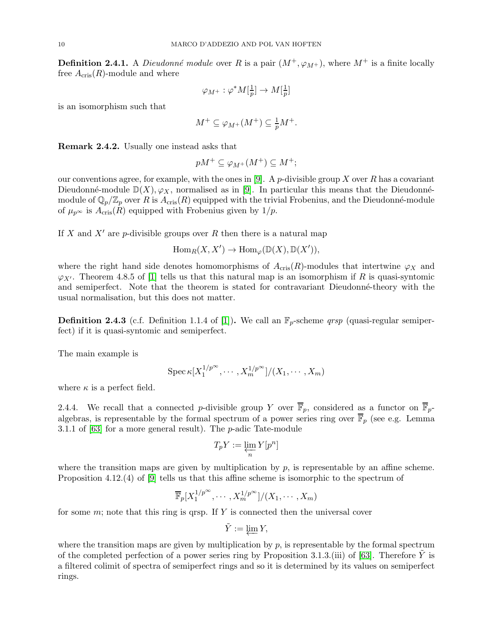<span id="page-9-0"></span>**Definition 2.4.1.** A *Dieudonné module* over R is a pair  $(M^+,\varphi_{M^+})$ , where  $M^+$  is a finite locally free  $A_{\text{cris}}(R)$ -module and where

$$
\varphi_{M^+}:\varphi^*M[\tfrac{1}{p}]\to M[\tfrac{1}{p}]
$$

is an isomorphism such that

$$
M^+ \subseteq \varphi_{M^+}(M^+) \subseteq \frac{1}{p}M^+.
$$

Remark 2.4.2. Usually one instead asks that

$$
pM^+\subseteq \varphi_{M^+}(M^+)\subseteq M^+;
$$

our conventions agree, for example, with the ones in [\[9\]](#page-58-8). A p-divisible group X over R has a covariant Dieudonné-module  $\mathbb{D}(X), \varphi_X$ , normalised as in [\[9\]](#page-58-8). In particular this means that the Dieudonnémodule of  $\mathbb{Q}_p/\mathbb{Z}_p$  over R is  $A_{\text{cris}}(R)$  equipped with the trivial Frobenius, and the Dieudonné-module of  $\mu_{p^{\infty}}$  is  $A_{\text{cris}}(R)$  equipped with Frobenius given by  $1/p$ .

If X and  $X'$  are p-divisible groups over R then there is a natural map

$$
\operatorname{Hom}_R(X, X') \to \operatorname{Hom}_{\varphi}(\mathbb{D}(X), \mathbb{D}(X')),
$$

where the right hand side denotes homomorphisms of  $A_{\text{cris}}(R)$ -modules that intertwine  $\varphi_X$  and  $\varphi_{X'}$ . Theorem 4.8.5 of [\[1\]](#page-58-15) tells us that this natural map is an isomorphism if R is quasi-syntomic and semiperfect. Note that the theorem is stated for contravariant Dieudonné-theory with the usual normalisation, but this does not matter.

**Definition 2.4.3** (c.f. Definition 1.1.4 of [\[1\]](#page-58-15)). We call an  $\mathbb{F}_p$ -scheme *qrsp* (quasi-regular semiperfect) if it is quasi-syntomic and semiperfect.

The main example is

$$
\operatorname{Spec} \kappa [X_1^{1/p^{\infty}}, \cdots, X_m^{1/p^{\infty}}]/(X_1, \cdots, X_m)
$$

where  $\kappa$  is a perfect field.

2.4.4. We recall that a connected p-divisible group Y over  $\overline{\mathbb{F}}_p$ , considered as a functor on  $\overline{\mathbb{F}}_p$ algebras, is representable by the formal spectrum of a power series ring over  $\overline{\mathbb{F}}_p$  (see e.g. Lemma 3.1.1 of [\[63\]](#page-60-14) for a more general result). The p-adic Tate-module

$$
T_pY:=\varprojlim_n Y[p^n]
$$

where the transition maps are given by multiplication by  $p$ , is representable by an affine scheme. Proposition 4.12.(4) of [\[9\]](#page-58-8) tells us that this affine scheme is isomorphic to the spectrum of

$$
\overline{\mathbb{F}}_p[X_1^{1/p^\infty},\cdots,X_m^{1/p^\infty}]/(X_1,\cdots,X_m)
$$

for some  $m$ ; note that this ring is qrsp. If Y is connected then the universal cover

$$
\tilde{Y}:=\varprojlim Y,
$$

where the transition maps are given by multiplication by  $p$ , is representable by the formal spectrum of the completed perfection of a power series ring by Proposition 3.1.3.(iii) of [\[63\]](#page-60-14). Therefore Y is a filtered colimit of spectra of semiperfect rings and so it is determined by its values on semiperfect rings.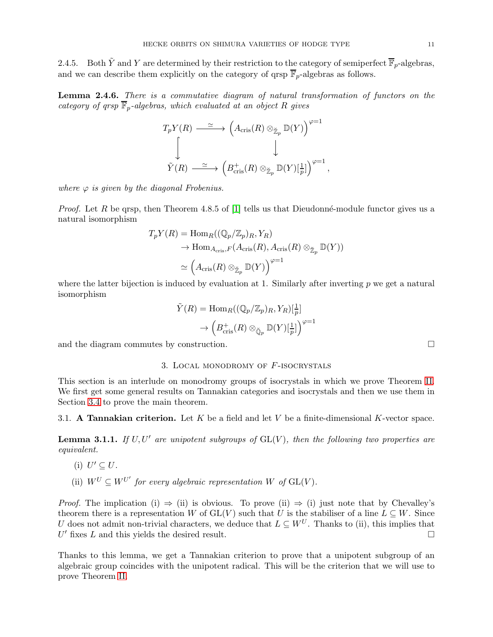2.4.5. Both  $\tilde{Y}$  and Y are determined by their restriction to the category of semiperfect  $\overline{\mathbb{F}}_p$ -algebras, and we can describe them explicitly on the category of grsp  $\overline{\mathbb{F}}_p$ -algebras as follows.

<span id="page-10-2"></span>Lemma 2.4.6. There is a commutative diagram of natural transformation of functors on the category of grsp  $\overline{\mathbb{F}}_p$ -algebras, which evaluated at an object R gives

$$
T_p Y(R) \xrightarrow{\simeq} \left( A_{\mathrm{cris}}(R) \otimes_{\mathbb{Z}_p} \mathbb{D}(Y) \right)^{\varphi=1}
$$
  

$$
\downarrow \qquad \qquad \downarrow
$$
  

$$
\tilde{Y}(R) \xrightarrow{\simeq} \left( B_{\mathrm{cris}}^+(R) \otimes_{\mathbb{Z}_p} \mathbb{D}(Y)[\frac{1}{p}] \right)^{\varphi=1},
$$

where  $\varphi$  is given by the diagonal Frobenius.

*Proof.* Let R be grsp, then Theorem 4.8.5 of [\[1\]](#page-58-15) tells us that Dieudonné-module functor gives us a natural isomorphism

$$
T_p Y(R) = \text{Hom}_R((\mathbb{Q}_p/\mathbb{Z}_p)_R, Y_R)
$$
  
\n
$$
\to \text{Hom}_{A_{\text{cris}}, F}(A_{\text{cris}}(R), A_{\text{cris}}(R) \otimes_{\mathbb{Z}_p} \mathbb{D}(Y))
$$
  
\n
$$
\simeq \left(A_{\text{cris}}(R) \otimes_{\mathbb{Z}_p} \mathbb{D}(Y)\right)^{\varphi=1}
$$

where the latter bijection is induced by evaluation at 1. Similarly after inverting  $p$  we get a natural isomorphism

$$
\tilde{Y}(R) = \text{Hom}_{R}((\mathbb{Q}_{p}/\mathbb{Z}_{p})_{R}, Y_{R})[\frac{1}{p}]
$$

$$
\rightarrow \left(B_{\text{cris}}^{+}(R) \otimes_{\breve{\mathbb{Q}}_{p}} \mathbb{D}(Y)[\frac{1}{p}]\right)^{\varphi=1}
$$

<span id="page-10-0"></span>and the diagram commutes by construction.

## 3. Local monodromy of F-isocrystals

This section is an interlude on monodromy groups of isocrystals in which we prove Theorem [II.](#page-2-0) We first get some general results on Tannakian categories and isocrystals and then we use them in Section [3.4](#page-14-3) to prove the main theorem.

3.1. A Tannakian criterion. Let K be a field and let V be a finite-dimensional K-vector space.

<span id="page-10-1"></span>**Lemma 3.1.1.** If U, U' are unipotent subgroups of  $GL(V)$ , then the following two properties are equivalent.

- (i)  $U' \subseteq U$ .
- (ii)  $W^U \subseteq W^{U'}$  for every algebraic representation W of  $GL(V)$ .

*Proof.* The implication (i)  $\Rightarrow$  (ii) is obvious. To prove (ii)  $\Rightarrow$  (i) just note that by Chevalley's theorem there is a representation W of  $GL(V)$  such that U is the stabiliser of a line  $L \subseteq W$ . Since U does not admit non-trivial characters, we deduce that  $L \subseteq W^U$ . Thanks to (ii), this implies that  $U'$  fixes  $L$  and this yields the desired result.

Thanks to this lemma, we get a Tannakian criterion to prove that a unipotent subgroup of an algebraic group coincides with the unipotent radical. This will be the criterion that we will use to prove Theorem [II.](#page-2-0)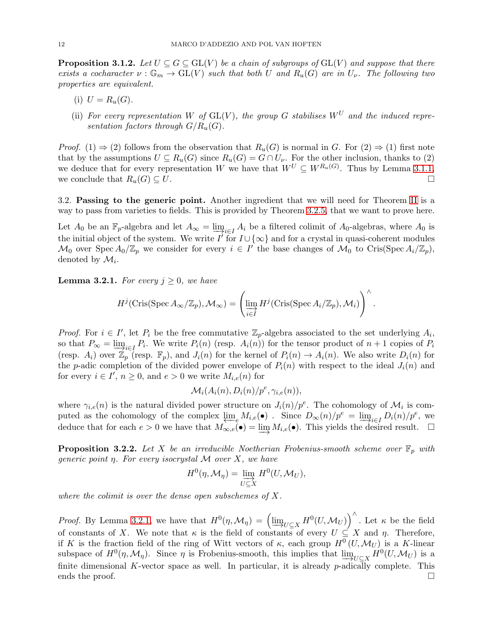<span id="page-11-2"></span>**Proposition 3.1.2.** Let  $U \subseteq G \subseteq GL(V)$  be a chain of subgroups of  $GL(V)$  and suppose that there exists a cocharacter  $\nu : \mathbb{G}_m \to \mathrm{GL}(V)$  such that both U and  $R_u(G)$  are in  $U_{\nu}$ . The following two properties are equivalent.

- (i)  $U = R_u(G)$ .
- (ii) For every representation W of  $GL(V)$ , the group G stabilises  $W^U$  and the induced representation factors through  $G/R_u(G)$ .

*Proof.* (1)  $\Rightarrow$  (2) follows from the observation that  $R_u(G)$  is normal in G. For (2)  $\Rightarrow$  (1) first note that by the assumptions  $U \subseteq R_u(G)$  since  $R_u(G) = G \cap U_{\nu}$ . For the other inclusion, thanks to (2) we deduce that for every representation W we have that  $W^U \subseteq W^{R_u(G)}$ . Thus by Lemma [3.1.1,](#page-10-1) we conclude that  $R_u(G) \subseteq U$ .

3.2. Passing to the generic point. Another ingredient that we will need for Theorem [II](#page-2-0) is a way to pass from varieties to fields. This is provided by Theorem [3.2.5,](#page-12-0) that we want to prove here.

Let  $A_0$  be an  $\mathbb{F}_p$ -algebra and let  $A_\infty = \lim_{i \to i \in I} A_i$  be a filtered colimit of  $A_0$ -algebras, where  $A_0$  is the initial object of the system. We write  $I'$  for  $I \cup \{\infty\}$  and for a crystal in quasi-coherent modules  $\mathcal{M}_0$  over Spec  $A_0/\mathbb{Z}_p$  we consider for every  $i \in I'$  the base changes of  $\mathcal{M}_0$  to Cris(Spec  $A_i/\mathbb{Z}_p$ ), denoted by  $\mathcal{M}_i$ .

<span id="page-11-0"></span>**Lemma 3.2.1.** For every  $j \geq 0$ , we have

$$
H^j(\mathrm{Cris}(\mathrm{Spec}\, A_\infty/\mathbb{Z}_p),\mathcal{M}_\infty)=\left(\varinjlim_{i\in I}H^j(\mathrm{Cris}(\mathrm{Spec}\, A_i/\mathbb{Z}_p),\mathcal{M}_i)\right)^\wedge.
$$

*Proof.* For  $i \in I'$ , let  $P_i$  be the free commutative  $\mathbb{Z}_p$ -algebra associated to the set underlying  $A_i$ , so that  $P_{\infty} = \lim_{n \to \infty} P_i$ . We write  $P_i(n)$  (resp.  $A_i(n)$ ) for the tensor product of  $n+1$  copies of  $P_i$ (resp.  $A_i$ ) over  $\mathbb{Z}_p$  (resp.  $\mathbb{F}_p$ ), and  $J_i(n)$  for the kernel of  $P_i(n) \to A_i(n)$ . We also write  $D_i(n)$  for the p-adic completion of the divided power envelope of  $P_i(n)$  with respect to the ideal  $J_i(n)$  and for every  $i \in I'$ ,  $n \geq 0$ , and  $e > 0$  we write  $M_{i,e}(n)$  for

$$
\mathcal{M}_i(A_i(n), D_i(n)/p^e, \gamma_{i,e}(n)),
$$

where  $\gamma_{i,e}(n)$  is the natural divided power structure on  $J_i(n)/p^e$ . The cohomology of  $\mathcal{M}_i$  is computed as the cohomology of the complex  $\lim_{\epsilon \to 0} M_{i,\epsilon}(\bullet)$ . Since  $D_{\infty}(n)/p^e = \lim_{\epsilon \to 0} D_i(n)/p^e$ , we deduce that for each  $e > 0$  we have that  $M_{\infty,e}(\bullet) = \varinjlim M_{i,e}(\bullet)$ . This yields the desired result.  $\Box$ 

<span id="page-11-1"></span>**Proposition 3.2.2.** Let X be an irreducible Noetherian Frobenius-smooth scheme over  $\mathbb{F}_p$  with generic point  $\eta$ . For every isocrystal M over X, we have

$$
H^{0}(\eta, \mathcal{M}_{\eta}) = \varinjlim_{U \subseteq X} H^{0}(U, \mathcal{M}_{U}),
$$

where the colimit is over the dense open subschemes of X.

*Proof.* By Lemma [3.2.1,](#page-11-0) we have that  $H^0(\eta, \mathcal{M}_\eta) = \left( \varinjlim_{U \subseteq X} H^0(U, \mathcal{M}_U) \right)^\wedge$ . Let  $\kappa$  be the field of constants of X. We note that  $\kappa$  is the field of constants of every  $U \subseteq X$  and  $\eta$ . Therefore, if K is the fraction field of the ring of Witt vectors of  $\kappa$ , each group  $H^0(U, \mathcal{M}_U)$  is a K-linear subspace of  $H^0(\eta, \mathcal{M}_\eta)$ . Since  $\eta$  is Frobenius-smooth, this implies that  $\lim_{U \subset X} H^0(U, \mathcal{M}_U)$  is a finite dimensional K-vector space as well. In particular, it is already  $p$ -adically complete. This ends the proof.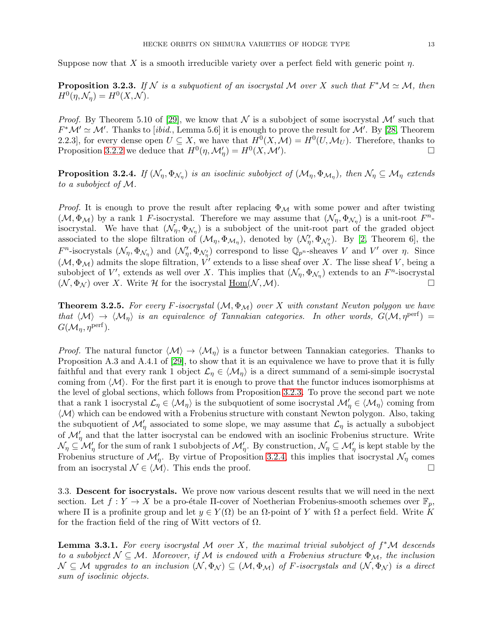Suppose now that X is a smooth irreducible variety over a perfect field with generic point  $\eta$ .

<span id="page-12-1"></span>**Proposition 3.2.3.** If N is a subquotient of an isocrystal M over X such that  $F^*\mathcal{M} \simeq \mathcal{M}$ , then  $H^0(\eta, \mathcal{N}_{\eta}) = H^0(X, \mathcal{N}).$ 

*Proof.* By Theorem 5.10 of [\[29\]](#page-59-12), we know that  $N$  is a subobject of some isocrystal  $M'$  such that  $F^{\ast}\mathcal{M}' \simeq \mathcal{M}'$ . Thanks to [ibid., Lemma 5.6] it is enough to prove the result for  $\mathcal{M}'$ . By [\[28,](#page-59-13) Theorem 2.2.3], for every dense open  $U \subseteq X$ , we have that  $H^0(X, \mathcal{M}) = H^0(U, \mathcal{M}_U)$ . Therefore, thanks to Proposition [3.2.2](#page-11-1) we deduce that  $H^0(\eta, \mathcal{M}'_{\eta}) = H^0(X, \mathcal{M}'')$ ). The contract of the contract of  $\Box$ 

<span id="page-12-2"></span>**Proposition 3.2.4.** If  $(\mathcal{N}_\eta, \Phi_{\mathcal{N}_\eta})$  is an isoclinic subobject of  $(\mathcal{M}_\eta, \Phi_{\mathcal{M}_\eta})$ , then  $\mathcal{N}_\eta \subseteq \mathcal{M}_\eta$  extends to a subobject of M.

*Proof.* It is enough to prove the result after replacing  $\Phi_{\mathcal{M}}$  with some power and after twisting  $(\mathcal{M}, \Phi_{\mathcal{M}})$  by a rank 1 F-isocrystal. Therefore we may assume that  $(\mathcal{N}_{\eta}, \Phi_{\mathcal{N}_{\eta}})$  is a unit-root  $F^{n}$ isocrystal. We have that  $(\mathcal{N}_{\eta}, \Phi_{\mathcal{N}_{\eta}})$  is a subobject of the unit-root part of the graded object associated to the slope filtration of  $(\mathcal{M}_{\eta}, \Phi_{\mathcal{M}_{\eta}})$ , denoted by  $(\mathcal{N}'_{\eta}, \Phi_{\mathcal{N}'_{\eta}})$ . By [\[2,](#page-58-7) Theorem 6], the  $F^n$ -isocrystals  $(\mathcal{N}_\eta, \Phi_{\mathcal{N}_\eta})$  and  $(\mathcal{N}'_\eta, \Phi_{\mathcal{N}'_\eta})$  correspond to lisse  $\mathbb{Q}_{p^n}$ -sheaves V and V' over  $\eta$ . Since  $(\mathcal{M}, \Phi_{\mathcal{M}})$  admits the slope filtration,  $V'$  extends to a lisse sheaf over X. The lisse sheaf V, being a subobject of V', extends as well over X. This implies that  $(\mathcal{N}_{\eta}, \Phi_{\mathcal{N}_{\eta}})$  extends to an  $F^{n}$ -isocrystal  $(N, \Phi_N)$  over X. Write H for the isocrystal  $\underline{Hom}(N, M)$ .

<span id="page-12-0"></span>**Theorem 3.2.5.** For every F-isocrystal  $(M, \Phi_M)$  over X with constant Newton polygon we have that  $\langle \mathcal{M} \rangle \to \langle \mathcal{M}_\eta \rangle$  is an equivalence of Tannakian categories. In other words,  $G(\mathcal{M}, \eta^{\text{pert}})$  =  $G(\mathcal{M}_\eta, \eta^{\text{perf}}).$ 

*Proof.* The natural functor  $\langle \mathcal{M} \rangle \to \langle \mathcal{M}_n \rangle$  is a functor between Tannakian categories. Thanks to Proposition A.3 and A.4.1 of [\[29\]](#page-59-12), to show that it is an equivalence we have to prove that it is fully faithful and that every rank 1 object  $\mathcal{L}_{\eta} \in \langle \mathcal{M}_{\eta} \rangle$  is a direct summand of a semi-simple isocrystal coming from  $\langle \mathcal{M} \rangle$ . For the first part it is enough to prove that the functor induces isomorphisms at the level of global sections, which follows from Proposition [3.2.3.](#page-12-1) To prove the second part we note that a rank 1 isocrystal  $\mathcal{L}_\eta \in \langle \mathcal{M}_\eta \rangle$  is the subquotient of some isocrystal  $\mathcal{M}'_\eta \in \langle \mathcal{M}_\eta \rangle$  coming from  $\langle \mathcal{M} \rangle$  which can be endowed with a Frobenius structure with constant Newton polygon. Also, taking the subquotient of  $\mathcal{M}'_{\eta}$  associated to some slope, we may assume that  $\mathcal{L}_{\eta}$  is actually a subobject of  $\mathcal{M}'_{\eta}$  and that the latter isocrystal can be endowed with an isoclinic Frobenius structure. Write  $\mathcal{N}_{\eta} \subseteq \mathcal{M}'_{\eta}$  for the sum of rank 1 subobjects of  $\mathcal{M}'_{\eta}$ . By construction,  $\mathcal{N}_{\eta} \subseteq \mathcal{M}'_{\eta}$  is kept stable by the Frobenius structure of  $\mathcal{M}'_n$ . By virtue of Proposition [3.2.4,](#page-12-2) this implies that isocrystal  $\mathcal{N}_n$  comes from an isocrystal  $\mathcal{N} \in \langle \mathcal{M} \rangle$ . This ends the proof.

3.3. Descent for isocrystals. We prove now various descent results that we will need in the next section. Let  $f: Y \to X$  be a pro-étale  $\Pi$ -cover of Noetherian Frobenius-smooth schemes over  $\mathbb{F}_p$ , where  $\Pi$  is a profinite group and let  $y \in Y(\Omega)$  be an  $\Omega$ -point of Y with  $\Omega$  a perfect field. Write K for the fraction field of the ring of Witt vectors of  $\Omega$ .

<span id="page-12-3"></span>**Lemma 3.3.1.** For every isocrystal M over X, the maximal trivial subobject of  $f^*M$  descends to a subobject  $\mathcal{N} \subseteq \mathcal{M}$ . Moreover, if M is endowed with a Frobenius structure  $\Phi_{\mathcal{M}}$ , the inclusion  $\mathcal{N} \subseteq \mathcal{M}$  upgrades to an inclusion  $(\mathcal{N}, \Phi_{\mathcal{N}}) \subseteq (\mathcal{M}, \Phi_{\mathcal{M}})$  of F-isocrystals and  $(\mathcal{N}, \Phi_{\mathcal{N}})$  is a direct sum of isoclinic objects.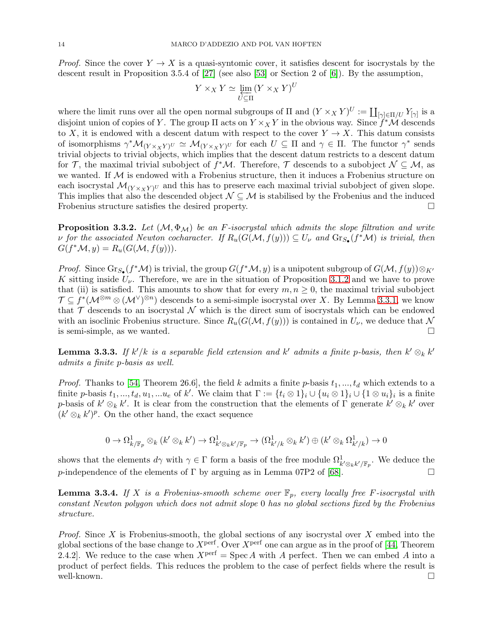*Proof.* Since the cover  $Y \to X$  is a quasi-syntomic cover, it satisfies descent for isocrystals by the descent result in Proposition 3.5.4 of [\[27\]](#page-59-7) (see also [\[53\]](#page-60-9) or Section 2 of [\[6\]](#page-58-13)). By the assumption,

$$
Y \times_X Y \simeq \varprojlim_{U \subseteq \Pi} (Y \times_X Y)^U
$$

where the limit runs over all the open normal subgroups of  $\Pi$  and  $(Y \times_X Y)^U := \coprod_{[\gamma] \in \Pi/U} Y_{[\gamma]}$  is a disjoint union of copies of Y. The group  $\Pi$  acts on  $Y \times_X Y$  in the obvious way. Since  $\hat{f}^* \mathcal{M}$  descends to X, it is endowed with a descent datum with respect to the cover  $Y \to X$ . This datum consists of isomorphisms  $\gamma^* \mathcal{M}_{(Y \times_X Y)^U} \simeq \mathcal{M}_{(Y \times_X Y)^U}$  for each  $U \subseteq \Pi$  and  $\gamma \in \Pi$ . The functor  $\gamma^*$  sends trivial objects to trivial objects, which implies that the descent datum restricts to a descent datum for T, the maximal trivial subobject of  $f^{\ast}{\cal M}$ . Therefore, T descends to a subobject  ${\cal N} \subseteq {\cal M}$ , as we wanted. If  $M$  is endowed with a Frobenius structure, then it induces a Frobenius structure on each isocrystal  $\mathcal{M}_{(Y \times_X Y)^U}$  and this has to preserve each maximal trivial subobject of given slope. This implies that also the descended object  $\mathcal{N} \subseteq \mathcal{M}$  is stabilised by the Frobenius and the induced Frobenius structure satisfies the desired property.

<span id="page-13-2"></span>**Proposition 3.3.2.** Let  $(M, \Phi_M)$  be an F-isocrystal which admits the slope filtration and write v for the associated Newton cocharacter. If  $R_u(G(\mathcal{M}, f(y))) \subseteq U_\nu$  and  $\text{Gr}_{S_\bullet}(f^*\mathcal{M})$  is trivial, then  $G(f^*\mathcal{M}, y) = R_u(G(\mathcal{M}, f(y))).$ 

*Proof.* Since  $\text{Gr}_{S_{\bullet}}(f^*\mathcal{M})$  is trivial, the group  $G(f^*\mathcal{M}, y)$  is a unipotent subgroup of  $G(\mathcal{M}, f(y))\otimes_{K'} g(y)$ K sitting inside  $U_{\nu}$ . Therefore, we are in the situation of Proposition [3.1.2](#page-11-2) and we have to prove that (ii) is satisfied. This amounts to show that for every  $m, n \geq 0$ , the maximal trivial subobject  $\mathcal{T} \subseteq f^*(\mathcal{M}^{\otimes m} \otimes (\mathcal{M}^{\vee})^{\otimes n})$  descends to a semi-simple isocrystal over X. By Lemma [3.3.1,](#page-12-3) we know that  $\mathcal T$  descends to an isocrystal  $\mathcal N$  which is the direct sum of isocrystals which can be endowed with an isoclinic Frobenius structure. Since  $R_u(G(\mathcal{M}, f(y)))$  is contained in  $U_\nu$ , we deduce that N is semi-simple, as we wanted.

<span id="page-13-0"></span>**Lemma 3.3.3.** If  $k'/k$  is a separable field extension and  $k'$  admits a finite p-basis, then  $k' \otimes_k k'$ admits a finite p-basis as well.

*Proof.* Thanks to [\[54,](#page-60-13) Theorem 26.6], the field k admits a finite p-basis  $t_1, ..., t_d$  which extends to a finite p-basis  $t_1, ..., t_d, u_1, ...u_e$  of k'. We claim that  $\Gamma := \{t_i \otimes 1\}_i \cup \{u_i \otimes 1\}_i \cup \{1 \otimes u_i\}_i$  is a finite p-basis of  $k' \otimes_k k'$ . It is clear from the construction that the elements of  $\Gamma$  generate  $k' \otimes_k k'$  over  $(k' \otimes_k k')^p$ . On the other hand, the exact sequence

$$
0 \to \Omega^1_{k/\mathbb{F}_p} \otimes_k (k' \otimes_k k') \to \Omega^1_{k' \otimes_k k'/\mathbb{F}_p} \to (\Omega^1_{k'/k} \otimes_k k') \oplus (k' \otimes_k \Omega^1_{k'/k}) \to 0
$$

shows that the elements  $d\gamma$  with  $\gamma \in \Gamma$  form a basis of the free module  $\Omega^1_{k' \otimes_k k'/\mathbb{F}_p}$ . We deduce the p-independence of the elements of  $\Gamma$  by arguing as in Lemma 07P2 of [\[68\]](#page-60-12).

<span id="page-13-1"></span>**Lemma 3.3.4.** If X is a Frobenius-smooth scheme over  $\mathbb{F}_p$ , every locally free F-isocrystal with constant Newton polygon which does not admit slope 0 has no global sections fixed by the Frobenius structure.

*Proof.* Since  $X$  is Frobenius-smooth, the global sections of any isocrystal over  $X$  embed into the global sections of the base change to  $X<sup>perf</sup>$ . Over  $X<sup>perf</sup>$  one can argue as in the proof of [\[44,](#page-59-14) Theorem 2.4.2. We reduce to the case when  $X<sup>perf</sup> = Spec A$  with A perfect. Then we can embed A into a product of perfect fields. This reduces the problem to the case of perfect fields where the result is well-known.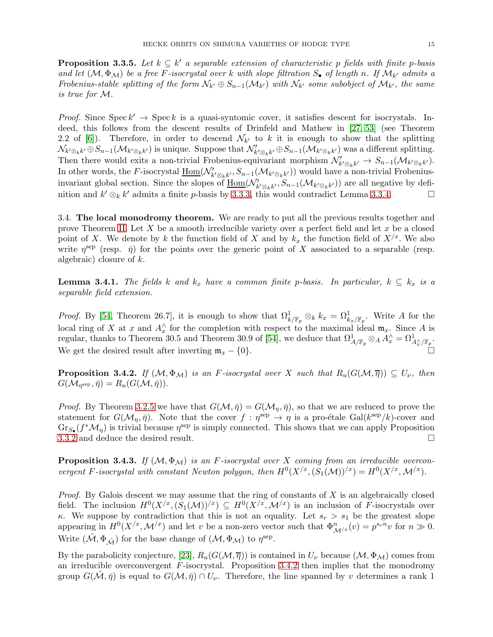<span id="page-14-2"></span>**Proposition 3.3.5.** Let  $k \subseteq k'$  a separable extension of characteristic p fields with finite p-basis and let  $(M, \Phi_M)$  be a free F-isocrystal over k with slope filtration  $S_{\bullet}$  of length n. If  $\mathcal{M}_{k'}$  admits a Frobenius-stable splitting of the form  $\mathcal{N}_{k'} \oplus S_{n-1}(\mathcal{M}_{k'})$  with  $\mathcal{N}_{k'}$  some subobject of  $\mathcal{M}_{k'}$ , the same is true for M.

*Proof.* Since  $\text{Spec } k' \to \text{Spec } k$  is a quasi-syntomic cover, it satisfies descent for isocrystals. Indeed, this follows from the descent results of Drinfeld and Mathew in [\[27,](#page-59-7) [53\]](#page-60-9) (see Theorem 2.2 of [\[6\]](#page-58-13)). Therefore, in order to descend  $\mathcal{N}_{k'}$  to k it is enough to show that the splitting  $\mathcal{N}_{k'\otimes_k k'}\oplus S_{n-1}(\mathcal{M}_{k'\otimes_k k'})$  is unique. Suppose that  $\mathcal{N}'_{k'\otimes_k k'}\oplus S_{n-1}(\mathcal{M}_{k'\otimes_k k'})$  was a different splitting. Then there would exits a non-trivial Frobenius-equivariant morphism  $\mathcal{N}'_{k' \otimes_k k'} \to S_{n-1}(\mathcal{M}_{k' \otimes_k k'}).$ In other words, the F-isocrystal  $\underline{\text{Hom}}(\mathcal{N}'_{k' \otimes_k k'}, S_{n-1}(\mathcal{M}_{k' \otimes_k k'}))$  would have a non-trivial Frobeniusinvariant global section. Since the slopes of  $\underline{\text{Hom}}(\mathcal{N}'_{k' \otimes_k k'}, S_{n-1}(\mathcal{M}_{k' \otimes_k k'})$  are all negative by definition and  $k' \otimes_k k'$  admits a finite p-basis by [3.3.3,](#page-13-0) this would contradict Lemma [3.3.4.](#page-13-1)

<span id="page-14-3"></span>3.4. The local monodromy theorem. We are ready to put all the previous results together and prove Theorem [II.](#page-2-0) Let X be a smooth irreducible variety over a perfect field and let  $x$  be a closed point of X. We denote by k the function field of X and by  $k_x$  the function field of  $X/x$ . We also write  $\eta^{\text{sep}}$  (resp.  $\bar{\eta}$ ) for the points over the generic point of X associated to a separable (resp. algebraic) closure of k.

<span id="page-14-1"></span>**Lemma 3.4.1.** The fields k and  $k_x$  have a common finite p-basis. In particular,  $k \subseteq k_x$  is a separable field extension.

*Proof.* By [\[54,](#page-60-13) Theorem 26.7], it is enough to show that  $\Omega_k^1|_{\mathbb{F}_p} \otimes_k k_x = \Omega_k^1|_{\mathbb{F}_p}$ . Write A for the local ring of X at x and  $A_x^{\wedge}$  for the completion with respect to the maximal ideal  $\mathfrak{m}_x$ . Since A is regular, thanks to Theorem 30.5 and Theorem 30.9 of [\[54\]](#page-60-13), we deduce that  $\Omega^1_{A/\mathbb{F}_p} \otimes_A A_x^{\wedge} = \Omega^1_{A_x^{\wedge}/\mathbb{F}_p}$ . We get the desired result after inverting  $\mathfrak{m}_x - \{0\}.$ 

<span id="page-14-0"></span>**Proposition 3.4.2.** If  $(M, \Phi_M)$  is an F-isocrystal over X such that  $R_u(G(M, \overline{\eta})) \subseteq U_{\nu}$ , then  $G(\mathcal{M}_{\eta^{\text{sep}}}, \bar{\eta}) = R_u(G(\mathcal{M},\bar{\eta})).$ 

*Proof.* By Theorem [3.2.5](#page-12-0) we have that  $G(\mathcal{M}, \bar{\eta}) = G(\mathcal{M}_\eta, \bar{\eta})$ , so that we are reduced to prove the statement for  $G(\mathcal{M}_{\eta}, \bar{\eta})$ . Note that the cover  $f : \eta^{\text{sep}} \to \eta$  is a pro-étale Gal( $k^{\text{sep}}/k$ )-cover and  $\text{Gr}_{S_{\bullet}}(f^*\mathcal{M}_{\eta})$  is trivial because  $\eta^{\text{sep}}$  is simply connected. This shows that we can apply Proposition [3.3.2](#page-13-2) and deduce the desired result.

<span id="page-14-4"></span>**Proposition 3.4.3.** If  $(M, \Phi_M)$  is an F-isocrystal over X coming from an irreducible overconvergent F-isocrystal with constant Newton polygon, then  $H^0(X^{/x}, (S_1(\mathcal{M}))^{/x}) = H^0(X^{/x}, \mathcal{M}^{/x})$ .

*Proof.* By Galois descent we may assume that the ring of constants of  $X$  is an algebraically closed field. The inclusion  $H^0(X^{/x}, S_1(\mathcal{M}))^{/x}) \subseteq H^0(X^{/x}, \mathcal{M}^{/x})$  is an inclusion of F-isocrystals over κ. We suppose by contradiction that this is not an equality. Let  $s_r > s_1$  be the greatest slope appearing in  $H^0(X^{/x}, \mathcal{M}^{/x})$  and let v be a non-zero vector such that  $\Phi_{\mathcal{M}^{/x}}^n(v) = p^{s_r n}v$  for  $n \gg 0$ . Write  $(\tilde{\mathcal{M}}, \Phi_{\tilde{\mathcal{M}}})$  for the base change of  $(\mathcal{M}, \Phi_{\mathcal{M}})$  to  $\eta^{\text{sep}}$ .

By the parabolicity conjecture, [\[23\]](#page-59-6),  $R_u(G(\mathcal{M}, \overline{\eta}))$  is contained in  $U_\nu$  because  $(\mathcal{M}, \Phi_{\mathcal{M}})$  comes from an irreducible overconvergent  $F$ -isocrystal. Proposition [3.4.2](#page-14-0) then implies that the monodromy group  $G(\tilde{\mathcal{M}}, \bar{\eta})$  is equal to  $G(\mathcal{M}, \bar{\eta}) \cap U_{\nu}$ . Therefore, the line spanned by v determines a rank 1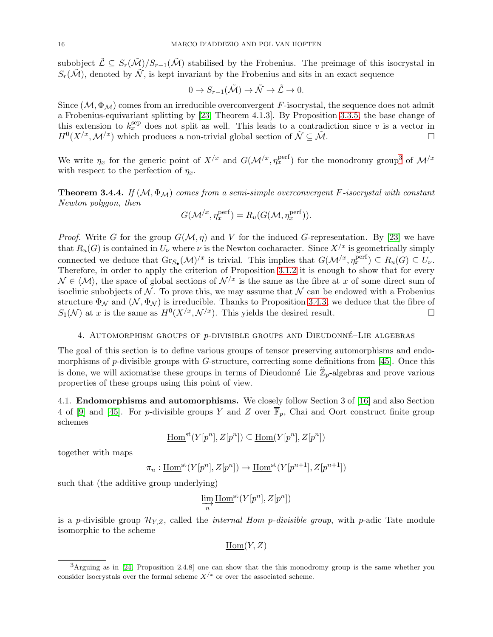subobject  $\tilde{\mathcal{L}} \subseteq S_r(\tilde{\mathcal{M}})/S_{r-1}(\tilde{\mathcal{M}})$  stabilised by the Frobenius. The preimage of this isocrystal in  $S_r(\tilde{\mathcal{M}})$ , denoted by  $\tilde{\mathcal{N}}$ , is kept invariant by the Frobenius and sits in an exact sequence

$$
0 \to S_{r-1}(\tilde{\mathcal{M}}) \to \tilde{\mathcal{N}} \to \tilde{\mathcal{L}} \to 0.
$$

Since  $(M, \Phi_M)$  comes from an irreducible overconvergent F-isocrystal, the sequence does not admit a Frobenius-equivariant splitting by [\[23,](#page-59-6) Theorem 4.1.3]. By Proposition [3.3.5,](#page-14-2) the base change of this extension to  $k_x^{\text{sep}}$  does not split as well. This leads to a contradiction since v is a vector in  $H^0(X^{/x}, \mathcal{M}^{/x})$  which produces a non-trivial global section of  $\tilde{\mathcal{N}} \subseteq \tilde{\mathcal{M}}$ .

We write  $\eta_x$  for the generic point of  $X/x$  and  $G(\mathcal{M}/x, \eta_x^{\text{perf}})$  for the monodromy group<sup>3</sup> of  $\mathcal{M}/x$ with respect to the perfection of  $\eta_x$ .

<span id="page-15-1"></span>**Theorem 3.4.4.** If  $(M, \Phi_M)$  comes from a semi-simple overconvergent F-isocrystal with constant Newton polygon, then

$$
G(\mathcal{M}^{/x}, \eta_x^{\text{perf}}) = R_u(G(\mathcal{M}, \eta_x^{\text{perf}})).
$$

*Proof.* Write G for the group  $G(\mathcal{M}, \eta)$  and V for the induced G-representation. By [\[23\]](#page-59-6) we have that  $R_u(G)$  is contained in  $U_{\nu}$  where  $\nu$  is the Newton cocharacter. Since  $X^{x}$  is geometrically simply connected we deduce that  $Gr_{S_{\bullet}}(\mathcal{M})^{x}$  is trivial. This implies that  $G(\mathcal{M}^{x}, \eta_x^{\text{perf}}) \subseteq R_u(G) \subseteq U_{\nu}$ . Therefore, in order to apply the criterion of Proposition [3.1.2](#page-11-2) it is enough to show that for every  $\mathcal{N} \in \langle \mathcal{M} \rangle$ , the space of global sections of  $\mathcal{N}^{/x}$  is the same as the fibre at x of some direct sum of isoclinic subobjects of  $N$ . To prove this, we may assume that  $N$  can be endowed with a Frobenius structure  $\Phi_N$  and  $(N, \Phi_N)$  is irreducible. Thanks to Proposition [3.4.3,](#page-14-4) we deduce that the fibre of  $S_1(\mathcal{N})$  at x is the same as  $H^0(X^{/x}, \mathcal{N}^{/x})$ . This yields the desired result.

## <span id="page-15-0"></span>4. Automorphism groups of p-divisible groups and Dieudonn´e–Lie algebras

The goal of this section is to define various groups of tensor preserving automorphisms and endomorphisms of  $p$ -divisible groups with  $G$ -structure, correcting some definitions from [\[45\]](#page-59-2). Once this is done, we will axiomatise these groups in terms of Dieudonné–Lie  $\mathbb{Z}_p$ -algebras and prove various properties of these groups using this point of view.

4.1. Endomorphisms and automorphisms. We closely follow Section 3 of [\[16\]](#page-58-9) and also Section 4 of [\[9\]](#page-58-8) and [\[45\]](#page-59-2). For p-divisible groups Y and Z over  $\overline{\mathbb{F}}_p$ , Chai and Oort construct finite group schemes

$$
\underline{\mathrm{Hom}}^{\mathrm{st}}(Y[p^n], Z[p^n]) \subseteq \underline{\mathrm{Hom}}(Y[p^n], Z[p^n])
$$

together with maps

$$
\pi_n: \underline{\mathrm{Hom}}^{\mathrm{st}}(Y[p^n], Z[p^n]) \to \underline{\mathrm{Hom}}^{\mathrm{st}}(Y[p^{n+1}], Z[p^{n+1}])
$$

such that (the additive group underlying)

$$
\varinjlim_{n} \underline{\mathrm{Hom}}^{\mathrm{st}}(Y[p^{n}], Z[p^{n}])
$$

is a p-divisible group  $\mathcal{H}_{YZ}$ , called the *internal Hom p-divisible group*, with p-adic Tate module isomorphic to the scheme

 $Hom(Y, Z)$ 

 $3$ Arguing as in [\[24,](#page-59-15) Proposition 2.4.8] one can show that the this monodromy group is the same whether you consider isocrystals over the formal scheme  $X/x$  or over the associated scheme.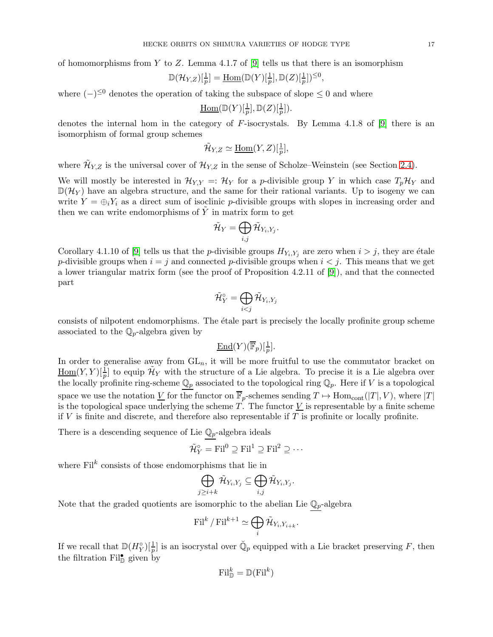of homomorphisms from Y to Z. Lemma 4.1.7 of [\[9\]](#page-58-8) tells us that there is an isomorphism

$$
\mathbb{D}(\mathcal{H}_{Y,Z})[\tfrac{1}{p}] = \underline{\mathrm{Hom}}(\mathbb{D}(Y)[\tfrac{1}{p}],\mathbb{D}(Z)[\tfrac{1}{p}])^{\leq 0},
$$

where  $(-)^{\leq 0}$  denotes the operation of taking the subspace of slope  $\leq 0$  and where

Hom
$$
(\mathbb{D}(Y)[\frac{1}{p}], \mathbb{D}(Z)[\frac{1}{p}]).
$$

denotes the internal hom in the category of F-isocrystals. By Lemma 4.1.8 of [\[9\]](#page-58-8) there is an isomorphism of formal group schemes

$$
\tilde{\mathcal{H}}_{Y,Z} \simeq \underline{\operatorname{Hom}}(Y,Z)[\tfrac{1}{p}],
$$

where  $\tilde{\mathcal{H}}_{Y,Z}$  is the universal cover of  $\mathcal{H}_{Y,Z}$  in the sense of Scholze–Weinstein (see Section [2.4\)](#page-8-2).

We will mostly be interested in  $\mathcal{H}_{Y,Y} =: \mathcal{H}_Y$  for a p-divisible group Y in which case  $T_p\mathcal{H}_Y$  and  $\mathbb{D}(\mathcal{H}_Y)$  have an algebra structure, and the same for their rational variants. Up to isogeny we can write  $Y = \bigoplus_i Y_i$  as a direct sum of isoclinic p-divisible groups with slopes in increasing order and then we can write endomorphisms of  $\tilde{Y}$  in matrix form to get

$$
\tilde{\mathcal{H}}_Y = \bigoplus_{i,j} \tilde{\mathcal{H}}_{Y_i,Y_j}.
$$

Corollary 4.1.10 of [\[9\]](#page-58-8) tells us that the *p*-divisible groups  $H_{Y_i,Y_j}$  are zero when  $i > j$ , they are étale p-divisible groups when  $i = j$  and connected p-divisible groups when  $i < j$ . This means that we get a lower triangular matrix form (see the proof of Proposition 4.2.11 of [\[9\]](#page-58-8)), and that the connected part

$$
\tilde{\mathcal{H}}^\circ_Y=\bigoplus_{i
$$

consists of nilpotent endomorphisms. The étale part is precisely the locally profinite group scheme associated to the  $\mathbb{Q}_p$ -algebra given by

$$
\underline{\operatorname{End}}(Y)(\overline{\mathbb{F}}_p)[\tfrac{1}{p}].
$$

In order to generalise away from  $GL_n$ , it will be more fruitful to use the commutator bracket on  $\underline{\text{Hom}}(Y,Y)[\frac{1}{p}]$  to equip  $\tilde{\mathcal{H}}_Y$  with the structure of a Lie algebra. To precise it is a Lie algebra over the locally profinite ring-scheme  $\mathbb{Q}_p$  associated to the topological ring  $\mathbb{Q}_p$ . Here if V is a topological space we use the notation V for the functor on  $\overline{\mathbb{F}}_p$ -schemes sending  $T \mapsto \text{Hom}_{\text{cont}}(|T|, V)$ , where  $|T|$ is the topological space underlying the scheme  $T$ . The functor  $V$  is representable by a finite scheme if  $V$  is finite and discrete, and therefore also representable if  $T$  is profinite or locally profinite.

There is a descending sequence of Lie  $\mathbb{Q}_p$ -algebra ideals

$$
\tilde{\mathcal{H}}_Y^{\circ} = \mathrm{Fil}^0 \supseteq \mathrm{Fil}^1 \supseteq \mathrm{Fil}^2 \supseteq \cdots
$$

where  $\text{Fil}^k$  consists of those endomorphisms that lie in

$$
\bigoplus_{j\geq i+k}\tilde{\mathcal H}_{Y_i,Y_j}\subseteq\bigoplus_{i,j}\tilde{\mathcal H}_{Y_i,Y_j}.
$$

Note that the graded quotients are isomorphic to the abelian Lie  $\mathbb{Q}_p$ -algebra

$$
\textnormal{Fil}^k \, /\, \textnormal{Fil}^{k+1} \simeq \bigoplus_i \tilde{\mathcal{H}}_{Y_i,Y_{i+k}}.
$$

If we recall that  $\mathbb{D}(H_Y^{\circ})[\frac{1}{p}]$  is an isocrystal over  $\check{\mathbb{Q}}_p$  equipped with a Lie bracket preserving F, then the filtration  $\text{Fil}^{\bullet}_{\mathbb{D}}$  given by

$$
\mathrm{Fil}^k_{\mathbb{D}}=\mathbb{D}(\mathrm{Fil}^k)
$$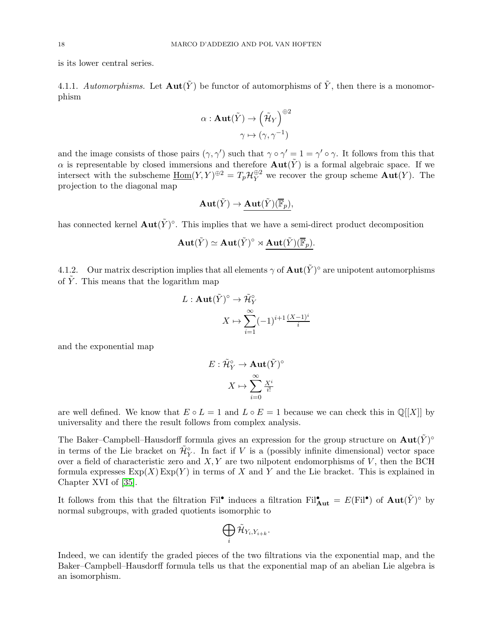is its lower central series.

4.1.1. Automorphisms. Let  $\text{Aut}(\tilde{Y})$  be functor of automorphisms of  $\tilde{Y}$ , then there is a monomorphism

$$
\alpha: \mathbf{Aut}(\tilde{Y}) \to \left(\tilde{\mathcal{H}}_{Y}\right)^{\oplus 2}
$$

$$
\gamma \mapsto (\gamma, \gamma^{-1})
$$

and the image consists of those pairs  $(\gamma, \gamma')$  such that  $\gamma \circ \gamma' = 1 = \gamma' \circ \gamma$ . It follows from this that  $\alpha$  is representable by closed immersions and therefore  $\text{Aut}(\tilde{Y})$  is a formal algebraic space. If we intersect with the subscheme  $\underline{\text{Hom}}(Y, Y)^{\oplus 2} = T_p \mathcal{H}_Y^{\oplus 2}$  we recover the group scheme  $\text{Aut}(Y)$ . The projection to the diagonal map

$$
\mathbf{Aut}(\tilde{Y}) \to \mathbf{Aut}(\tilde{Y})(\overline{\mathbb{F}}_p),
$$

has connected kernel  $\text{Aut}(\tilde{Y})^{\circ}$ . This implies that we have a semi-direct product decomposition

$$
\mathbf{Aut}(\tilde{Y}) \simeq \mathbf{Aut}(\tilde{Y})^{\circ} \rtimes \mathbf{\underline{Aut}}(\tilde{Y})(\overline{\mathbb{F}}_p).
$$

4.1.2. Our matrix description implies that all elements  $\gamma$  of  $\text{Aut}(\tilde{Y})^{\circ}$  are unipotent automorphisms of  $\overline{Y}$ . This means that the logarithm map

$$
L: \mathbf{Aut}(\tilde{Y})^{\circ} \to \tilde{\mathcal{H}}_{Y}^{\circ}
$$

$$
X \mapsto \sum_{i=1}^{\infty} (-1)^{i+1} \frac{(X-1)^{i}}{i}
$$

and the exponential map

$$
E: \tilde{\mathcal{H}}_Y^{\circ} \to \mathbf{Aut}(\tilde{Y})^{\circ}
$$

$$
X \mapsto \sum_{i=0}^{\infty} \frac{X^i}{i!}
$$

are well defined. We know that  $E \circ L = 1$  and  $L \circ E = 1$  because we can check this in  $\mathbb{Q}[[X]]$  by universality and there the result follows from complex analysis.

The Baker–Campbell–Hausdorff formula gives an expression for the group structure on  $\text{Aut}(\tilde{Y})^{\circ}$ in terms of the Lie bracket on  $\tilde{\mathcal{H}}_{Y}^{\circ}$ . In fact if V is a (possibly infinite dimensional) vector space over a field of characteristic zero and  $X, Y$  are two nilpotent endomorphisms of  $V$ , then the BCH formula expresses  $\text{Exp}(X)$  Exp(Y) in terms of X and Y and the Lie bracket. This is explained in Chapter XVI of [\[35\]](#page-59-16).

It follows from this that the filtration Fil<sup>•</sup> induces a filtration Fil<sup>•</sup><sub>Aut</sub> =  $E$ (Fil<sup>•</sup>) of  $Aut(\tilde{Y})^{\circ}$  by normal subgroups, with graded quotients isomorphic to

$$
\bigoplus_i \tilde{\mathcal H}_{Y_i,Y_{i+k}}.
$$

Indeed, we can identify the graded pieces of the two filtrations via the exponential map, and the Baker–Campbell–Hausdorff formula tells us that the exponential map of an abelian Lie algebra is an isomorphism.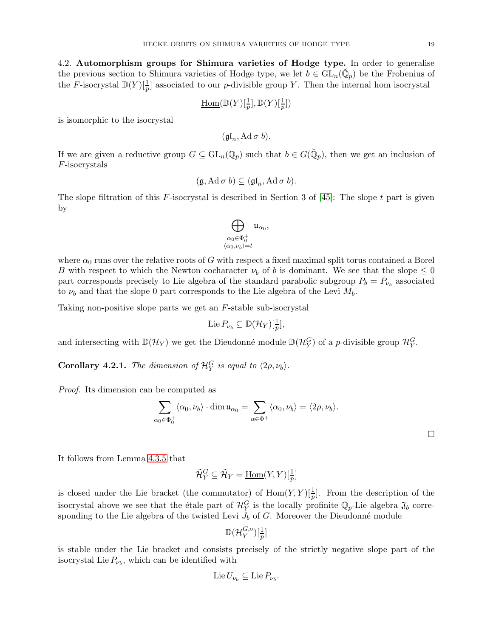<span id="page-18-0"></span>4.2. Automorphism groups for Shimura varieties of Hodge type. In order to generalise the previous section to Shimura varieties of Hodge type, we let  $b \in GL_n(\check{Q}_p)$  be the Frobenius of the F-isocrystal  $\mathbb{D}(Y)[\frac{1}{p}]$  associated to our p-divisible group Y. Then the internal hom isocrystal

$$
\underline{\mathrm{Hom}}(\mathbb{D}(Y)[\tfrac{1}{p}], \mathbb{D}(Y)[\tfrac{1}{p}])
$$

is isomorphic to the isocrystal

 $(\mathfrak{gl}_n, \operatorname{Ad} \sigma b).$ 

If we are given a reductive group  $G \subseteq GL_n(\mathbb{Q}_p)$  such that  $b \in G(\mathbb{Q}_p)$ , then we get an inclusion of F-isocrystals

$$
(\mathfrak{g}, \mathrm{Ad}\,\sigma\,b) \subseteq (\mathfrak{gl}_n, \mathrm{Ad}\,\sigma\,b).
$$

The slope filtration of this F-isocrystal is described in Section 3 of  $[45]$ : The slope t part is given by



where  $\alpha_0$  runs over the relative roots of G with respect a fixed maximal split torus contained a Borel B with respect to which the Newton cocharacter  $\nu_b$  of b is dominant. We see that the slope  $\leq 0$ part corresponds precisely to Lie algebra of the standard parabolic subgroup  $P_b = P_{\nu_b}$  associated to  $\nu_b$  and that the slope 0 part corresponds to the Lie algebra of the Levi  $M_b$ .

Taking non-positive slope parts we get an F-stable sub-isocrystal

$$
\operatorname{Lie} P_{\nu_b} \subseteq \mathbb{D}(\mathcal{H}_Y)[\frac{1}{p}],
$$

and intersecting with  $\mathbb{D}(\mathcal{H}_Y)$  we get the Dieudonné module  $\mathbb{D}(\mathcal{H}_Y^G)$  of a *p*-divisible group  $\mathcal{H}_Y^G$ .

<span id="page-18-1"></span>**Corollary 4.2.1.** The dimension of  $\mathcal{H}_Y^G$  is equal to  $\langle 2\rho, \nu_b \rangle$ .

Proof. Its dimension can be computed as

$$
\sum_{\alpha_0 \in \Phi_0^+} \langle \alpha_0, \nu_b \rangle \cdot \dim \mathfrak{u}_{\alpha_0} = \sum_{\alpha \in \Phi^+} \langle \alpha_0, \nu_b \rangle = \langle 2\rho, \nu_b \rangle.
$$

 $\Box$ 

It follows from Lemma [4.3.5](#page-21-0) that

$$
\tilde{\mathcal{H}}_Y^G \subseteq \tilde{\mathcal{H}}_Y = \underline{\mathrm{Hom}}(Y, Y)[\tfrac{1}{p}]
$$

is closed under the Lie bracket (the commutator) of  $\text{Hom}(Y, Y)[\frac{1}{p}]$ . From the description of the isocrystal above we see that the étale part of  $\mathcal{H}_Y^G$  is the locally profinite  $\mathbb{Q}_p$ -Lie algebra  $\mathfrak{J}_b$  corresponding to the Lie algebra of the twisted Levi  $J_b$  of  $G$ . Moreover the Dieudonné module

$$
\mathbb{D}(\mathcal{H}_Y^{G,\circ})[\tfrac{1}{p}]
$$

is stable under the Lie bracket and consists precisely of the strictly negative slope part of the isocrystal Lie  $P_{\nu_b}$ , which can be identified with

$$
\mathop{\rm Lie}\nolimits U_{\nu_b} \subseteq \mathop{\rm Lie}\nolimits P_{\nu_b}.
$$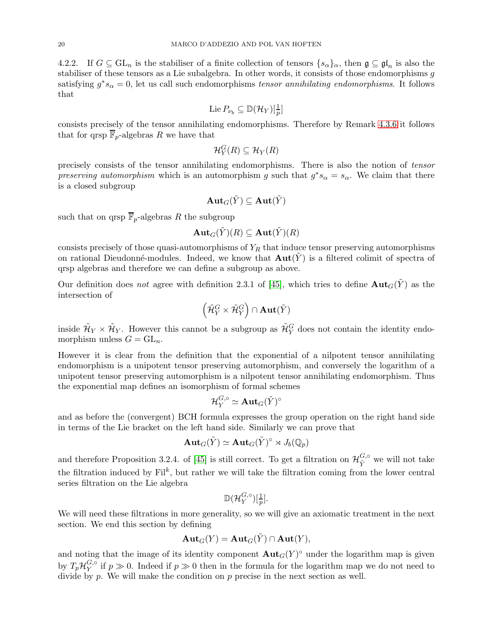4.2.2. If  $G \subseteq GL_n$  is the stabiliser of a finite collection of tensors  $\{s_\alpha\}_\alpha$ , then  $\mathfrak{g} \subseteq \mathfrak{gl}_n$  is also the stabiliser of these tensors as a Lie subalgebra. In other words, it consists of those endomorphisms g satisfying  $g^*s_\alpha = 0$ , let us call such endomorphisms tensor annihilating endomorphisms. It follows that

$$
\operatorname{Lie} P_{\nu_b} \subseteq \mathbb{D}(\mathcal{H}_Y)[\frac{1}{p}]
$$

consists precisely of the tensor annihilating endomorphisms. Therefore by Remark [4.3.6](#page-22-0) it follows that for qrsp  $\overline{\mathbb{F}}_p$ -algebras R we have that

$$
\mathcal{H}_Y^G(R) \subseteq \mathcal{H}_Y(R)
$$

precisely consists of the tensor annihilating endomorphisms. There is also the notion of tensor preserving automorphism which is an automorphism g such that  $g^*s_\alpha = s_\alpha$ . We claim that there is a closed subgroup

$$
\text{\bf Aut}_G(\tilde{Y})\subseteq \text{\bf Aut}(\tilde{Y})
$$

such that on qrsp  $\overline{\mathbb{F}}_p$ -algebras R the subgroup

$$
\text{\bf Aut}_G(\tilde{Y})(R)\subseteq \text{\bf Aut}(\tilde{Y})(R)
$$

consists precisely of those quasi-automorphisms of  $Y_R$  that induce tensor preserving automorphisms on rational Dieudonné-modules. Indeed, we know that  $\text{Aut}(\tilde{Y})$  is a filtered colimit of spectra of qrsp algebras and therefore we can define a subgroup as above.

Our definition does not agree with definition 2.3.1 of [\[45\]](#page-59-2), which tries to define  $\text{Aut}_G(\tilde{Y})$  as the intersection of

$$
\left(\tilde{\mathcal H}^G_Y\times \tilde{\mathcal H}^G_Y\right)\cap \mathbf{Aut}(\tilde{Y})
$$

inside  $\tilde{\mathcal{H}}_Y \times \tilde{\mathcal{H}}_Y$ . However this cannot be a subgroup as  $\tilde{\mathcal{H}}_Y^G$  does not contain the identity endomorphism unless  $G = GL_n$ .

However it is clear from the definition that the exponential of a nilpotent tensor annihilating endomorphism is a unipotent tensor preserving automorphism, and conversely the logarithm of a unipotent tensor preserving automorphism is a nilpotent tensor annihilating endomorphism. Thus the exponential map defines an isomorphism of formal schemes

$$
\mathcal{H}_Y^{G,\circ}\simeq\mathbf{Aut}_G(\tilde{Y})^\circ
$$

and as before the (convergent) BCH formula expresses the group operation on the right hand side in terms of the Lie bracket on the left hand side. Similarly we can prove that

$$
\mathbf{Aut}_G(\tilde{Y}) \simeq \mathbf{Aut}_G(\tilde{Y})^\circ \rtimes J_b(\mathbb{Q}_p)
$$

and therefore Proposition 3.2.4. of [\[45\]](#page-59-2) is still correct. To get a filtration on  $\mathcal{H}_{\tilde{Y}}^{G,\circ}$  we will not take the filtration induced by  $\text{Fil}^k$ , but rather we will take the filtration coming from the lower central series filtration on the Lie algebra

$$
\mathbb{D}(\mathcal{H}_Y^{G,\circ})[\tfrac{1}{p}].
$$

We will need these filtrations in more generality, so we will give an axiomatic treatment in the next section. We end this section by defining

$$
\mathbf{Aut}_G(Y) = \mathbf{Aut}_G(\tilde{Y}) \cap \mathbf{Aut}(Y),
$$

and noting that the image of its identity component  $\text{Aut}_G(Y)^\circ$  under the logarithm map is given by  $T_p{\mathcal H}_Y^{G,\circ}$  $Y<sup>G,0</sup>$  if  $p \gg 0$ . Indeed if  $p \gg 0$  then in the formula for the logarithm map we do not need to divide by p. We will make the condition on p precise in the next section as well.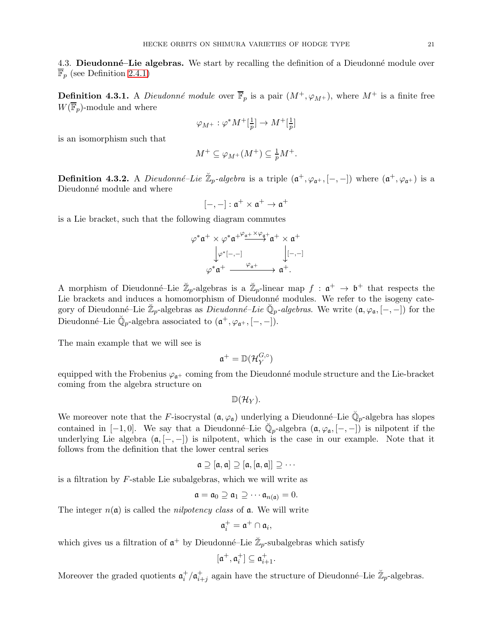4.3. Dieudonné–Lie algebras. We start by recalling the definition of a Dieudonné module over  $\overline{\mathbb{F}}_p$  (see Definition [2.4.1\)](#page-9-0)

**Definition 4.3.1.** A *Dieudonné module* over  $\overline{\mathbb{F}}_p$  is a pair  $(M^+,\varphi_{M^+})$ , where  $M^+$  is a finite free  $W(\overline{\mathbb{F}}_p)$ -module and where

$$
\varphi_{M^+}:\varphi^*M^+[\tfrac{1}{p}]\to M^+[\tfrac{1}{p}]
$$

is an isomorphism such that

$$
M^+ \subseteq \varphi_{M^+}(M^+) \subseteq \frac{1}{p}M^+.
$$

<span id="page-20-0"></span>**Definition 4.3.2.** A *Dieudonné-Lie*  $\mathbb{Z}_p$ -algebra is a triple  $(\mathfrak{a}^+, \varphi_{\mathfrak{a}^+}, [-,-])$  where  $(\mathfrak{a}^+, \varphi_{\mathfrak{a}^+})$  is a Dieudonné module and where

$$
[-,-]:\mathfrak{a}^+\times\mathfrak{a}^+\rightarrow\mathfrak{a}^+
$$

is a Lie bracket, such that the following diagram commutes

$$
\begin{array}{c}\varphi^*\mathfrak{a}^+\times \varphi^*\mathfrak{a}^{+\frac{\varphi_{\mathfrak{a}^+}\times \varphi_{\mathfrak{a}^+}}{\to}\mathfrak{a}^+\times \mathfrak{a}^+}\\\downarrow \varphi^*[-,-] &\downarrow [-,-]\\\varphi^*\mathfrak{a}^+\xrightarrow{\varphi_{\mathfrak{a}^+}}\mathfrak{a}^+.\end{array}
$$

A morphism of Dieudonné–Lie  $\mathbb{Z}_p$ -algebras is a  $\mathbb{Z}_p$ -linear map  $f: \mathfrak{a}^+ \to \mathfrak{b}^+$  that respects the Lie brackets and induces a homomorphism of Dieudonné modules. We refer to the isogeny category of Dieudonné–Lie  $\check{\mathbb{Z}}_p$ -algebras as *Dieudonné–Lie*  $\check{\mathbb{Q}}_p$ -*algebras*. We write  $(\mathfrak{a}, \varphi_{\mathfrak{a}}, [-,-])$  for the Dieudonné–Lie  $\check{\mathbb{Q}}_p$ -algebra associated to  $(\mathfrak{a}^+, \varphi_{\mathfrak{a}^+}, [-,-]$ ).

The main example that we will see is

$$
\mathfrak{a}^+=\mathbb{D}(\mathcal{H}_Y^{G,\circ})
$$

equipped with the Frobenius  $\varphi_{\mathfrak{a}^+}$  coming from the Dieudonné module structure and the Lie-bracket coming from the algebra structure on

 $\mathbb{D}(\mathcal{H}_V)$ .

We moreover note that the F-isocrystal  $(\mathfrak{a}, \varphi_{\mathfrak{a}})$  underlying a Dieudonné–Lie  $\check{\mathbb{Q}}_p$ -algebra has slopes contained in  $[-1,0]$ . We say that a Dieudonné–Lie  $\check{\mathbb{Q}}_p$ -algebra  $(\mathfrak{a}, \varphi_{\mathfrak{a}}, [-,-])$  is nilpotent if the underlying Lie algebra  $(a, [-,-])$  is nilpotent, which is the case in our example. Note that it follows from the definition that the lower central series

$$
\mathfrak{a} \supseteq [\mathfrak{a}, \mathfrak{a}] \supseteq [\mathfrak{a}, [\mathfrak{a}, \mathfrak{a}]] \supseteq \cdots
$$

is a filtration by F-stable Lie subalgebras, which we will write as

$$
\mathfrak{a} = \mathfrak{a}_0 \supseteq \mathfrak{a}_1 \supseteq \cdots \mathfrak{a}_{n(\mathfrak{a})} = 0.
$$

The integer  $n(\mathfrak{a})$  is called the *nilpotency class* of  $\mathfrak{a}$ . We will write

$$
\mathfrak{a}_i^+=\mathfrak{a}^+\cap\mathfrak{a}_i,
$$

which gives us a filtration of  $\mathfrak{a}^+$  by Dieudonné–Lie  $\mathbb{Z}_p$ -subalgebras which satisfy

$$
[\mathfrak{a}^+,\mathfrak{a}_i^+]\subseteq \mathfrak{a}_{i+1}^+.
$$

Moreover the graded quotients  $\mathfrak{a}_i^+/\mathfrak{a}_{i+j}^+$  again have the structure of Dieudonné–Lie  $\mathbb{Z}_p$ -algebras.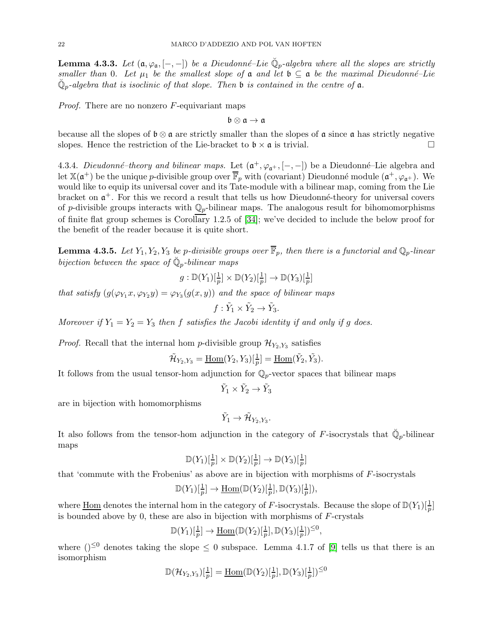<span id="page-21-1"></span>**Lemma 4.3.3.** Let  $(a, \varphi_a, [-,-])$  be a Dieudonné–Lie  $\check{\mathbb{Q}}_p$ -algebra where all the slopes are strictly smaller than 0. Let  $\mu_1$  be the smallest slope of  $\mathfrak a$  and let  $\mathfrak b \subseteq \mathfrak a$  be the maximal Dieudonné–Lie  $\breve{\mathbb Q}_p$ -algebra that is isoclinic of that slope. Then **b** is contained in the centre of **a**.

*Proof.* There are no nonzero  $F$ -equivariant maps

 $\mathfrak{b}\otimes\mathfrak{a}\to\mathfrak{a}$ 

because all the slopes of  $\mathfrak{b} \otimes \mathfrak{a}$  are strictly smaller than the slopes of  $\mathfrak{a}$  since  $\mathfrak{a}$  has strictly negative slopes. Hence the restriction of the Lie-bracket to  $\mathfrak{b} \times \mathfrak{a}$  is trivial.

4.3.4. Dieudonné-theory and bilinear maps. Let  $(\mathfrak{a}^+, \varphi_{\mathfrak{a}^+}, [-,-])$  be a Dieudonné-Lie algebra and let  $\mathbb{X}(\mathfrak{a}^+)$  be the unique p-divisible group over  $\overline{\mathbb{F}}_p$  with (covariant) Dieudonné module  $(\mathfrak{a}^+,\varphi_{\mathfrak{a}^+})$ . We would like to equip its universal cover and its Tate-module with a bilinear map, coming from the Lie bracket on  $\mathfrak{a}^+$ . For this we record a result that tells us how Dieudonné-theory for universal covers of p-divisible groups interacts with  $\mathbb{Q}_p$ -bilinear maps. The analogous result for bihomomorphisms of finite flat group schemes is Corollary 1.2.5 of [\[34\]](#page-59-17); we've decided to include the below proof for the benefit of the reader because it is quite short.

<span id="page-21-0"></span>**Lemma 4.3.5.** Let  $Y_1, Y_2, Y_3$  be p-divisible groups over  $\overline{\mathbb{F}}_p$ , then there is a functorial and  $\mathbb{Q}_p$ -linear bijection between the space of  $\check{\mathbb{Q}}_p$ -bilinear maps

$$
g: \mathbb{D}(Y_1)[\frac{1}{p}] \times \mathbb{D}(Y_2)[\frac{1}{p}] \to \mathbb{D}(Y_3)[\frac{1}{p}]
$$

that satisfy  $(g(\varphi_{Y_1}x, \varphi_{Y_2}y) = \varphi_{Y_3}(g(x, y))$  and the space of bilinear maps

$$
f: \tilde{Y}_1 \times \tilde{Y}_2 \to \tilde{Y}_3.
$$

Moreover if  $Y_1 = Y_2 = Y_3$  then f satisfies the Jacobi identity if and only if g does.

*Proof.* Recall that the internal hom p-divisible group  $\mathcal{H}_{Y_2,Y_3}$  satisfies

$$
\tilde{\mathcal{H}}_{Y_2,Y_3} = \underline{\operatorname{Hom}}(Y_2,Y_3)[\tfrac{1}{p}] = \underline{\operatorname{Hom}}(\tilde{Y}_2,\tilde{Y}_3).
$$

It follows from the usual tensor-hom adjunction for  $\mathbb{Q}_p$ -vector spaces that bilinear maps

 $\tilde{Y}_1 \times \tilde{Y}_2 \to \tilde{Y}_3$ 

are in bijection with homomorphisms

$$
\tilde{Y}_1 \to \tilde{\mathcal{H}}_{Y_2,Y_3}.
$$

It also follows from the tensor-hom adjunction in the category of F-isocrystals that  $\check{\mathbb{Q}}_p$ -bilinear maps

$$
\mathbb{D}(Y_1)[\tfrac{1}{p}] \times \mathbb{D}(Y_2)[\tfrac{1}{p}] \to \mathbb{D}(Y_3)[\tfrac{1}{p}]
$$

that 'commute with the Frobenius' as above are in bijection with morphisms of  $F$ -isocrystals

$$
\mathbb{D}(Y_1)[\frac{1}{p}] \to \underline{\mathrm{Hom}}(\mathbb{D}(Y_2)[\frac{1}{p}], \mathbb{D}(Y_3)[\frac{1}{p}]),
$$

where  $\underline{\text{Hom}}$  denotes the internal hom in the category of F-isocrystals. Because the slope of  $\mathbb{D}(Y_1)[\frac{1}{p}]$ is bounded above by 0, these are also in bijection with morphisms of  $F$ -crystals

$$
\mathbb{D}(Y_1)[\tfrac{1}{p}] \to \underline{\mathrm{Hom}}(\mathbb{D}(Y_2)[\tfrac{1}{p}], \mathbb{D}(Y_3)[\tfrac{1}{p}])^{\leq 0},
$$

where  $($ )<sup> $\leq 0$ </sup> denotes taking the slope  $\leq 0$  subspace. Lemma 4.1.7 of [\[9\]](#page-58-8) tells us that there is an isomorphism

$$
\mathbb{D}(\mathcal{H}_{Y_2,Y_3})[\frac{1}{p}] = \underline{\operatorname{Hom}}(\mathbb{D}(Y_2)[\frac{1}{p}], \mathbb{D}(Y_3)[\frac{1}{p}])^{\leq 0}
$$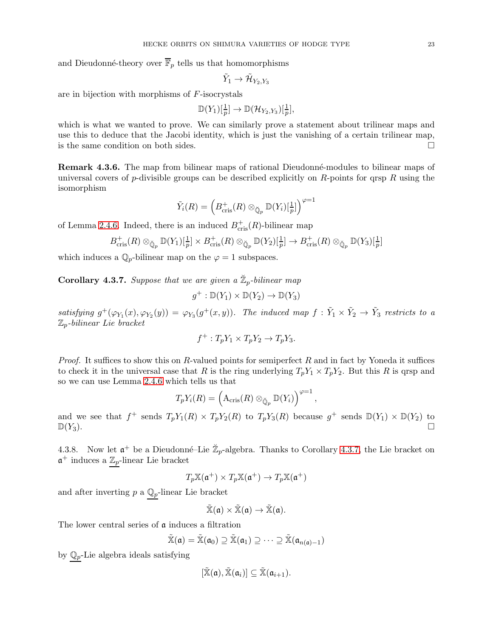and Dieudonné-theory over  $\overline{\mathbb{F}}_p$  tells us that homomorphisms

$$
\tilde Y_1 \to \tilde{\mathcal H}_{Y_2,Y_3}
$$

are in bijection with morphisms of F-isocrystals

$$
\mathbb{D}(Y_1)[\tfrac{1}{p}] \to \mathbb{D}(\mathcal{H}_{Y_2,Y_3})[\tfrac{1}{p}],
$$

which is what we wanted to prove. We can similarly prove a statement about trilinear maps and use this to deduce that the Jacobi identity, which is just the vanishing of a certain trilinear map, is the same condition on both sides.

<span id="page-22-0"></span>**Remark 4.3.6.** The map from bilinear maps of rational Dieudonné-modules to bilinear maps of universal covers of p-divisible groups can be described explicitly on R-points for qrsp R using the isomorphism

$$
\tilde{Y}_i(R) = \left(B_{\mathrm{cris}}^+(R) \otimes_{\breve{\mathbb{Q}}_p} \mathbb{D}(Y_i)[\tfrac{1}{p}]\right)^{\varphi=1}
$$

of Lemma [2.4.6.](#page-10-2) Indeed, there is an induced  $B_{\text{cris}}^+(R)$ -bilinear map

$$
B_{\mathrm{cris}}^+(R) \otimes_{\breve{\mathbb{Q}}_p} \mathbb{D}(Y_1)[\tfrac{1}{p}] \times B_{\mathrm{cris}}^+(R) \otimes_{\breve{\mathbb{Q}}_p} \mathbb{D}(Y_2)[\tfrac{1}{p}] \to B_{\mathrm{cris}}^+(R) \otimes_{\breve{\mathbb{Q}}_p} \mathbb{D}(Y_3)[\tfrac{1}{p}]
$$

which induces a  $\mathbb{Q}_p$ -bilinear map on the  $\varphi = 1$  subspaces.

<span id="page-22-1"></span>**Corollary 4.3.7.** Suppose that we are given a  $\mathbb{Z}_p$ -bilinear map

$$
g^+:\mathbb{D}(Y_1)\times\mathbb{D}(Y_2)\to\mathbb{D}(Y_3)
$$

satisfying  $g^+(\varphi_{Y_1}(x), \varphi_{Y_2}(y)) = \varphi_{Y_3}(g^+(x, y))$ . The induced map  $f : \tilde{Y}_1 \times \tilde{Y}_2 \to \tilde{Y}_3$  restricts to a  $\mathbb{Z}_p$ -bilinear Lie bracket

$$
f^+ : T_p Y_1 \times T_p Y_2 \to T_p Y_3.
$$

*Proof.* It suffices to show this on R-valued points for semiperfect R and in fact by Yoneda it suffices to check it in the universal case that R is the ring underlying  $T_pY_1 \times T_pY_2$ . But this R is qrsp and so we can use Lemma [2.4.6](#page-10-2) which tells us that

$$
T_p Y_i(R) = \left(A_{\mathrm{cris}}(R) \otimes_{\breve{\mathbb{Q}}_p} \mathbb{D}(Y_i)\right)^{\varphi=1},
$$

and we see that  $f^+$  sends  $T_pY_1(R) \times T_pY_2(R)$  to  $T_pY_3(R)$  because  $g^+$  sends  $\mathbb{D}(Y_1) \times \mathbb{D}(Y_2)$  to  $\mathbb{D}(Y_3)$ .

<span id="page-22-2"></span>4.3.8. Now let  $\mathfrak{a}^+$  be a Dieudonné-Lie  $\mathbb{Z}_p$ -algebra. Thanks to Corollary [4.3.7,](#page-22-1) the Lie bracket on  $\mathfrak{a}^+$  induces a  $\mathbb{Z}_p$ -linear Lie bracket

$$
T_p \mathbb{X}(\mathfrak{a}^+) \times T_p \mathbb{X}(\mathfrak{a}^+) \to T_p \mathbb{X}(\mathfrak{a}^+)
$$

and after inverting  $p$  a  $\mathbb{Q}_p\text{-linear}$  Lie bracket

$$
\tilde{\mathbb{X}}(\mathfrak{a})\times\tilde{\mathbb{X}}(\mathfrak{a})\to\tilde{\mathbb{X}}(\mathfrak{a}).
$$

The lower central series of **a** induces a filtration

$$
\tilde{\mathbb{X}}(\mathfrak{a}) = \tilde{\mathbb{X}}(\mathfrak{a}_0) \supseteq \tilde{\mathbb{X}}(\mathfrak{a}_1) \supseteq \cdots \supseteq \tilde{\mathbb{X}}(\mathfrak{a}_{n(\mathfrak{a})-1})
$$

by  $\mathbb{Q}_p$ -Lie algebra ideals satisfying

$$
[\tilde{\mathbb{X}}(\mathfrak{a}),\tilde{\mathbb{X}}(\mathfrak{a}_i)]\subseteq \tilde{\mathbb{X}}(\mathfrak{a}_{i+1}).
$$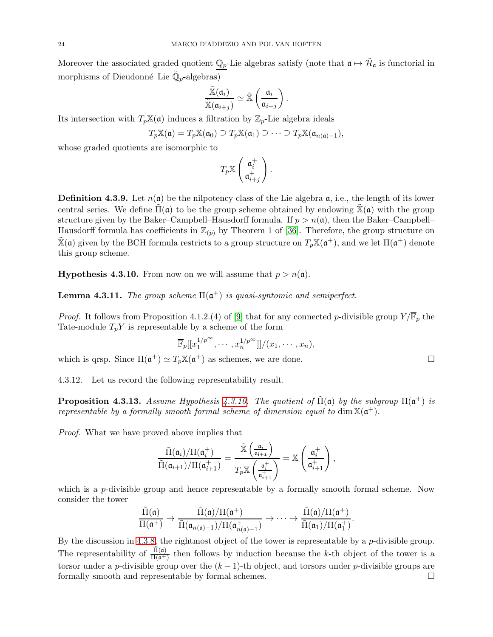Moreover the associated graded quotient  $\mathbb{Q}_p$ -Lie algebras satisfy (note that  $\mathfrak{a} \mapsto \tilde{\mathcal{H}}_{\mathfrak{a}}$  is functorial in morphisms of Dieudonné–Lie  $\breve{\mathbb{Q}}_p$ -algebras)

$$
\frac{\widetilde{\mathbb{X}}(\mathfrak{a}_i)}{\widetilde{\mathbb{X}}(\mathfrak{a}_{i+j})} \simeq \widetilde{\mathbb{X}}\left(\frac{\mathfrak{a}_i}{\mathfrak{a}_{i+j}}\right).
$$

Its intersection with  $T_p\mathbb{X}(\mathfrak{a})$  induces a filtration by  $\mathbb{Z}_p$ -Lie algebra ideals

$$
T_p\mathbb{X}(\mathfrak{a})=T_p\mathbb{X}(\mathfrak{a}_0)\supseteq T_p\mathbb{X}(\mathfrak{a}_1)\supseteq\cdots\supseteq T_p\mathbb{X}(\mathfrak{a}_{n(\mathfrak{a})-1}),
$$

whose graded quotients are isomorphic to

$$
T_p\mathbb{X}\left(\frac{\mathfrak{a}_i^+}{\mathfrak{a}_{i+j}^+}\right).
$$

**Definition 4.3.9.** Let  $n(\mathfrak{a})$  be the nilpotency class of the Lie algebra  $\mathfrak{a}$ , i.e., the length of its lower central series. We define  $\Pi(\mathfrak{a})$  to be the group scheme obtained by endowing  $\mathbb{X}(\mathfrak{a})$  with the group structure given by the Baker–Campbell–Hausdorff formula. If  $p > n(\mathfrak{a})$ , then the Baker–Campbell– Hausdorff formula has coefficients in  $\mathbb{Z}_{(p)}$  by Theorem 1 of [\[36\]](#page-59-18). Therefore, the group structure on  $\tilde{\mathbb{X}}(\mathfrak{a})$  given by the BCH formula restricts to a group structure on  $T_p \mathbb{X}(\mathfrak{a}^+)$ , and we let  $\Pi(\mathfrak{a}^+)$  denote this group scheme.

<span id="page-23-0"></span>**Hypothesis 4.3.10.** From now on we will assume that  $p > n(\mathfrak{a})$ .

<span id="page-23-2"></span>**Lemma 4.3.11.** The group scheme  $\Pi(\mathfrak{a}^+)$  is quasi-syntomic and semiperfect.

*Proof.* It follows from Proposition 4.1.2.(4) of [\[9\]](#page-58-8) that for any connected p-divisible group  $Y/\overline{\mathbb{F}}_p$  the Tate-module  $T_pY$  is representable by a scheme of the form

$$
\overline{\mathbb{F}}_p[[x_1^{1/p^\infty},\cdots,x_n^{1/p^\infty}]]/(x_1,\cdots,x_n),
$$

which is qrsp. Since  $\Pi(\mathfrak{a}^+) \simeq T_p \mathbb{X}(\mathfrak{a}^+)$  as schemes, we are done.

4.3.12. Let us record the following representability result.

<span id="page-23-1"></span>**Proposition 4.3.13.** Assume Hypothesis [4.3.10.](#page-23-0) The quotient of  $\tilde{\Pi}(\mathfrak{a})$  by the subgroup  $\Pi(\mathfrak{a}^+)$  is representable by a formally smooth formal scheme of dimension equal to  $\dim \mathbb{X}(\mathfrak{a}^+)$ .

Proof. What we have proved above implies that

$$
\frac{\tilde{\Pi}(\mathfrak{a}_i)/\Pi(\mathfrak{a}_i^+)}{\tilde{\Pi}(\mathfrak{a}_{i+1})/\Pi(\mathfrak{a}_{i+1}^+)} = \frac{\tilde{\mathbb{X}}\left(\frac{\mathfrak{a}_i}{\mathfrak{a}_{i+1}}\right)}{T_p \mathbb{X}\left(\frac{\mathfrak{a}_i^+}{\mathfrak{a}_{i+1}^+}\right)} = \mathbb{X}\left(\frac{\mathfrak{a}_i^+}{\mathfrak{a}_{i+1}^+}\right),
$$

which is a *p*-divisible group and hence representable by a formally smooth formal scheme. Now consider the tower

$$
\frac{\tilde{\Pi}(\mathfrak{a})}{\Pi(\mathfrak{a}^+)} \to \frac{\tilde{\Pi}(\mathfrak{a})/\Pi(\mathfrak{a}^+)}{\tilde{\Pi}(\mathfrak{a}_{n(\mathfrak{a})-1})/\Pi(\mathfrak{a}_{n(\mathfrak{a})-1}^+) } \to \cdots \to \frac{\tilde{\Pi}(\mathfrak{a})/\Pi(\mathfrak{a}^+)}{\tilde{\Pi}(\mathfrak{a}_1)/\Pi(\mathfrak{a}_1^+)}.
$$

By the discussion in [4.3.8,](#page-22-2) the rightmost object of the tower is representable by a p-divisible group. The representability of  $\frac{\tilde{\Pi}(a)}{\Pi(a^+)}$  then follows by induction because the k-th object of the tower is a torsor under a p-divisible group over the  $(k-1)$ -th object, and torsors under p-divisible groups are formally smooth and representable by formal schemes.  $\hfill \square$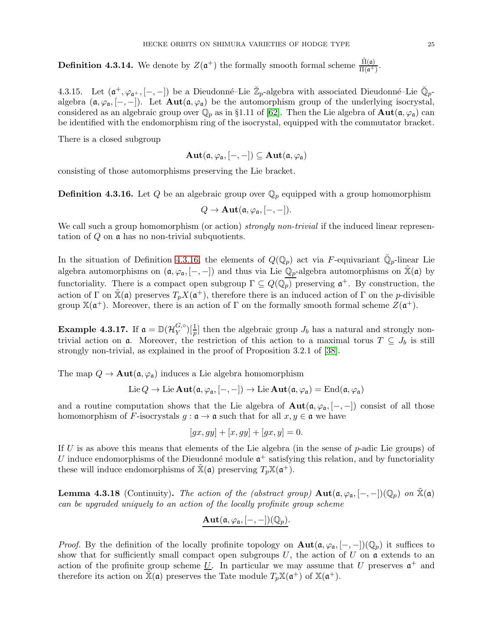<span id="page-24-0"></span>**Definition 4.3.14.** We denote by  $Z(\mathfrak{a}^+)$  the formally smooth formal scheme  $\frac{\tilde{\Pi}(\mathfrak{a})}{\Pi(\mathfrak{a}^+)}$ .

4.3.15. Let  $(\mathfrak{a}^+,\varphi_{\mathfrak{a}^+},[-,-])$  be a Dieudonné–Lie  $\mathbb{Z}_p$ -algebra with associated Dieudonné–Lie  $\mathbb{Q}_p$ algebra  $(\mathfrak{a}, \varphi_{\mathfrak{a}}, [-,-])$ . Let  $\text{Aut}(\mathfrak{a}, \varphi_{\mathfrak{a}})$  be the automorphism group of the underlying isocrystal, considered as an algebraic group over  $\mathbb{Q}_p$  as in §1.11 of [\[62\]](#page-60-15). Then the Lie algebra of  $\text{Aut}(\mathfrak{a}, \varphi_{\mathfrak{a}})$  can be identified with the endomorphism ring of the isocrystal, equipped with the commutator bracket.

There is a closed subgroup

$$
\mathbf{Aut}(\mathfrak{a},\varphi_{\mathfrak{a}},[-,-])\subseteq \mathbf{Aut}(\mathfrak{a},\varphi_{\mathfrak{a}})
$$

consisting of those automorphisms preserving the Lie bracket.

<span id="page-24-1"></span>**Definition 4.3.16.** Let Q be an algebraic group over  $\mathbb{Q}_p$  equipped with a group homomorphism

$$
Q\to \mathbf{Aut}(\mathfrak{a},\varphi_{\mathfrak{a}},[-,-]).
$$

We call such a group homomorphism (or action) *strongly non-trivial* if the induced linear representation of Q on a has no non-trivial subquotients.

In the situation of Definition [4.3.16,](#page-24-1) the elements of  $Q(\mathbb{Q}_p)$  act via F-equivariant  $\check{\mathbb{Q}}_p$ -linear Lie algebra automorphisms on  $(\mathfrak{a}, \varphi_{\mathfrak{a}}, [-,-])$  and thus via Lie  $\mathbb{Q}_p$ -algebra automorphisms on  $\mathbb{X}(\mathfrak{a})$  by functoriality. There is a compact open subgroup  $\Gamma \subseteq Q(\mathbb{Q}_p)$  preserving  $\mathfrak{a}^+$ . By construction, the action of  $\Gamma$  on  $\tilde{\mathbb{X}}(\mathfrak{a})$  preserves  $T_p X(\mathfrak{a}^+)$ , therefore there is an induced action of  $\Gamma$  on the *p*-divisible group  $\mathbb{X}(\mathfrak{a}^+)$ . Moreover, there is an action of  $\Gamma$  on the formally smooth formal scheme  $Z(\mathfrak{a}^+)$ .

Example 4.3.17. If  $\mathfrak{a} = \mathbb{D}(\mathcal{H}_Y^{G, \circ})$  $\binom{G,\circ}{Y}[\frac{1}{p}]$  then the algebraic group  $J_b$  has a natural and strongly nontrivial action on **a**. Moreover, the restriction of this action to a maximal torus  $T \subseteq J_b$  is still strongly non-trivial, as explained in the proof of Proposition 3.2.1 of [\[38\]](#page-59-4).

The map  $Q \to \text{Aut}(\mathfrak{a}, \varphi_{\mathfrak{a}})$  induces a Lie algebra homomorphism

$$
\mathrm{Lie}\,Q \to \mathrm{Lie}\,\mathbf{Aut}(\mathfrak{a},\varphi_\mathfrak{a},[-,-]) \to \mathrm{Lie}\,\mathbf{Aut}(\mathfrak{a},\varphi_\mathfrak{a}) = \mathrm{End}(\mathfrak{a},\varphi_\mathfrak{a})
$$

and a routine computation shows that the Lie algebra of  $\text{Aut}(\mathfrak{a}, \varphi_{\mathfrak{a}}, [-,-])$  consist of all those homomorphism of F-isocrystals  $g : \mathfrak{a} \to \mathfrak{a}$  such that for all  $x, y \in \mathfrak{a}$  we have

$$
[gx, gy] + [x, gy] + [gx, y] = 0.
$$

If U is as above this means that elements of the Lie algebra (in the sense of  $p$ -adic Lie groups) of U induce endomorphisms of the Dieudonné module  $\mathfrak{a}^+$  satisfying this relation, and by functoriality these will induce endomorphisms of  $\mathbb{X}(\mathfrak{a})$  preserving  $T_p\mathbb{X}(\mathfrak{a}^+)$ .

**Lemma 4.3.18** (Continuity). The action of the (abstract group)  $\text{Aut}(\mathfrak{a}, \varphi_{\mathfrak{a}}, [-,-])(\mathbb{Q}_p)$  on  $\mathbb{X}(\mathfrak{a})$ can be upgraded uniquely to an action of the locally profinite group scheme

$$
\mathbf{Aut}(\mathfrak{a},\varphi_{\mathfrak{a}},[-,-])(\mathbb{Q}_p).
$$

*Proof.* By the definition of the locally profinite topology on  $\text{Aut}(\mathfrak{a}, \varphi_{\mathfrak{a}}, [-,-])(\mathbb{Q}_p)$  it suffices to show that for sufficiently small compact open subgroups U, the action of U on  $\mathfrak{a}$  extends to an action of the profinite group scheme <u>U</u>. In particular we may assume that U preserves  $\mathfrak{a}^+$  and therefore its action on  $\tilde{\mathbb{X}}(\mathfrak{a})$  preserves the Tate module  $T_p \mathbb{X}(\mathfrak{a}^+)$  of  $\mathbb{X}(\mathfrak{a}^+)$ .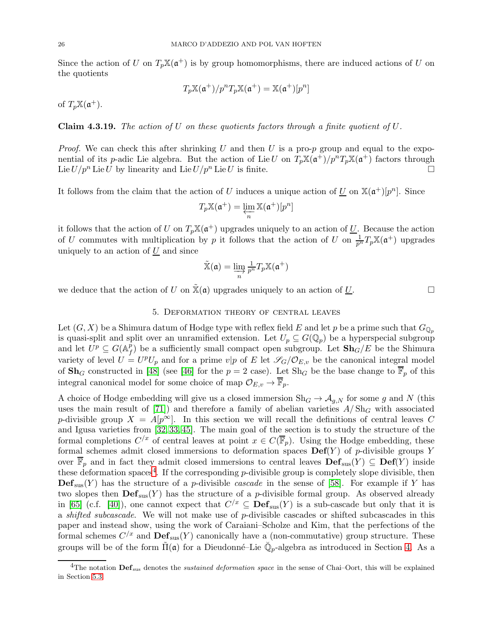Since the action of U on  $T_p\mathbb{X}(\mathfrak{a}^+)$  is by group homomorphisms, there are induced actions of U on the quotients

$$
T_p \mathbb{X}(\mathfrak{a}^+)/p^n T_p \mathbb{X}(\mathfrak{a}^+) = \mathbb{X}(\mathfrak{a}^+)[p^n]
$$

of  $T_p\mathbb{X}(\mathfrak{a}^+).$ 

**Claim 4.3.19.** The action of U on these quotients factors through a finite quotient of U.

*Proof.* We can check this after shrinking U and then U is a pro-p group and equal to the exponential of its p-adic Lie algebra. But the action of Lie U on  $T_p\mathbb{X}(\mathfrak{a}^+)/p^nT_p\mathbb{X}(\mathfrak{a}^+)$  factors through Lie  $U/p^n$  Lie U by linearity and Lie  $U/p^n$  Lie U is finite.

It follows from the claim that the action of U induces a unique action of U on  $\mathbb{X}(\mathfrak{a}^+)[p^n]$ . Since

$$
T_p\mathbb{X}(\mathfrak{a}^+)=\varprojlim_n \mathbb{X}(\mathfrak{a}^+)[p^n]
$$

it follows that the action of U on  $T_p\mathbb{X}(\mathfrak{a}^+)$  upgrades uniquely to an action of U. Because the action of U commutes with multiplication by p it follows that the action of U on  $\frac{1}{p^n}T_p\mathbb{X}(\mathfrak{a}^+)$  upgrades uniquely to an action of  $U$  and since

$$
\tilde{\mathbb{X}}(\mathfrak{a})=\varinjlim_{n}\tfrac{1}{p^n}T_p\mathbb{X}(\mathfrak{a}^+)
$$

<span id="page-25-0"></span>we deduce that the action of U on  $\mathbb{X}(\mathfrak{a})$  upgrades uniquely to an action of U.

5. Deformation theory of central leaves

Let  $(G, X)$  be a Shimura datum of Hodge type with reflex field E and let p be a prime such that  $G_{\mathbb{Q}_p}$ is quasi-split and split over an unramified extension. Let  $U_p \subseteq G(\mathbb{Q}_p)$  be a hyperspecial subgroup and let  $\dot{U^p} \subseteq G(\mathbb{A}_f^p)$  $f(t)$  be a sufficiently small compact open subgroup. Let  $\mathbf{Sh}_{G}/E$  be the Shimura variety of level  $U = U^p U_p$  and for a prime  $v|p$  of E let  $\mathscr{S}_G/\mathcal{O}_{E,v}$  be the canonical integral model of  $\mathbf{Sh}_G$  constructed in [\[48\]](#page-59-19) (see [\[46\]](#page-59-20) for the  $p = 2$  case). Let  $\mathrm{Sh}_G$  be the base change to  $\overline{\mathbb{F}}_p$  of this integral canonical model for some choice of map  $\mathcal{O}_{E,v} \to \mathbb{F}_p$ .

A choice of Hodge embedding will give us a closed immersion  $\text{Sh}_G \to \mathcal{A}_{g,N}$  for some g and N (this uses the main result of [\[71\]](#page-60-16)) and therefore a family of abelian varieties  $A/\mathrm{Sh}_G$  with associated p-divisible group  $X = A[p^{\infty}]$ . In this section we will recall the definitions of central leaves C and Igusa varieties from [\[32,](#page-59-1) [33,](#page-59-21) [45\]](#page-59-2). The main goal of the section is to study the structure of the formal completions  $C^{x}$  of central leaves at point  $x \in C(\overline{\mathbb{F}}_p)$ . Using the Hodge embedding, these formal schemes admit closed immersions to deformation spaces  $\mathbf{Def}(Y)$  of p-divisible groups Y over  $\overline{\mathbb{F}}_p$  and in fact they admit closed immersions to central leaves  $\mathbf{Def}_{\text{sus}}(Y) \subseteq \mathbf{Def}(Y)$  inside these deformation spaces<sup>4</sup>. If the corresponding  $p$ -divisible group is completely slope divisible, then  $\mathbf{Def}_{\text{sus}}(Y)$  has the structure of a *p*-divisible *cascade* in the sense of [\[58\]](#page-60-10). For example if Y has two slopes then  $\mathbf{Def}_{\text{sus}}(Y)$  has the structure of a *p*-divisible formal group. As observed already in [\[65\]](#page-60-11) (c.f. [\[40\]](#page-59-8)), one cannot expect that  $C<sup>/x</sup> \subseteq Def_{\text{sus}}(Y)$  is a sub-cascade but only that it is a shifted subcascade. We will not make use of p-divisible cascades or shifted subcascades in this paper and instead show, using the work of Caraiani–Scholze and Kim, that the perfections of the formal schemes  $C^{x}$  and  $\text{Def}_{\text{sus}}(Y)$  canonically have a (non-commutative) group structure. These groups will be of the form  $\tilde{\Pi}(\mathfrak{a})$  for a Dieudonné–Lie  $\check{\mathbb{Q}}_p$ -algebra as introduced in Section [4.](#page-15-0) As a

<sup>&</sup>lt;sup>4</sup>The notation  $\bf{Def}_{sus}$  denotes the *sustained deformation space* in the sense of Chai–Oort, this will be explained in Section [5.3.](#page-28-0)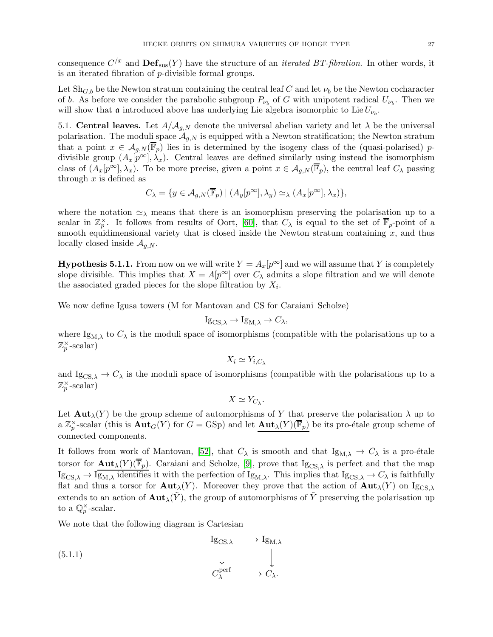consequence  $C^{x}$  and  $\mathbf{Def}_{\text{sus}}(Y)$  have the structure of an *iterated BT-fibration*. In other words, it is an iterated fibration of p-divisible formal groups.

Let  $\text{Sh}_{G,b}$  be the Newton stratum containing the central leaf C and let  $\nu_b$  be the Newton cocharacter of b. As before we consider the parabolic subgroup  $P_{\nu_b}$  of G with unipotent radical  $U_{\nu_b}$ . Then we will show that **a** introduced above has underlying Lie algebra isomorphic to Lie  $U_{\nu_b}$ .

5.1. Central leaves. Let  $A/A_{q,N}$  denote the universal abelian variety and let  $\lambda$  be the universal polarisation. The moduli space  $\mathcal{A}_{g,N}$  is equipped with a Newton stratification; the Newton stratum that a point  $x \in \mathcal{A}_{q,N}(\mathbb{F}_p)$  lies in is determined by the isogeny class of the (quasi-polarised) pdivisible group  $(A_x[p^\infty], \lambda_x)$ . Central leaves are defined similarly using instead the isomorphism class of  $(A_x[p^{\infty}], \lambda_x)$ . To be more precise, given a point  $x \in A_{q,N}(\overline{\mathbb{F}}_p)$ , the central leaf  $C_{\lambda}$  passing through  $x$  is defined as

$$
C_{\lambda} = \{ y \in A_{g,N}(\overline{\mathbb{F}}_p) \mid (A_y[p^{\infty}], \lambda_y) \simeq_{\lambda} (A_x[p^{\infty}], \lambda_x) \},\
$$

where the notation  $\approx_{\lambda}$  means that there is an isomorphism preserving the polarisation up to a scalar in  $\mathbb{Z}_p^{\times}$ . It follows from results of Oort, [\[60\]](#page-60-1), that  $C_{\lambda}$  is equal to the set of  $\overline{\mathbb{F}}_p$ -point of a smooth equidimensional variety that is closed inside the Newton stratum containing  $x$ , and thus locally closed inside  $A_{q,N}$ .

**Hypothesis 5.1.1.** From now on we will write  $Y = A_x[p^\infty]$  and we will assume that Y is completely slope divisible. This implies that  $X = A[p^{\infty}]$  over  $C_{\lambda}$  admits a slope filtration and we will denote the associated graded pieces for the slope filtration by  $X_i$ .

We now define Igusa towers (M for Mantovan and CS for Caraiani–Scholze)

$$
I_{\mathcal{S}_{CS,\lambda}} \to I_{\mathcal{S}_{M,\lambda}} \to C_{\lambda},
$$

where  $\text{Ig}_{\text{M},\lambda}$  to  $C_{\lambda}$  is the moduli space of isomorphisms (compatible with the polarisations up to a  $\mathbb{Z}_p^{\times}$ -scalar)

$$
X_i \simeq Y_{i,C_\lambda}
$$

and Ig<sub>CS, $\lambda \to C_{\lambda}$ </sub> is the moduli space of isomorphisms (compatible with the polarisations up to a  $\mathbb{Z}_p^{\times}$ -scalar)

 $X \simeq Y_{C_{\lambda}}.$ 

Let  ${\rm Aut}_{\lambda}(Y)$  be the group scheme of automorphisms of Y that preserve the polarisation  $\lambda$  up to a  $\mathbb{Z}_p^{\times}$ -scalar (this is  $\text{Aut}_G(Y)$  for  $G = GSp$ ) and let  $\text{Aut}_{\lambda}(Y)(\overline{\mathbb{F}}_p)$  be its pro-étale group scheme of connected components.

It follows from work of Mantovan, [\[52\]](#page-60-2), that  $C_{\lambda}$  is smooth and that  $I_{\mathcal{S}_{M,\lambda}} \to C_{\lambda}$  is a pro-étale torsor for  $\text{Aut}_{\lambda}(Y)(\overline{\mathbb{F}}_p)$ . Caraiani and Scholze, [\[9\]](#page-58-8), prove that Ig<sub>CS, $\lambda$ </sub> is perfect and that the map  $I_{\text{SCS},\lambda} \to I_{\text{SM},\lambda}$  identifies it with the perfection of  $I_{\text{SM},\lambda}$ . This implies that  $I_{\text{SCS},\lambda} \to C_{\lambda}$  is faithfully flat and thus a torsor for  $\text{Aut}_{\lambda}(Y)$ . Moreover they prove that the action of  $\text{Aut}_{\lambda}(Y)$  on Ig<sub>CS, $\lambda$ </sub> extends to an action of  $\text{Aut}_{\lambda}(\tilde{Y})$ , the group of automorphisms of  $\tilde{Y}$  preserving the polarisation up to a  $\mathbb{Q}_p^{\times}$ -scalar.

We note that the following diagram is Cartesian

<span id="page-26-0"></span>
$$
\begin{array}{ccc}\n\text{Ig}_{CS,\lambda} & \longrightarrow & \text{Ig}_{M,\lambda} \\
\downarrow & & \downarrow \\
C_{\lambda}^{\text{perf}} & \longrightarrow & C_{\lambda}.\n\end{array}
$$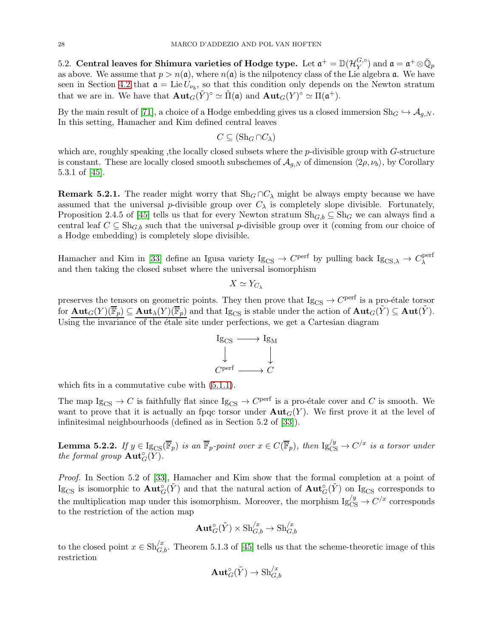5.2. Central leaves for Shimura varieties of Hodge type. Let  $\mathfrak{a}^+=\mathbb{D}(\mathcal{H}_V^{G,\circ})$  $\mathfrak{G}, \circ$  and  $\mathfrak{a} = \mathfrak{a}^+ \otimes \breve{\mathbb{Q}}_p$ as above. We assume that  $p > n(\mathfrak{a})$ , where  $n(\mathfrak{a})$  is the nilpotency class of the Lie algebra  $\mathfrak{a}$ . We have seen in Section [4.2](#page-18-0) that  $\mathfrak{a} = \text{Lie} U_{\nu_b}$ , so that this condition only depends on the Newton stratum that we are in. We have that  $\text{Aut}_G(\tilde{Y})^{\circ} \simeq \tilde{\Pi}(\mathfrak{a})$  and  $\text{Aut}_G(Y)^{\circ} \simeq \Pi(\mathfrak{a}^+).$ 

By the main result of [\[71\]](#page-60-16), a choice of a Hodge embedding gives us a closed immersion  $\text{Sh}_G \hookrightarrow \mathcal{A}_{q,N}$ . In this setting, Hamacher and Kim defined central leaves

$$
C \subseteq (\mathrm{Sh}_G \cap C_\lambda)
$$

which are, roughly speaking, the locally closed subsets where the p-divisible group with G-structure is constant. These are locally closed smooth subschemes of  $\mathcal{A}_{q,N}$  of dimension  $\langle 2\rho, \nu_b \rangle$ , by Corollary 5.3.1 of [\[45\]](#page-59-2).

**Remark 5.2.1.** The reader might worry that Sh<sub>G</sub> ∩C<sub> $\lambda$ </sub> might be always empty because we have assumed that the universal p-divisible group over  $C_{\lambda}$  is completely slope divisible. Fortunately, Proposition 2.4.5 of [\[45\]](#page-59-2) tells us that for every Newton stratum  $\text{Sh}_{G,b} \subseteq \text{Sh}_G$  we can always find a central leaf  $C \subseteq Sh_{G,b}$  such that the universal p-divisible group over it (coming from our choice of a Hodge embedding) is completely slope divisible.

Hamacher and Kim in [\[33\]](#page-59-21) define an Igusa variety  $I_{SCS} \to C^{perf}$  by pulling back  $I_{SCS,\lambda} \to C^{perf}_\lambda$ λ and then taking the closed subset where the universal isomorphism

$$
X \simeq Y_{C_{\lambda}}
$$

preserves the tensors on geometric points. They then prove that  $Ig_{CS} \to C^{perf}$  is a pro-étale torsor for  $\text{Aut}_G(Y)(\overline{\mathbb{F}}_p) \subseteq \text{Aut}_\lambda(Y)(\overline{\mathbb{F}}_p)$  and that  $\text{Ig}_{CS}$  is stable under the action of  $\text{Aut}_G(\tilde{Y}) \subseteq \text{Aut}(\tilde{Y})$ . Using the invariance of the étale site under perfections, we get a Cartesian diagram



which fits in a commutative cube with [\(5.1.1\)](#page-26-0).

The map  $\mathrm{Ig}_{\mathrm{CS}} \to C$  is faithfully flat since  $\mathrm{Ig}_{\mathrm{CS}} \to C^{\mathrm{perf}}$  is a pro-étale cover and C is smooth. We want to prove that it is actually an fpqc torsor under  $\text{Aut}_G(Y)$ . We first prove it at the level of infinitesimal neighbourhoods (defined as in Section 5.2 of [\[33\]](#page-59-21)).

<span id="page-27-0"></span>**Lemma 5.2.2.** If  $y \in \mathrm{Ig}_{CS}(\overline{\mathbb{F}}_p)$  is an  $\overline{\mathbb{F}}_p$ -point over  $x \in C(\overline{\mathbb{F}}_p)$ , then  $\mathrm{Ig}_{CS}^{/y} \to C^{/x}$  is a torsor under the formal group  $\text{Aut}^{\circ}_G(Y)$ .

Proof. In Section 5.2 of [\[33\]](#page-59-21), Hamacher and Kim show that the formal completion at a point of Ig<sub>CS</sub> is isomorphic to  $\text{Aut}^{\circ}_{G}(\tilde{Y})$  and that the natural action of  $\text{Aut}^{\circ}_{G}(\tilde{Y})$  on Ig<sub>CS</sub> corresponds to the multiplication map under this isomorphism. Moreover, the morphism  $Ig_{CS}^{/y} \to C^{/x}$  corresponds to the restriction of the action map

$$
\text{\bf Aut}_G^\circ(\tilde Y)\times \text{Sh}^{/x}_{G,b}\to \text{Sh}^{/x}_{G,b}
$$

to the closed point  $x \in Sh_{G,b}^{/x}$ . Theorem 5.1.3 of [\[45\]](#page-59-2) tells us that the scheme-theoretic image of this restriction

$$
\text{\bf Aut}_G^{\circ}(\tilde{Y}) \to \text{Sh}_{G,b}^{/x}
$$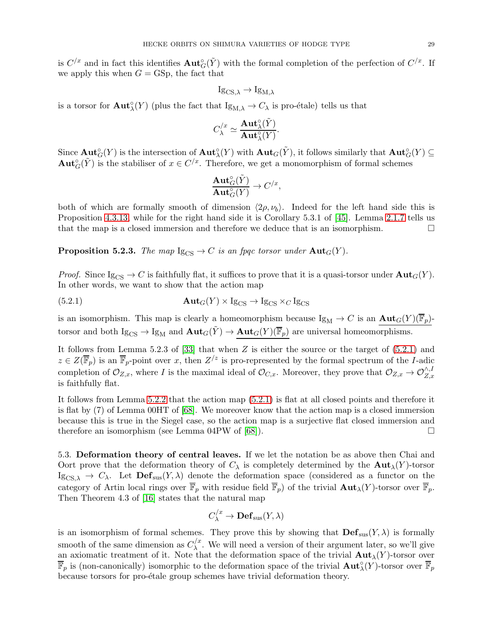is  $C/x$  and in fact this identifies  $Aut_G^{\circ}(\tilde{Y})$  with the formal completion of the perfection of  $C/x$ . If we apply this when  $G = GSp$ , the fact that

$$
\mathrm{Ig}_{\mathrm{CS},\lambda}\to \mathrm{Ig}_{\mathrm{M},\lambda}
$$

is a torsor for  $\text{Aut}^{\circ}_{\lambda}(Y)$  (plus the fact that  $\text{Ig}_{M,\lambda} \to C_{\lambda}$  is pro-étale) tells us that

$$
C_{\lambda}^{/x} \simeq \frac{\mathbf{Aut}_{\lambda}^{\circ}(\tilde{Y})}{\mathbf{Aut}_{\lambda}^{\circ}(Y)}.
$$

Since  $\text{Aut}^{\circ}_G(Y)$  is the intersection of  $\text{Aut}^{\circ}_{\lambda}(Y)$  with  $\text{Aut}_G(\tilde{Y})$ , it follows similarly that  $\text{Aut}^{\circ}_G(Y) \subseteq$  $\text{Aut}^{\circ}_G(\tilde{Y})$  is the stabiliser of  $x \in C^{x}$ . Therefore, we get a monomorphism of formal schemes

$$
\frac{\mathbf{Aut}^\circ_G(\tilde{Y})}{\mathbf{Aut}^\circ_G(Y)} \to C^{/x},
$$

both of which are formally smooth of dimension  $\langle 2\rho, \nu_b \rangle$ . Indeed for the left hand side this is Proposition [4.3.13,](#page-23-1) while for the right hand side it is Corollary 5.3.1 of [\[45\]](#page-59-2). Lemma [2.1.7](#page-6-0) tells us that the map is a closed immersion and therefore we deduce that is an isomorphism.

**Proposition 5.2.3.** The map  $I_{\text{SCS}} \to C$  is an fpqc torsor under  $\text{Aut}_G(Y)$ .

*Proof.* Since  $I_{SCS} \rightarrow C$  is faithfully flat, it suffices to prove that it is a quasi-torsor under  $Aut_G(Y)$ . In other words, we want to show that the action map

<span id="page-28-1"></span>(5.2.1) 
$$
\mathbf{Aut}_G(Y) \times \mathrm{Ig}_{CS} \to \mathrm{Ig}_{CS} \times_C \mathrm{Ig}_{CS}
$$

is an isomorphism. This map is clearly a homeomorphism because  $\text{Ig}_M \to C$  is an  $\text{Aut}_G(Y)(\overline{\mathbb{F}}_p)$ torsor and both  $\mathrm{Ig}_{CS} \to \mathrm{Ig}_M$  and  $\mathrm{Aut}_G(\tilde{Y}) \to \mathrm{Aut}_G(Y)(\overline{\mathbb{F}}_p)$  are universal homeomorphisms.

It follows from Lemma 5.2.3 of  $[33]$  that when Z is either the source or the target of  $(5.2.1)$  and  $z \in Z(\overline{\mathbb{F}}_p)$  is an  $\overline{\mathbb{F}}_p$ -point over x, then  $Z^2$  is pro-represented by the formal spectrum of the I-adic completion of  $\mathcal{O}_{Z,x}$ , where I is the maximal ideal of  $\mathcal{O}_{C,x}$ . Moreover, they prove that  $\mathcal{O}_{Z,x} \to \mathcal{O}_{Z,x}^{\wedge,I}$ is faithfully flat.

It follows from Lemma [5.2.2](#page-27-0) that the action map [\(5.2.1\)](#page-28-1) is flat at all closed points and therefore it is flat by (7) of Lemma 00HT of [\[68\]](#page-60-12). We moreover know that the action map is a closed immersion because this is true in the Siegel case, so the action map is a surjective flat closed immersion and therefore an isomorphism (see Lemma 04PW of  $[68]$ ).

<span id="page-28-0"></span>5.3. Deformation theory of central leaves. If we let the notation be as above then Chai and Oort prove that the deformation theory of  $C_{\lambda}$  is completely determined by the  $\text{Aut}_{\lambda}(Y)$ -torsor Ig<sub>CS, $\lambda \to C_{\lambda}$ </sub>. Let  $\text{Def}_{\text{sus}}(Y, \lambda)$  denote the deformation space (considered as a functor on the category of Artin local rings over  $\overline{\mathbb{F}}_p$  with residue field  $\overline{\mathbb{F}}_p$ ) of the trivial  $\text{Aut}_{\lambda}(Y)$ -torsor over  $\overline{\mathbb{F}}_p$ . Then Theorem 4.3 of [\[16\]](#page-58-9) states that the natural map

$$
C_{\lambda}^{/x} \to \mathbf{Def}_{\mathrm{sus}}(Y, \lambda)
$$

is an isomorphism of formal schemes. They prove this by showing that  $\mathbf{Def}_{\text{sus}}(Y,\lambda)$  is formally smooth of the same dimension as  $C_{\lambda}^{/\alpha}$  $\lambda^{\prime\prime}$ . We will need a version of their argument later, so we'll give an axiomatic treatment of it. Note that the deformation space of the trivial  $\text{Aut}_{\lambda}(Y)$ -torsor over  $\overline{\mathbb{F}}_p$  is (non-canonically) isomorphic to the deformation space of the trivial  $\text{Aut}^\circ_\lambda(Y)$ -torsor over  $\overline{\mathbb{F}}_p$ because torsors for pro-étale group schemes have trivial deformation theory.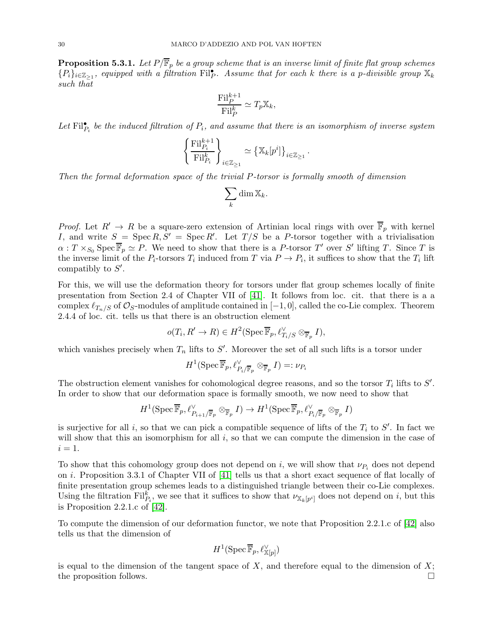<span id="page-29-0"></span>**Proposition 5.3.1.** Let  $P/\overline{\mathbb{F}}_p$  be a group scheme that is an inverse limit of finite flat group schemes  $\{P_i\}_{i\in\mathbb{Z}_{\geq1}}$ , equipped with a filtration Filp. Assume that for each k there is a p-divisible group  $\mathbb{X}_k$ such that

$$
\frac{\mathrm{Fil}_{P}^{k+1}}{\mathrm{Fil}_{P}^{k}} \simeq T_{p}\mathbb{X}_{k},
$$

Let  $\mathrm{Fil}_{P_i}^{\bullet}$  be the induced filtration of  $P_i$ , and assume that there is an isomorphism of inverse system

$$
\left\{ \frac{\textup{Fil}_{P_i}^{k+1}}{\textup{Fil}_{P_i}^k} \right\}_{i \in \mathbb{Z}_{\geq 1}} \simeq \left\{ \mathbb{X}_k[p^i] \right\}_{i \in \mathbb{Z}_{\geq 1}}.
$$

Then the formal deformation space of the trivial P-torsor is formally smooth of dimension

$$
\sum_{k} \dim \mathbb{X}_{k}.
$$

*Proof.* Let  $R' \to R$  be a square-zero extension of Artinian local rings with over  $\overline{\mathbb{F}}_p$  with kernel I, and write  $S = \operatorname{Spec} R, S' = \operatorname{Spec} R'$ . Let  $T/S$  be a P-torsor together with a trivialisation  $\alpha: T \times_{S_0} \text{Spec } \overline{\mathbb{F}}_p \simeq P$ . We need to show that there is a P-torsor T' over S' lifting T. Since T is the inverse limit of the  $P_i$ -torsors  $T_i$  induced from T via  $P \to P_i$ , it suffices to show that the  $T_i$  lift compatibly to  $S'$ .

For this, we will use the deformation theory for torsors under flat group schemes locally of finite presentation from Section 2.4 of Chapter VII of [\[41\]](#page-59-22). It follows from loc. cit. that there is a a complex  $\ell_{T_n/S}$  of  $\mathcal{O}_S$ -modules of amplitude contained in  $[-1,0]$ , called the co-Lie complex. Theorem 2.4.4 of loc. cit. tells us that there is an obstruction element

$$
o(T_i, R' \to R) \in H^2(\operatorname{Spec} \overline{\mathbb{F}}_p, \ell_{T_i/S}^{\vee} \otimes_{\overline{\mathbb{F}}_p} I),
$$

which vanishes precisely when  $T_n$  lifts to  $S'$ . Moreover the set of all such lifts is a torsor under

$$
H^1(\operatorname{Spec} \overline{\mathbb{F}}_p, \ell_{P_i/\overline{\mathbb{F}}_p}^{\vee} \otimes_{\overline{\mathbb{F}}_p} I) =: \nu_{P_i}
$$

The obstruction element vanishes for cohomological degree reasons, and so the torsor  $T_i$  lifts to  $S'$ . In order to show that our deformation space is formally smooth, we now need to show that

$$
H^1(\operatorname{Spec} \overline{\mathbb{F}}_p, \ell_{P_{i+1}/\overline{\mathbb{F}}_p}^{\vee} \otimes_{\overline{\mathbb{F}}_p} I) \to H^1(\operatorname{Spec} \overline{\mathbb{F}}_p, \ell_{P_i/\overline{\mathbb{F}}_p}^{\vee} \otimes_{\overline{\mathbb{F}}_p} I)
$$

is surjective for all i, so that we can pick a compatible sequence of lifts of the  $T_i$  to  $S'$ . In fact we will show that this an isomorphism for all i, so that we can compute the dimension in the case of  $i=1$ .

To show that this cohomology group does not depend on i, we will show that  $\nu_{P_i}$  does not depend on i. Proposition 3.3.1 of Chapter VII of [\[41\]](#page-59-22) tells us that a short exact sequence of flat locally of finite presentation group schemes leads to a distinguished triangle between their co-Lie complexes. Using the filtration  $\text{Fil}_{P_i}^k$ , we see that it suffices to show that  $\nu_{\mathbb{X}_k[p^i]}$  does not depend on i, but this is Proposition 2.2.1.c of [\[42\]](#page-59-23).

To compute the dimension of our deformation functor, we note that Proposition 2.2.1.c of [\[42\]](#page-59-23) also tells us that the dimension of

$$
H^1(\operatorname{Spec} \overline{\mathbb{F}}_p, \ell^{\vee}_{\mathbb{X}[p]})
$$

is equal to the dimension of the tangent space of  $X$ , and therefore equal to the dimension of  $X$ ; the proposition follows.  $\Box$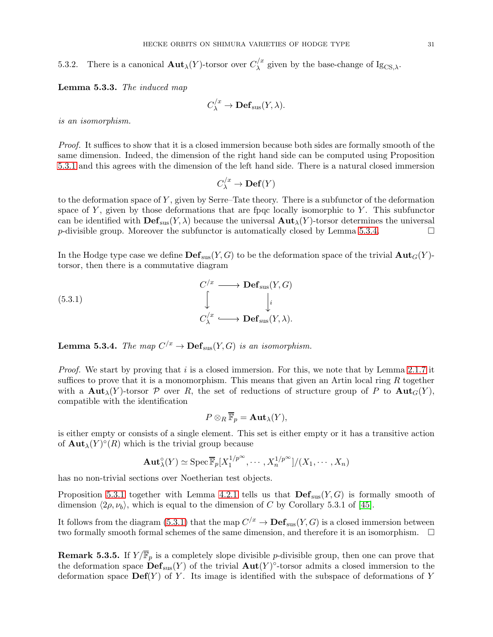5.3.2. There is a canonical  $\text{Aut}_{\lambda}(Y)$ -torsor over  $C_{\lambda}^{/x}$  $\lambda^{''}$  given by the base-change of Ig<sub>CS, $\lambda$ </sub>.

Lemma 5.3.3. The induced map

$$
C_{\lambda}^{/x} \to \mathbf{Def}_{\mathrm{sus}}(Y, \lambda).
$$

is an isomorphism.

Proof. It suffices to show that it is a closed immersion because both sides are formally smooth of the same dimension. Indeed, the dimension of the right hand side can be computed using Proposition [5.3.1](#page-29-0) and this agrees with the dimension of the left hand side. There is a natural closed immersion

$$
C_{\lambda}^{/x} \to \mathbf{Def}(Y)
$$

to the deformation space of  $Y$ , given by Serre–Tate theory. There is a subfunctor of the deformation space of  $Y$ , given by those deformations that are fpqc locally isomorphic to  $Y$ . This subfunctor can be identified with  $\mathbf{Def}_{\text{sus}}(Y,\lambda)$  because the universal  $\mathbf{Aut}_{\lambda}(Y)$ -torsor determines the universal p-divisible group. Moreover the subfunctor is automatically closed by Lemma [5.3.4.](#page-30-0)

In the Hodge type case we define  $\mathbf{Def}_{\text{sus}}(Y, G)$  to be the deformation space of the trivial  $\mathbf{Aut}_G(Y)$ torsor, then there is a commutative diagram

<span id="page-30-1"></span>(5.3.1)  
\n
$$
\downarrow^{C/x} \longrightarrow \mathbf{Def}_{\mathrm{sus}}(Y, G)
$$
\n
$$
\downarrow^{i}
$$
\n
$$
C_{\lambda}^{/x} \longrightarrow \mathbf{Def}_{\mathrm{sus}}(Y, \lambda).
$$

<span id="page-30-0"></span>**Lemma 5.3.4.** The map  $C^{/x} \to \mathbf{Def}_{\text{sus}}(Y, G)$  is an isomorphism.

*Proof.* We start by proving that i is a closed immersion. For this, we note that by Lemma [2.1.7](#page-6-0) it suffices to prove that it is a monomorphism. This means that given an Artin local ring  $R$  together with a  $\text{Aut}_{\lambda}(Y)$ -torsor P over R, the set of reductions of structure group of P to  $\text{Aut}_G(Y)$ , compatible with the identification

$$
P\otimes_R \overline{\mathbb{F}}_p = \mathbf{Aut}_\lambda(Y),
$$

is either empty or consists of a single element. This set is either empty or it has a transitive action of  $\text{Aut}_{\lambda}(Y)^{\circ}(R)$  which is the trivial group because

$$
\mathbf{Aut}_{\lambda}^{\circ}(Y) \simeq \mathrm{Spec} \, \overline{\mathbb{F}}_p[X_1^{1/p^{\infty}}, \cdots, X_n^{1/p^{\infty}}]/(X_1, \cdots, X_n)
$$

has no non-trivial sections over Noetherian test objects.

Proposition [5.3.1](#page-29-0) together with Lemma [4.2.1](#page-18-1) tells us that  $\text{Def}_{\text{sus}}(Y, G)$  is formally smooth of dimension  $\langle 2\rho, \nu_b \rangle$ , which is equal to the dimension of C by Corollary 5.3.1 of [\[45\]](#page-59-2).

It follows from the diagram [\(5.3.1\)](#page-30-1) that the map  $C/x \to \mathbf{Def}_{\text{sus}}(Y, G)$  is a closed immersion between two formally smooth formal schemes of the same dimension, and therefore it is an isomorphism.

**Remark 5.3.5.** If  $Y/\overline{\mathbb{F}}_p$  is a completely slope divisible p-divisible group, then one can prove that the deformation space  $\mathbf{Def}_{\text{sus}}(Y)$  of the trivial  $\mathbf{Aut}(Y)^\circ$ -torsor admits a closed immersion to the deformation space  $\mathbf{Def}(Y)$  of Y. Its image is identified with the subspace of deformations of Y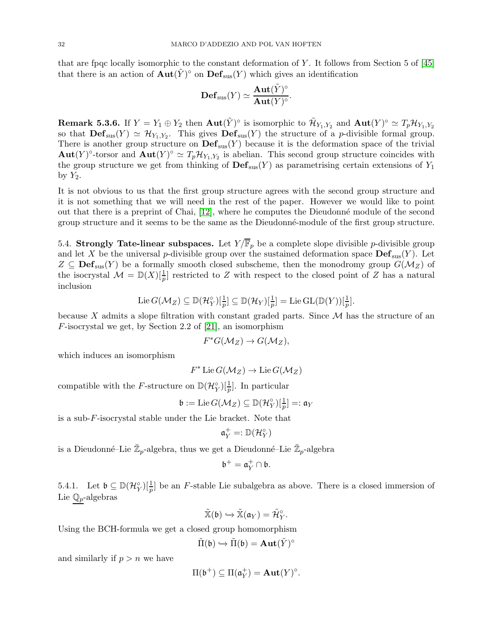that are fpqc locally isomorphic to the constant deformation of Y. It follows from Section 5 of  $[45]$ that there is an action of  $\text{Aut}(\tilde{Y})^{\circ}$  on  $\text{Def}_{\text{sus}}(Y)$  which gives an identification

$$
\mathbf{Def}_{\mathrm{sus}}(Y) \simeq \frac{\mathbf{Aut}(\tilde{Y})^{\circ}}{\mathbf{Aut}(Y)^{\circ}}.
$$

**Remark 5.3.6.** If  $Y = Y_1 \oplus Y_2$  then  $\text{Aut}(\tilde{Y})^{\circ}$  is isomorphic to  $\tilde{\mathcal{H}}_{Y_1,Y_2}$  and  $\text{Aut}(Y)^{\circ} \simeq T_p \mathcal{H}_{Y_1,Y_2}$ so that  $\mathbf{Def}_{\text{sus}}(Y) \simeq \mathcal{H}_{Y_1,Y_2}$ . This gives  $\mathbf{Def}_{\text{sus}}(Y)$  the structure of a *p*-divisible formal group. There is another group structure on  $\mathrm{Def}_{\mathrm{sus}}(Y)$  because it is the deformation space of the trivial  $\text{Aut}(Y)^\circ$ -torsor and  $\text{Aut}(Y)^\circ \simeq T_p\mathcal{H}_{Y_1,Y_2}$  is abelian. This second group structure coincides with the group structure we get from thinking of  $\mathbf{Def}_{\text{sus}}(Y)$  as parametrising certain extensions of  $Y_1$ by  $Y_2$ .

It is not obvious to us that the first group structure agrees with the second group structure and it is not something that we will need in the rest of the paper. However we would like to point out that there is a preprint of Chai, [\[12\]](#page-58-16), where he computes the Dieudonn´e module of the second group structure and it seems to be the same as the Dieudonné-module of the first group structure.

5.4. Strongly Tate-linear subspaces. Let  $Y/\mathbb{F}_p$  be a complete slope divisible p-divisible group and let X be the universal p-divisible group over the sustained deformation space  $\mathbf{Def}_{\text{sus}}(Y)$ . Let  $Z \subseteq \textbf{Def}_{\text{sus}}(Y)$  be a formally smooth closed subscheme, then the monodromy group  $G(\mathcal{M}_Z)$  of the isocrystal  $\mathcal{M} = \mathbb{D}(X)[\frac{1}{p}]$  restricted to Z with respect to the closed point of Z has a natural inclusion

$$
\operatorname{Lie} G(\mathcal{M}_Z) \subseteq \mathbb{D}(\mathcal{H}_Y^{\circ})[\frac{1}{p}] \subseteq \mathbb{D}(\mathcal{H}_Y)[\frac{1}{p}] = \operatorname{Lie} \operatorname{GL}(\mathbb{D}(Y))[\frac{1}{p}].
$$

because X admits a slope filtration with constant graded parts. Since  $M$  has the structure of an F-isocrystal we get, by Section 2.2 of [\[21\]](#page-59-5), an isomorphism

$$
F^*G(\mathcal{M}_Z) \to G(\mathcal{M}_Z),
$$

which induces an isomorphism

$$
F^* \operatorname{Lie} G(\mathcal{M}_Z) \to \operatorname{Lie} G(\mathcal{M}_Z)
$$

compatible with the F-structure on  $\mathbb{D}(\mathcal{H}_Y^{\circ})[\frac{1}{p}]$ . In particular

$$
\mathfrak{b}:=\mathrm{Lie}\,G(\mathcal{M}_Z)\subseteq \mathbb{D}(\mathcal{H}_Y^\circ)[\tfrac{1}{p}]=:\mathfrak{a}_Y
$$

is a sub-F-isocrystal stable under the Lie bracket. Note that

$$
\mathfrak{a}_Y^+ =: \mathbb{D}(\mathcal{H}_Y^\circ)
$$

is a Dieudonné–Lie  $\breve{\mathbb{Z}}_p$ -algebra, thus we get a Dieudonné–Lie  $\breve{\mathbb{Z}}_p$ -algebra

$$
\mathfrak{b}^+=\mathfrak{a}_Y^+\cap \mathfrak{b}.
$$

5.4.1. Let  $\mathfrak{b} \subseteq \mathbb{D}(\mathcal{H}_{Y}^{\circ})[\frac{1}{p}]$  be an F-stable Lie subalgebra as above. There is a closed immersion of Lie  $\mathbb{Q}_p$ -algebras

$$
\tilde{\mathbb{X}}(\mathfrak{b})\hookrightarrow \tilde{\mathbb{X}}(\mathfrak{a}_Y)=\tilde{\mathcal{H}}_Y^\circ.
$$

Using the BCH-formula we get a closed group homomorphism

$$
\tilde{\Pi}(\mathfrak{b})\hookrightarrow\tilde{\Pi}(\mathfrak{b})=\mathbf{Aut}(\tilde{Y})^{\circ}
$$

and similarly if  $p > n$  we have

$$
\Pi(\mathfrak{b}^+) \subseteq \Pi(\mathfrak{a}_Y^+) = \mathbf{Aut}(Y)^\circ.
$$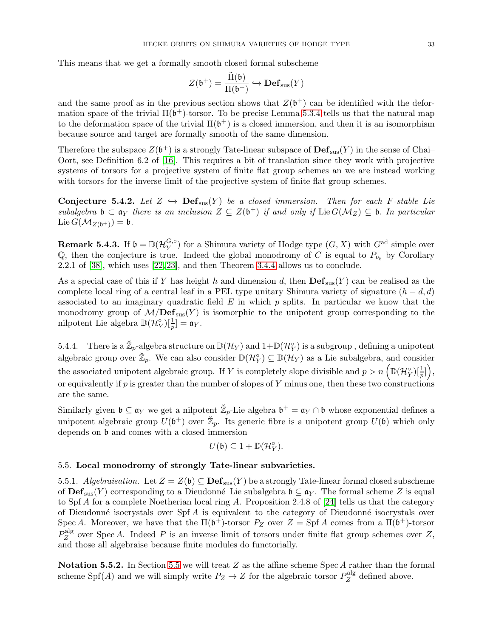This means that we get a formally smooth closed formal subscheme

$$
Z(\mathfrak{b}^+)=\frac{\tilde{\Pi}(\mathfrak{b})}{\Pi(\mathfrak{b}^+)}\hookrightarrow \mathbf{Def}_{\mathrm{sus}}(Y)
$$

and the same proof as in the previous section shows that  $Z(\mathfrak{b}^+)$  can be identified with the deformation space of the trivial  $\Pi(\mathfrak{b}^+)$ -torsor. To be precise Lemma [5.3.4](#page-30-0) tells us that the natural map to the deformation space of the trivial  $\Pi(\mathfrak{b}^+)$  is a closed immersion, and then it is an isomorphism because source and target are formally smooth of the same dimension.

Therefore the subspace  $Z(\mathfrak{b}^+)$  is a strongly Tate-linear subspace of  $\mathbf{Def}_{\text{sus}}(Y)$  in the sense of Chai– Oort, see Definition 6.2 of [\[16\]](#page-58-9). This requires a bit of translation since they work with projective systems of torsors for a projective system of finite flat group schemes an we are instead working with torsors for the inverse limit of the projective system of finite flat group schemes.

<span id="page-32-1"></span>Conjecture 5.4.2. Let  $Z \hookrightarrow \textbf{Def}_{\text{sus}}(Y)$  be a closed immersion. Then for each F-stable Lie subalgebra  $\mathfrak{b} \subset \mathfrak{a}_Y$  there is an inclusion  $Z \subseteq Z(\mathfrak{b}^+)$  if and only if Lie  $G(\mathcal{M}_Z) \subseteq \mathfrak{b}$ . In particular Lie  $G(\mathcal{M}_{Z(\mathfrak{b}^+)}) = \mathfrak{b}.$ 

**Remark 5.4.3.** If  $\mathfrak{b} = \mathbb{D}(\mathcal{H}_Y^{G,\circ})$  $Y(Y,Y)$  for a Shimura variety of Hodge type  $(G, X)$  with  $G^{\text{ad}}$  simple over Q, then the conjecture is true. Indeed the global monodromy of C is equal to  $P_{\nu_b}$  by Corollary 2.2.1 of [\[38\]](#page-59-4), which uses [\[22,](#page-59-24) [23\]](#page-59-6), and then Theorem [3.4.4](#page-15-1) allows us to conclude.

As a special case of this if Y has height h and dimension d, then  $\mathbf{Def}_{\text{sus}}(Y)$  can be realised as the complete local ring of a central leaf in a PEL type unitary Shimura variety of signature  $(h - d, d)$ associated to an imaginary quadratic field  $E$  in which  $p$  splits. In particular we know that the monodromy group of  $M/Def_{\text{sus}}(Y)$  is isomorphic to the unipotent group corresponding to the nilpotent Lie algebra  $\mathbb{D}(\mathcal{H}_Y^{\circ})[\frac{1}{p}] = \mathfrak{a}_Y.$ 

5.4.4. There is a  $\mathbb{Z}_p$ -algebra structure on  $\mathbb{D}(\mathcal{H}_Y)$  and  $1+\mathbb{D}(\mathcal{H}_Y^{\circ})$  is a subgroup , defining a unipotent algebraic group over  $\mathbb{Z}_p$ . We can also consider  $\mathbb{D}(\mathcal{H}_Y) \subseteq \mathbb{D}(\mathcal{H}_Y)$  as a Lie subalgebra, and consider the associated unipotent algebraic group. If Y is completely slope divisible and  $p > n \left( \mathbb{D}(\mathcal{H}_Y^{\circ})[\frac{1}{p}] \right)$ , or equivalently if p is greater than the number of slopes of Y minus one, then these two constructions are the same.

Similarly given  $\mathfrak{b} \subseteq \mathfrak{a}_Y$  we get a nilpotent  $\mathbb{Z}_p$ -Lie algebra  $\mathfrak{b}^+ = \mathfrak{a}_Y \cap \mathfrak{b}$  whose exponential defines a unipotent algebraic group  $U(\mathfrak{b}^+)$  over  $\mathbb{Z}_p$ . Its generic fibre is a unipotent group  $U(\mathfrak{b})$  which only depends on  $\mathfrak b$  and comes with a closed immersion

$$
U(\mathfrak{b})\subseteq 1+\mathbb{D}(\mathcal{H}_Y^{\circ}).
$$

# <span id="page-32-0"></span>5.5. Local monodromy of strongly Tate-linear subvarieties.

5.5.1. Algebraisation. Let  $Z = Z(\mathfrak{b}) \subseteq \textbf{Def}_{\text{sus}}(Y)$  be a strongly Tate-linear formal closed subscheme of  $\mathbf{Def}_{\text{sus}}(Y)$  corresponding to a Dieudonné–Lie subalgebra  $\mathfrak{b} \subseteq \mathfrak{a}_Y$ . The formal scheme Z is equal to Spf A for a complete Noetherian local ring A. Proposition 2.4.8 of [\[24\]](#page-59-15) tells us that the category of Dieudonné isocrystals over Spf A is equivalent to the category of Dieudonné isocrystals over Spec A. Moreover, we have that the  $\Pi(\mathfrak{b}^+)$ -torsor  $P_Z$  over  $Z = Spf A$  comes from a  $\Pi(\mathfrak{b}^+)$ -torsor  $P^{\mathrm{alg}}_Z$  $Z^{\text{aug}}$  over Spec A. Indeed P is an inverse limit of torsors under finite flat group schemes over Z, and those all algebraise because finite modules do functorially.

Notation [5.5](#page-32-0).2. In Section 5.5 we will treat  $Z$  as the affine scheme Spec  $A$  rather than the formal scheme Spf(A) and we will simply write  $P_Z \to Z$  for the algebraic torsor  $P_Z^{\text{alg}}$  $Z^{\text{aug}}$  defined above.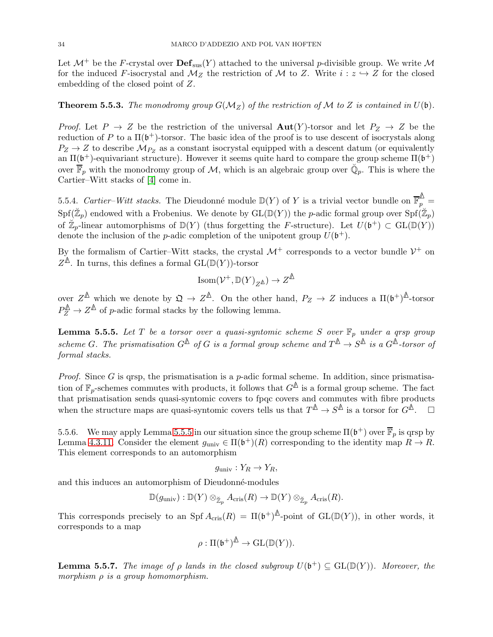Let  $\mathcal{M}^+$  be the F-crystal over  $\mathbf{Def}_{\text{sus}}(Y)$  attached to the universal p-divisible group. We write  $\mathcal M$ for the induced F-isocrystal and  $\mathcal{M}_Z$  the restriction of  $\mathcal M$  to Z. Write  $i: z \hookrightarrow Z$  for the closed embedding of the closed point of Z.

# <span id="page-33-0"></span>**Theorem 5.5.3.** The monodromy group  $G(M_Z)$  of the restriction of M to Z is contained in  $U(\mathfrak{b})$ .

*Proof.* Let  $P \to Z$  be the restriction of the universal  $Aut(Y)$ -torsor and let  $P_Z \to Z$  be the reduction of P to a  $\Pi(\mathfrak{b}^+)$ -torsor. The basic idea of the proof is to use descent of isocrystals along  $P_Z \rightarrow Z$  to describe  $M_{P_Z}$  as a constant isocrystal equipped with a descent datum (or equivalently an  $\Pi(\mathfrak{b}^+)$ -equivariant structure). However it seems quite hard to compare the group scheme  $\Pi(\mathfrak{b}^+)$ over  $\overline{\mathbb{F}}_p$  with the monodromy group of M, which is an algebraic group over  $\check{\mathbb{Q}}_p$ . This is where the Cartier–Witt stacks of [\[4\]](#page-58-10) come in.

5.5.4. Cartier–Witt stacks. The Dieudonné module  $\mathbb{D}(Y)$  of Y is a trivial vector bundle on F **∆**  $\frac{1}{p} =$  $\mathrm{Spf}(\breve{\mathbb{Z}}_p)$  endowed with a Frobenius. We denote by  $\mathrm{GL}(\mathbb{D}(Y))$  the p-adic formal group over  $\mathrm{Spf}(\breve{\mathbb{Z}}_p)$ of  $\mathbb{Z}_p$ -linear automorphisms of  $\mathbb{D}(Y)$  (thus forgetting the F-structure). Let  $U(\mathfrak{b}^+) \subset GL(\mathbb{D}(Y))$ denote the inclusion of the *p*-adic completion of the unipotent group  $U(\mathfrak{b}^+)$ .

By the formalism of Cartier–Witt stacks, the crystal  $\mathcal{M}^+$  corresponds to a vector bundle  $\mathcal{V}^+$  on  $Z^{\Delta}$ . In turns, this defines a formal  $\mathrm{GL}(\mathbb{D}(Y))$ -torsor

$$
\operatorname{Isom}(\mathcal{V}^+,\mathbb{D}(Y)_{Z^\mathbb{A}})\to Z^\mathbb{A}
$$

over  $Z^{\mathbb{A}}$  which we denote by  $\mathfrak{Q} \to Z^{\mathbb{A}}$ . On the other hand,  $P_Z \to Z$  induces a  $\Pi(\mathfrak{b}^+)^{\mathbb{A}}$ -torsor  $P_Z^{\mathbb{A}} \to Z^{\mathbb{A}}$  of p-adic formal stacks by the following lemma.

<span id="page-33-1"></span>**Lemma 5.5.5.** Let T be a torsor over a quasi-syntomic scheme S over  $\mathbb{F}_p$  under a grsp group  $scheme G.$  The prismatisation  $G^{\mathbb{A}}$  of G is a formal group scheme and  $T^{\mathbb{A}} \to S^{\mathbb{A}}$  is a  $G^{\mathbb{A}}$ -torsor of formal stacks.

*Proof.* Since G is qrsp, the prismatisation is a  $p$ -adic formal scheme. In addition, since prismatisation of  $\mathbb{F}_p$ -schemes commutes with products, it follows that  $G^{\mathbb{A}}$  is a formal group scheme. The fact that prismatisation sends quasi-syntomic covers to fpqc covers and commutes with fibre products when the structure maps are quasi-syntomic covers tells us that  $T^{\mathbb{A}} \to S^{\mathbb{A}}$  is a torsor for  $G^{\mathbb{A}}$ .  $\square$ 

5.5.6. We may apply Lemma [5.5.5](#page-33-1) in our situation since the group scheme  $\Pi(\mathfrak{b}^+)$  over  $\overline{\mathbb{F}}_p$  is qrsp by Lemma [4.3.11.](#page-23-2) Consider the element  $g_{\text{univ}} \in \Pi(\mathfrak{b}^+)(R)$  corresponding to the identity map  $R \to R$ . This element corresponds to an automorphism

$$
g_{\text{univ}}: Y_R \to Y_R,
$$

and this induces an automorphism of Dieudonné-modules

$$
\mathbb{D}(g_{\text{univ}}): \mathbb{D}(Y) \otimes_{\mathbb{Z}_p} A_{\text{cris}}(R) \to \mathbb{D}(Y) \otimes_{\mathbb{Z}_p} A_{\text{cris}}(R).
$$

This corresponds precisely to an Spf  $A_{\text{cris}}(R) = \Pi(\mathfrak{b}^+)^{\Delta}$ -point of  $GL(\mathbb{D}(Y))$ , in other words, it corresponds to a map

$$
\rho:\Pi(\mathfrak{b}^+)^{\underline{\mathbb{A}}}\to \mathrm{GL}(\mathbb{D}(Y)).
$$

**Lemma 5.5.7.** The image of  $\rho$  lands in the closed subgroup  $U(\mathfrak{b}^+) \subseteq GL(\mathbb{D}(Y))$ . Moreover, the morphism  $\rho$  is a group homomorphism.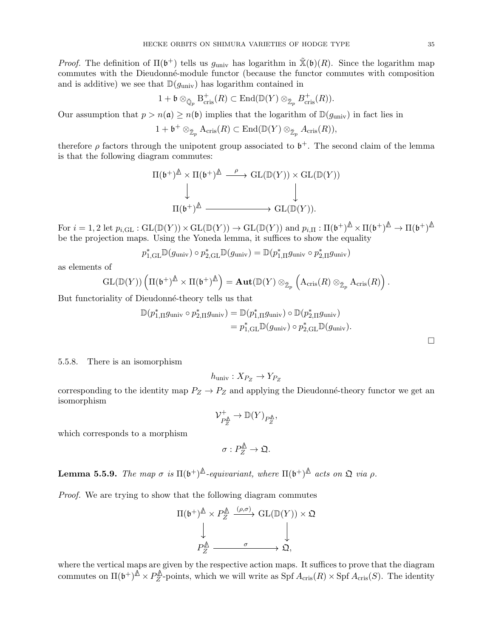*Proof.* The definition of  $\Pi(\mathfrak{b}^+)$  tells us  $g_{\text{univ}}$  has logarithm in  $\tilde{\mathbb{X}}(\mathfrak{b})(R)$ . Since the logarithm map commutes with the Dieudonn´e-module functor (because the functor commutes with composition and is additive) we see that  $\mathbb{D}(q_{\text{univ}})$  has logarithm contained in

$$
1+\mathfrak{b}\otimes_{\breve{\mathbb{Q}}_p} \mathrm{B}^+_{\mathrm{cris}}(R)\subset \mathrm{End}(\mathbb{D}(Y)\otimes_{\breve{\mathbb{Z}}_p} B^+_{\mathrm{cris}}(R)).
$$

Our assumption that  $p > n(\mathfrak{a}) \geq n(\mathfrak{b})$  implies that the logarithm of  $\mathbb{D}(g_{\text{univ}})$  in fact lies in

$$
1+\mathfrak{b}^+\otimes_{\breve{\mathbb{Z}}_p} \mathrm{A}_{\mathrm{cris}}(R)\subset \mathrm{End}(\mathbb{D}(Y)\otimes_{\breve{\mathbb{Z}}_p} A_{\mathrm{cris}}(R)),
$$

therefore  $\rho$  factors through the unipotent group associated to  $\mathfrak{b}^+$ . The second claim of the lemma is that the following diagram commutes:

$$
\Pi(\mathfrak{b}^+)^\mathbb{A}\times\Pi(\mathfrak{b}^+)^\mathbb{A}\xrightarrow{\rho}\mathrm{GL}(\mathbb{D}(Y))\times\mathrm{GL}(\mathbb{D}(Y))
$$
  

$$
\downarrow \qquad \qquad \downarrow
$$
  

$$
\Pi(\mathfrak{b}^+)^\mathbb{A}\xrightarrow{\qquad \qquad }\mathrm{GL}(\mathbb{D}(Y)).
$$

 $\text{For } i = 1, 2 \text{ let } p_{i,\text{GL}}: \text{GL}(\mathbb{D}(Y)) \times \text{GL}(\mathbb{D}(Y)) \rightarrow \text{GL}(\mathbb{D}(Y)) \text{ and } p_{i,\Pi}: \Pi(\mathfrak{b}^+)^\Delta \times \Pi(\mathfrak{b}^+)^\Delta \rightarrow \Pi(\mathfrak{b}^+)^\Delta$ be the projection maps. Using the Yoneda lemma, it suffices to show the equality

$$
p_{1,\text{GL}}^*\mathbb{D}(g_{\text{univ}})\circ p_{2,\text{GL}}^*\mathbb{D}(g_{\text{univ}})=\mathbb{D}(p_{1,\Pi}^*g_{\text{univ}}\circ p_{2,\Pi}^*g_{\text{univ}})
$$

as elements of

$$
\mathrm{GL}(\mathbb{D}(Y)) \left( \Pi(\mathfrak{b}^+)^\bigtriangleup \times \Pi(\mathfrak{b}^+)^\bigtriangleup \right) = \mathrm{\bf Aut}(\mathbb{D}(Y) \otimes_{\breve{\mathbb{Z}}_p} \left( \mathrm{A_{\mathrm{cris}}}(R) \otimes_{\breve{\mathbb{Z}}_p} \mathrm{A_{\mathrm{cris}}}(R) \right).
$$

But functoriality of Dieudonné-theory tells us that

$$
\mathbb{D}(p_{1,\Pi}^*g_{\text{univ}} \circ p_{2,\Pi}^*g_{\text{univ}}) = \mathbb{D}(p_{1,\Pi}^*g_{\text{univ}}) \circ \mathbb{D}(p_{2,\Pi}^*g_{\text{univ}})
$$
  
=  $p_{1,\text{GL}}^*\mathbb{D}(g_{\text{univ}}) \circ p_{2,\text{GL}}^*\mathbb{D}(g_{\text{univ}}).$ 

 $\Box$ 

### 5.5.8. There is an isomorphism

$$
h_{\text{univ}}: X_{P_Z} \to Y_{P_Z}
$$

corresponding to the identity map  $P_Z \to P_Z$  and applying the Dieudonné-theory functor we get an isomorphism

$$
\mathcal{V}_{P_Z^{\mathbb{A}}}^+ \to \mathbb{D}(Y)_{P_Z^{\mathbb{A}}},
$$

which corresponds to a morphism

$$
\sigma:P_Z^{\underline{\mathbb{A}}}\to \mathfrak{Q}.
$$

**Lemma 5.5.9.** The map  $\sigma$  is  $\Pi(\mathfrak{b}^+)^\Delta$ -equivariant, where  $\Pi(\mathfrak{b}^+)^\Delta$  acts on  $\mathfrak{Q}$  via  $\rho$ .

Proof. We are trying to show that the following diagram commutes

$$
\Pi(\mathfrak{b}^+)^\triangle \times P_Z^\triangle \xrightarrow{(\rho,\sigma)} \mathrm{GL}(\mathbb{D}(Y)) \times \mathfrak{Q}
$$
  
\n
$$
\downarrow \qquad \qquad \downarrow
$$
  
\n
$$
P_Z^\triangle \xrightarrow{\sigma} \mathfrak{Q},
$$

where the vertical maps are given by the respective action maps. It suffices to prove that the diagram commutes on  $\Pi(\mathfrak{b}^+)^\triangle \times P_Z^\triangle$  $Z^{\text{max}}$ -points, which we will write as Spf  $A_{\text{cris}}(R) \times Spf A_{\text{cris}}(S)$ . The identity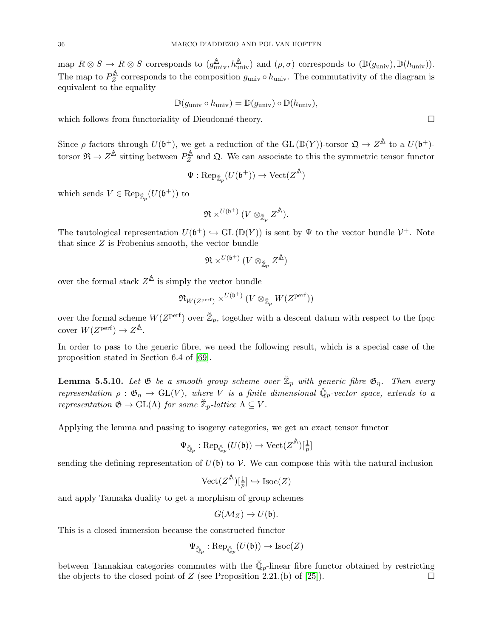$\text{map } R \otimes S \to R \otimes S \text{ corresponds to } (g_{\text{univ}}^{\mathbb{A}}, h_{\text{univ}}^{\mathbb{A}}) \text{ and } (\rho, \sigma) \text{ corresponds to } (\mathbb{D}(g_{\text{univ}}), \mathbb{D}(h_{\text{univ}})).$ The map to  $P_Z^{\mathbb{A}}$  $Z^{\text{max}}$  corresponds to the composition  $g_{\text{univ}} \circ h_{\text{univ}}$ . The commutativity of the diagram is equivalent to the equality

$$
\mathbb{D}(g_{\text{univ}} \circ h_{\text{univ}}) = \mathbb{D}(g_{\text{univ}}) \circ \mathbb{D}(h_{\text{univ}}),
$$

which follows from functoriality of Dieudonné-theory.  $\Box$ 

Since  $\rho$  factors through  $U(\mathfrak{b}^+)$ , we get a reduction of the GL ( $\mathbb{D}(Y)$ )-torsor  $\mathfrak{Q} \to Z^{\mathbb{A}}$  to a  $U(\mathfrak{b}^+)$ torsor  $\Re \to Z^{\mathbb{A}}$  sitting between  $P_Z^{\mathbb{A}}$  $Z^{\prime\prime\prime}_{Z}$  and  $\Omega$ . We can associate to this the symmetric tensor functor

$$
\Psi: \text{Rep}_{\breve{\mathbb{Z}}_p}(U(\mathfrak{b}^+)) \to \text{Vect}(Z^{\hat{\mathbb{A}}})
$$

which sends  $V \in \text{Rep}_{\breve{\mathbb{Z}}_p}(U(\mathfrak{b}^+))$  to

$$
\mathfrak{R}\times^{U(\mathfrak{b}^+)} (V\otimes_{\breve{\mathbb{Z}}_p}Z^{\not\bigtriangleup}).
$$

The tautological representation  $U(\mathfrak{b}^+) \hookrightarrow GL(\mathbb{D}(Y))$  is sent by  $\Psi$  to the vector bundle  $\mathcal{V}^+$ . Note that since Z is Frobenius-smooth, the vector bundle

$$
\mathfrak{R}\times^{U(\mathfrak{b}^+)}(V\otimes_{\breve{\mathbb{Z}}_p}Z^{\not\!\Delta})
$$

over the formal stack  $Z^{\mathbb{A}}$  is simply the vector bundle

$$
{\mathfrak R}_{W(Z^{\rm perf})}\times^{U({\mathfrak b}^+)}(V\otimes_{\breve{\mathbb Z}_p}W(Z^{\rm perf}))
$$

over the formal scheme  $W(Z^{\text{perf}})$  over  $\mathbb{Z}_p$ , together with a descent datum with respect to the fpqc cover  $W(Z^{\text{perf}}) \to Z^{\underline{\mathbb{A}}}$ .

In order to pass to the generic fibre, we need the following result, which is a special case of the proposition stated in Section 6.4 of [\[69\]](#page-60-17).

**Lemma 5.5.10.** Let  $\mathfrak G$  be a smooth group scheme over  $\breve{\mathbb Z}_p$  with generic fibre  $\mathfrak G_\eta$ . Then every representation  $\rho : \mathfrak{G}_\eta \to GL(V)$ , where V is a finite dimensional  $\mathbb{Q}_p$ -vector space, extends to a representation  $\mathfrak{G} \to \mathrm{GL}(\Lambda)$  for some  $\mathbb{Z}_p$ -lattice  $\Lambda \subseteq V$ .

Applying the lemma and passing to isogeny categories, we get an exact tensor functor

$$
\Psi_{\breve{\mathbb{Q}}_p} : {\rm Rep}_{\breve{\mathbb{Q}}_p}(U(\mathfrak{b})) \to {\rm Vect}(Z^{\not\Delta})[\tfrac{1}{p}]
$$

sending the defining representation of  $U(\mathfrak{b})$  to  $\mathcal{V}$ . We can compose this with the natural inclusion

$$
\mathrm{Vect}(Z^{\underline{\mathbb{A}}})[\frac{1}{p}] \hookrightarrow \mathrm{Isoc}(Z)
$$

and apply Tannaka duality to get a morphism of group schemes

$$
G(\mathcal{M}_Z) \to U(\mathfrak{b}).
$$

This is a closed immersion because the constructed functor

$$
\Psi_{\breve{\mathbb{Q}}_p} : {\rm Rep}_{\breve{\mathbb{Q}}_p}(U(\mathfrak{b})) \to {\rm Isoc}(Z)
$$

between Tannakian categories commutes with the  $\mathbb{Q}_p$ -linear fibre functor obtained by restricting the objects to the closed point of Z (see Proposition 2.21.(b) of [\[25\]](#page-59-25)).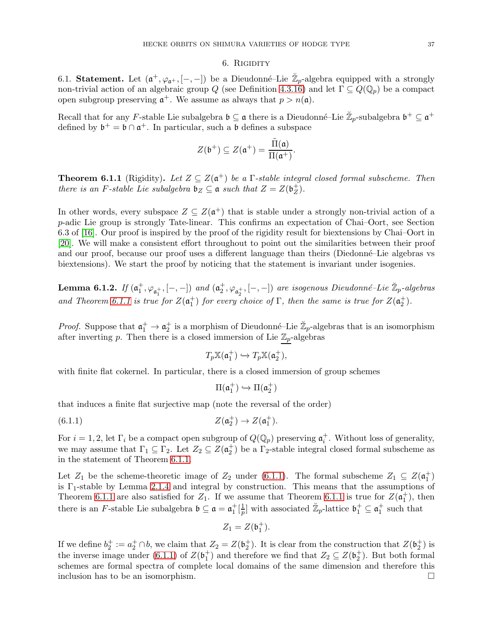#### 6. RIGIDITY

<span id="page-36-0"></span>6.1. Statement. Let  $(\mathfrak{a}^+, \varphi_{\mathfrak{a}^+}, [-,-])$  be a Dieudonné-Lie  $\mathbb{Z}_p$ -algebra equipped with a strongly non-trivial action of an algebraic group Q (see Definition [4.3.16\)](#page-24-1) and let  $\Gamma \subseteq Q(\mathbb{Q}_p)$  be a compact open subgroup preserving  $\mathfrak{a}^+$ . We assume as always that  $p > n(\mathfrak{a})$ .

Recall that for any F-stable Lie subalgebra  $\mathfrak{b} \subseteq \mathfrak{a}$  there is a Dieudonné–Lie  $\mathbb{Z}_p$ -subalgebra  $\mathfrak{b}^+ \subseteq \mathfrak{a}^+$ defined by  $\mathfrak{b}^+ = \mathfrak{b} \cap \mathfrak{a}^+$ . In particular, such a  $\mathfrak b$  defines a subspace

$$
Z(\mathfrak{b}^+)\subseteq Z(\mathfrak{a}^+)=\frac{\tilde{\Pi}(\mathfrak{a})}{\Pi(\mathfrak{a}^+)}.
$$

<span id="page-36-1"></span>**Theorem 6.1.1** (Rigidity). Let  $Z \subseteq Z(\mathfrak{a}^+)$  be a  $\Gamma$ -stable integral closed formal subscheme. Then there is an F-stable Lie subalgebra  $\mathfrak{b}_Z \subseteq \mathfrak{a}$  such that  $Z = Z(\mathfrak{b}_Z^+)$  $_Z^+$ ).

In other words, every subspace  $Z \subseteq Z(\mathfrak{a}^+)$  that is stable under a strongly non-trivial action of a p-adic Lie group is strongly Tate-linear. This confirms an expectation of Chai–Oort, see Section 6.3 of [\[16\]](#page-58-9). Our proof is inspired by the proof of the rigidity result for biextensions by Chai–Oort in [\[20\]](#page-59-9). We will make a consistent effort throughout to point out the similarities between their proof and our proof, because our proof uses a different language than theirs (Diedonn´e–Lie algebras vs biextensions). We start the proof by noticing that the statement is invariant under isogenies.

<span id="page-36-3"></span>**Lemma 6.1.2.** If  $(\mathfrak{a}_1^+,\varphi_{\mathfrak{a}_1^+},[-,-])$  and  $(\mathfrak{a}_2^+,\varphi_{\mathfrak{a}_2^+},[-,-])$  are isogenous Dieudonné-Lie  $\mathbb{Z}_p$ -algebras and Theorem [6.1.1](#page-36-1) is true for  $Z(\mathfrak{a}_1^+)$  for every choice of  $\Gamma$ , then the same is true for  $Z(\mathfrak{a}_2^+)$ .

*Proof.* Suppose that  $\mathfrak{a}_1^+ \to \mathfrak{a}_2^+$  is a morphism of Dieudonné–Lie  $\mathbb{Z}_p$ -algebras that is an isomorphism after inverting  $p$ . Then there is a closed immersion of Lie  $\mathbb{Z}_p$ -algebras

$$
T_p \mathbb{X}(\mathfrak{a}_1^+) \hookrightarrow T_p \mathbb{X}(\mathfrak{a}_2^+),
$$

with finite flat cokernel. In particular, there is a closed immersion of group schemes

$$
\Pi(\mathfrak{a}_1^+) \hookrightarrow \Pi(\mathfrak{a}_2^+)
$$

that induces a finite flat surjective map (note the reversal of the order)

<span id="page-36-2"></span>(6.1.1) 
$$
Z(\mathfrak{a}_2^+) \to Z(\mathfrak{a}_1^+).
$$

For  $i = 1, 2$ , let  $\Gamma_i$  be a compact open subgroup of  $Q(\mathbb{Q}_p)$  preserving  $\mathfrak{a}_i^+$ . Without loss of generality, we may assume that  $\Gamma_1 \subseteq \Gamma_2$ . Let  $Z_2 \subseteq Z(\mathfrak{a}_2^+)$  be a  $\Gamma_2$ -stable integral closed formal subscheme as in the statement of Theorem [6.1.1.](#page-36-1)

Let  $Z_1$  be the scheme-theoretic image of  $Z_2$  under [\(6.1.1\)](#page-36-2). The formal subscheme  $Z_1 \subseteq Z(\mathfrak{a}_1^+)$ is  $\Gamma_1$ -stable by Lemma [2.1.4](#page-5-1) and integral by construction. This means that the assumptions of Theorem [6.1.1](#page-36-1) are also satisfied for  $Z_1$ . If we assume that Theorem 6.1.1 is true for  $Z(\mathfrak{a}_1^+)$ , then there is an *F*-stable Lie subalgebra  $\mathfrak{b} \subseteq \mathfrak{a} = \mathfrak{a}_1^+[\frac{1}{p}]$  $\frac{1}{p}$  with associated  $\mathbb{Z}_p$ -lattice  $\mathfrak{b}_1^+ \subseteq \mathfrak{a}_1^+$  such that

$$
Z_1 = Z(\mathfrak{b}_1^+).
$$

If we define  $b_2^+ := a_2^+ \cap b$ , we claim that  $Z_2 = Z(b_2^+)$ . It is clear from the construction that  $Z(b_2^+)$  is the inverse image under [\(6.1.1\)](#page-36-2) of  $Z(\mathfrak{b}_1^+)$  and therefore we find that  $Z_2 \subseteq Z(\mathfrak{b}_2^+)$ . But both formal schemes are formal spectra of complete local domains of the same dimension and therefore this inclusion has to be an isomorphism.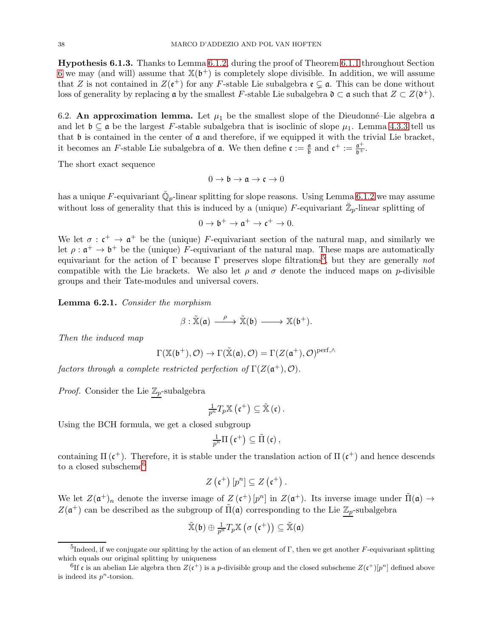Hypothesis 6.1.3. Thanks to Lemma [6.1.2,](#page-36-3) during the proof of Theorem [6.1.1](#page-36-1) throughout Section [6](#page-36-0) we may (and will) assume that  $\mathbb{X}(\mathfrak{b}^+)$  is completely slope divisible. In addition, we will assume that Z is not contained in  $Z(\mathfrak{e}^+)$  for any F-stable Lie subalgebra  $\mathfrak{e} \subsetneq \mathfrak{a}$ . This can be done without loss of generality by replacing  $\mathfrak a$  by the smallest F-stable Lie subalgebra  $\mathfrak d \subset \mathfrak a$  such that  $Z \subset Z(\mathfrak d^+)$ .

<span id="page-37-0"></span>6.2. An approximation lemma. Let  $\mu_1$  be the smallest slope of the Dieudonné-Lie algebra a and let  $\mathfrak{b} \subset \mathfrak{a}$  be the largest F-stable subalgebra that is isoclinic of slope  $\mu_1$ . Lemma [4.3.3](#page-21-1) tell us that  $\mathfrak b$  is contained in the center of  $\mathfrak a$  and therefore, if we equipped it with the trivial Lie bracket, it becomes an F-stable Lie subalgebra of **a**. We then define  $\mathfrak{c} := \frac{\mathfrak{a}}{\mathfrak{b}}$  and  $\mathfrak{c}^+ := \frac{\mathfrak{a}^+}{\mathfrak{b}^+}$ .

The short exact sequence

$$
0 \to \mathfrak{b} \to \mathfrak{a} \to \mathfrak{c} \to 0
$$

has a unique F-equivariant  $\breve{\mathbb{Q}}_p$ -linear splitting for slope reasons. Using Lemma [6.1.2](#page-36-3) we may assume without loss of generality that this is induced by a (unique) F-equivariant  $\mathbb{Z}_p$ -linear splitting of

$$
0\to \mathfrak{b}^+\to \mathfrak{a}^+\to \mathfrak{c}^+\to 0.
$$

We let  $\sigma : \mathfrak{c}^+ \to \mathfrak{a}^+$  be the (unique) F-equivariant section of the natural map, and similarly we let  $\rho: \mathfrak{a}^+ \to \mathfrak{b}^+$  be the (unique) F-equivariant of the natural map. These maps are automatically equivariant for the action of  $\Gamma$  because  $\Gamma$  preserves slope filtrations<sup>5</sup>, but they are generally not compatible with the Lie brackets. We also let  $\rho$  and  $\sigma$  denote the induced maps on p-divisible groups and their Tate-modules and universal covers.

<span id="page-37-1"></span>Lemma 6.2.1. Consider the morphism

$$
\beta: \tilde{\mathbb{X}}(\mathfrak{a}) \xrightarrow{\ \ \, \rho\ \ } \tilde{\mathbb{X}}(\mathfrak{b})\xrightarrow{\ \ \, } \mathbb{X}(\mathfrak{b}^+).
$$

Then the induced map

$$
\Gamma(\mathbb{X}(\mathfrak{b}^+), \mathcal{O}) \to \Gamma(\tilde{\mathbb{X}}(\mathfrak{a}), \mathcal{O}) = \Gamma(Z(\mathfrak{a}^+), \mathcal{O})^{\mathrm{perf}, \wedge}
$$

factors through a complete restricted perfection of  $\Gamma(Z(\mathfrak{a}^+), \mathcal{O})$ .

*Proof.* Consider the Lie  $\mathbb{Z}_p$ -subalgebra

$$
\frac{1}{p^{n}}T_{p}\mathbb{X}\left(\mathfrak{c}^{+}\right)\subseteq\tilde{\mathbb{X}}\left(\mathfrak{c}\right).
$$

Using the BCH formula, we get a closed subgroup

$$
\tfrac{1}{p^{n}}\Pi\left( \mathfrak{c}^{+}\right) \subseteq\tilde{\Pi}\left( \mathfrak{c}\right) ,
$$

containing  $\Pi(\mathfrak{c}^+)$ . Therefore, it is stable under the translation action of  $\Pi(\mathfrak{c}^+)$  and hence descends to a closed subscheme<sup>6</sup>

$$
Z\left(\mathfrak{c}^+\right)[p^n] \subseteq Z\left(\mathfrak{c}^+\right).
$$

We let  $Z(\mathfrak{a}^+)_n$  denote the inverse image of  $Z(\mathfrak{c}^+)[p^n]$  in  $Z(\mathfrak{a}^+)$ . Its inverse image under  $\tilde{\Pi}(\mathfrak{a}) \to$  $Z(\mathfrak{a}^+)$  can be described as the subgroup of  $\tilde{\Pi}(\mathfrak{a})$  corresponding to the Lie  $\mathbb{Z}_p$ -subalgebra

$$
\tilde{\mathbb{X}}(\mathfrak{b})\oplus\tfrac{1}{p^n}T_p\mathbb{X}\left(\sigma\left(\mathfrak{c}^+\right)\right)\subseteq\tilde{\mathbb{X}}(\mathfrak{a})
$$

<sup>&</sup>lt;sup>5</sup>Indeed, if we conjugate our splitting by the action of an element of Γ, then we get another F-equivariant splitting which equals our original splitting by uniqueness

<sup>&</sup>lt;sup>6</sup>If c is an abelian Lie algebra then  $Z(\mathfrak{c}^+)$  is a p-divisible group and the closed subscheme  $Z(\mathfrak{c}^+)[p^n]$  defined above is indeed its  $p^n$ -torsion.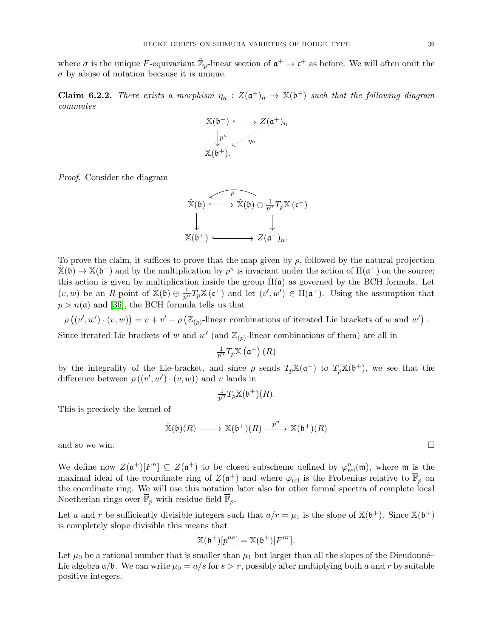where  $\sigma$  is the unique F-equivariant  $\mathbb{Z}_p$ -linear section of  $\mathfrak{a}^+ \to \mathfrak{c}^+$  as before. We will often omit the  $\sigma$  by abuse of notation because it is unique.

**Claim 6.2.2.** There exists a morphism  $\eta_n$ :  $Z(\mathfrak{a}^+)_n \to \mathbb{X}(\mathfrak{b}^+)$  such that the following diagram commutes

$$
\begin{array}{ccc}\n\mathbb{X}(\mathfrak{b}^+) & \longrightarrow & Z(\mathfrak{a}^+)_n \\
\downarrow^{p^n} & & \nearrow^{n} \\
\mathbb{X}(\mathfrak{b}^+).\n\end{array}
$$

Proof. Consider the diagram

$$
\tilde{\mathbb{X}}(\mathfrak{b}) \xrightarrow{\sqrt{\rho}} \tilde{\mathbb{X}}(\mathfrak{b}) \oplus \frac{1}{p^n} T_p \mathbb{X}(\mathfrak{c}^+)
$$
\n
$$
\downarrow \qquad \qquad \downarrow
$$
\n
$$
\mathbb{X}(\mathfrak{b}^+) \xrightarrow{\qquad \qquad } Z(\mathfrak{a}^+)_n.
$$

To prove the claim, it suffices to prove that the map given by  $\rho$ , followed by the natural projection  $\tilde{\mathbb{X}}(\mathfrak{b}) \to \mathbb{X}(\mathfrak{b}^+)$  and by the multiplication by  $p^n$  is invariant under the action of  $\Pi(\mathfrak{a}^+)$  on the source; this action is given by multiplication inside the group  $\Pi(\mathfrak{a})$  as governed by the BCH formula. Let  $(v, w)$  be an R-point of  $\tilde{\mathbb{X}}(\mathfrak{b}) \oplus \frac{1}{p^n}T_p\mathbb{X}(\mathfrak{c}^+)$  and let  $(v', w') \in \Pi(\mathfrak{a}^+)$ . Using the assumption that  $p > n(\mathfrak{a})$  and [\[36\]](#page-59-18), the BCH formula tells us that

 $\rho\left((v',w')\cdot(v,w)\right) = v + v' + \rho\left(\mathbb{Z}_{(p)}\text{-linear combinations of iterated Lie brackets of } w \text{ and } w'\right).$ 

Since iterated Lie brackets of w and  $w'$  (and  $\mathbb{Z}_{(p)}$ -linear combinations of them) are all in

$$
\tfrac{1}{p^n}T_p\mathbb{X}\left(\mathfrak{a}^+\right)(R)
$$

by the integrality of the Lie-bracket, and since  $\rho$  sends  $T_p\mathbb{X}(\mathfrak{a}^+)$  to  $T_p\mathbb{X}(\mathfrak{b}^+)$ , we see that the difference between  $\rho((v', w') \cdot (v, w))$  and v lands in

$$
\frac{1}{p^n}T_p\mathbb{X}(\mathfrak{b}^+)(R).
$$

This is precisely the kernel of

 $\widetilde{\mathbb{X}}(\mathfrak{b})(R) \longrightarrow \mathbb{X}(\mathfrak{b}^+)(R) \stackrel{p^n}{\longrightarrow} \mathbb{X}(\mathfrak{b}^+)(R)$ 

and so we win.  $\Box$ 

We define now  $Z(\mathfrak{a}^+)[F^n] \subseteq Z(\mathfrak{a}^+)$  to be closed subscheme defined by  $\varphi_{rel}^n(\mathfrak{m})$ , where  $\mathfrak{m}$  is the maximal ideal of the coordinate ring of  $Z(\mathfrak{a}^+)$  and where  $\varphi_{rel}$  is the Frobenius relative to  $\overline{\mathbb{F}}_p$  on the coordinate ring. We will use this notation later also for other formal spectra of complete local Noetherian rings over  $\overline{\mathbb{F}}_p$  with residue field  $\overline{\mathbb{F}}_p$ .

Let a and r be sufficiently divisible integers such that  $a/r = \mu_1$  is the slope of  $\mathbb{X}(\mathfrak{b}^+)$ . Since  $\mathbb{X}(\mathfrak{b}^+)$ is completely slope divisible this means that

$$
\mathbb{X}(\mathfrak{b}^+)[p^{na}] = \mathbb{X}(\mathfrak{b}^+)[F^{nr}].
$$

Let  $\mu_0$  be a rational number that is smaller than  $\mu_1$  but larger than all the slopes of the Dieudonné– Lie algebra  $\mathfrak{a}/\mathfrak{b}$ . We can write  $\mu_0 = a/s$  for  $s > r$ , possibly after multiplying both a and r by suitable positive integers.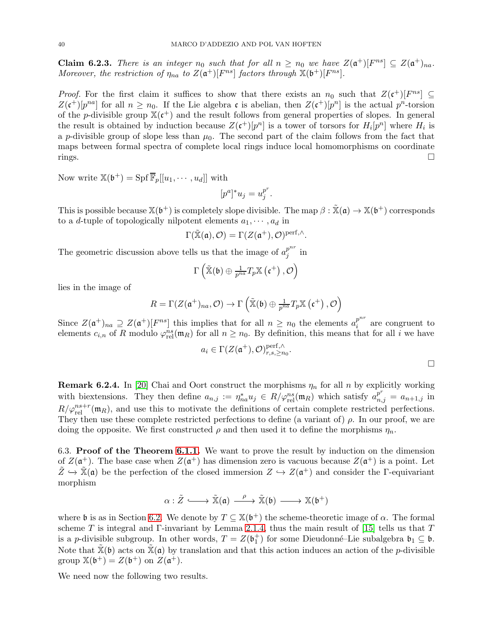**Claim 6.2.3.** There is an integer  $n_0$  such that for all  $n \geq n_0$  we have  $Z(\mathfrak{a}^+)[F^{ns}] \subseteq Z(\mathfrak{a}^+)_{na}$ . Moreover, the restriction of  $\eta_{na}$  to  $Z(\mathfrak{a}^+)[F^{ns}]$  factors through  $\mathbb{X}(\mathfrak{b}^+)[F^{ns}]$ .

*Proof.* For the first claim it suffices to show that there exists an  $n_0$  such that  $Z(\mathfrak{c}^+)[F^{ns}] \subseteq$  $Z(\mathfrak{c}^+)[p^{na}]$  for all  $n \geq n_0$ . If the Lie algebra  $\mathfrak{c}$  is abelian, then  $Z(\mathfrak{c}^+)[p^n]$  is the actual  $p^n$ -torsion of the p-divisible group  $\mathbb{X}(\mathfrak{c}^+)$  and the result follows from general properties of slopes. In general the result is obtained by induction because  $Z(\mathfrak{c}^+)[p^n]$  is a tower of torsors for  $H_i[p^n]$  where  $H_i$  is a p-divisible group of slope less than  $\mu_0$ . The second part of the claim follows from the fact that maps between formal spectra of complete local rings induce local homomorphisms on coordinate  $rings.$ 

Now write  $\mathbb{X}(\mathfrak{b}^+) = \text{Spf }\overline{\mathbb{F}}_p[[u_1, \cdots, u_d]]$  with

$$
[p^a]^* u_j = u_j^{p^r}.
$$

This is possible because  $\mathbb{X}(\mathfrak{b}^+)$  is completely slope divisible. The map  $\beta : \mathbb{X}(\mathfrak{a}) \to \mathbb{X}(\mathfrak{b}^+)$  corresponds to a *d*-tuple of topologically nilpotent elements  $a_1, \dots, a_d$  in

$$
\Gamma(\tilde{\mathbb{X}}(\mathfrak{a}), \mathcal{O}) = \Gamma(Z(\mathfrak{a}^+), \mathcal{O})^{\text{perf}, \wedge}.
$$

The geometric discussion above tells us that the image of  $a_j^{p^{nr}}$  $j^p$  in

$$
\Gamma\left(\tilde{\mathbb{X}}(\mathfrak{b})\oplus \frac{1}{p^{na}}T_p\mathbb{X}\left(\mathfrak{c}^+\right),\mathcal{O}\right)
$$

lies in the image of

$$
R = \Gamma(Z(\mathfrak{a}^+))_{na}, \mathcal{O}) \to \Gamma\left(\tilde{\mathbb{X}}(\mathfrak{b}) \oplus \frac{1}{p^{na}}T_p\mathbb{X}(\mathfrak{c}^+), \mathcal{O}\right)
$$

Since  $Z(\mathfrak{a}^+)_{na} \supseteq Z(\mathfrak{a}^+)[F^{ns}]$  this implies that for all  $n \geq n_0$  the elements  $a_i^{p^{nr}}$  $\sum_{i=1}^{p}$  are congruent to elements  $c_{i,n}$  of R modulo  $\varphi_{rel}^{ns}(\mathfrak{m}_R)$  for all  $n \geq n_0$ . By definition, this means that for all i we have

$$
a_i \in \Gamma(Z(\mathfrak{a}^+), \mathcal{O})_{r,s,\geq n_0}^{\text{perf},\wedge}.
$$

**Remark 6.2.4.** In [\[20\]](#page-59-9) Chai and Oort construct the morphisms  $\eta_n$  for all n by explicitly working with biextensions. They then define  $a_{n,j} := \eta_{na}^* u_j \in R \setminus \varphi_{rel}^{ns}(\mathfrak{m}_R)$  which satisfy  $a_{n,j}^{p^r} = a_{n+1,j}$  in  $R/\varphi_{\text{rel}}^{ns+r}(\mathfrak{m}_R)$ , and use this to motivate the definitions of certain complete restricted perfections. They then use these complete restricted perfections to define (a variant of)  $\rho$ . In our proof, we are doing the opposite. We first constructed  $\rho$  and then used it to define the morphisms  $\eta_n$ .

6.3. Proof of the Theorem [6.1.1.](#page-36-1) We want to prove the result by induction on the dimension of  $Z(\mathfrak{a}^+)$ . The base case when  $Z(\mathfrak{a}^+)$  has dimension zero is vacuous because  $Z(\mathfrak{a}^+)$  is a point. Let  $\tilde{Z} \hookrightarrow \tilde{\mathbb{X}}(\mathfrak{a})$  be the perfection of the closed immersion  $Z \hookrightarrow Z(\mathfrak{a}^+)$  and consider the  $\Gamma$ -equivariant morphism

$$
\alpha : \tilde{Z} \longrightarrow \tilde{\mathbb{X}}(\mathfrak{a}) \xrightarrow{\rho} \tilde{\mathbb{X}}(\mathfrak{b}) \longrightarrow \mathbb{X}(\mathfrak{b}^+)
$$

where b is as in Section [6.2.](#page-37-0) We denote by  $T \subseteq \mathbb{X}(\mathfrak{b}^+)$  the scheme-theoretic image of  $\alpha$ . The formal scheme T is integral and Γ-invariant by Lemma [2.1.4,](#page-5-1) thus the main result of [\[15\]](#page-58-11) tells us that T is a p-divisible subgroup. In other words,  $T = Z(\mathfrak{b}_1^+)$  for some Dieudonné–Lie subalgebra  $\mathfrak{b}_1 \subseteq \mathfrak{b}$ . Note that  $\mathbb{X}(\mathfrak{b})$  acts on  $\mathbb{X}(\mathfrak{a})$  by translation and that this action induces an action of the *p*-divisible group  $\mathbb{X}(\mathfrak{b}^+) = Z(\mathfrak{b}^+)$  on  $Z(\mathfrak{a}^+)$ .

We need now the following two results.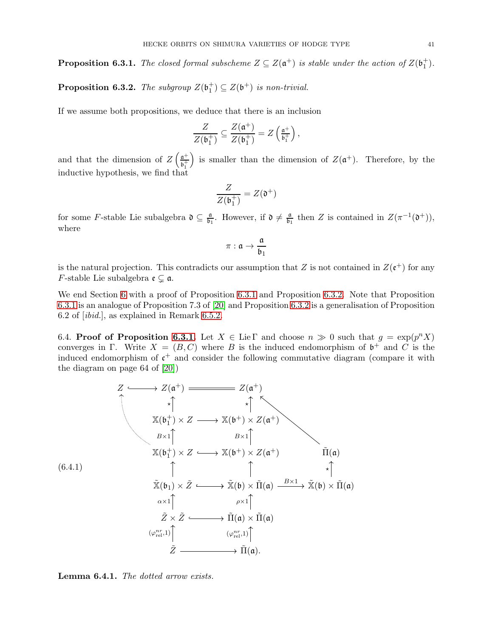<span id="page-40-0"></span>**Proposition 6.3.1.** The closed formal subscheme  $Z \subseteq Z(\mathfrak{a}^+)$  is stable under the action of  $Z(\mathfrak{b}_1^+)$ .

<span id="page-40-1"></span>**Proposition 6.3.2.** The subgroup  $Z(\mathfrak{b}_1^+) \subseteq Z(\mathfrak{b}^+)$  is non-trivial.

If we assume both propositions, we deduce that there is an inclusion

$$
\frac{Z}{Z(\mathfrak{b}_1^+)} \subseteq \frac{Z(\mathfrak{a}^+)}{Z(\mathfrak{b}_1^+)} = Z\left(\tfrac{\mathfrak{a}^+}{\mathfrak{b}_1^+}\right),
$$

and that the dimension of  $Z\left(\frac{a^+}{b^+}\right)$  $\mathfrak{b}_1^+$ ) is smaller than the dimension of  $Z(\mathfrak{a}^+)$ . Therefore, by the inductive hypothesis, we find that

$$
\frac{Z}{Z(\mathfrak{b}_1^+)}=Z(\mathfrak{d}^+)
$$

for some F-stable Lie subalgebra  $\mathfrak{d} \subseteq \frac{\mathfrak{a}}{\mathfrak{b}}$  $\frac{\mathfrak{a}}{\mathfrak{b}_1}$ . However, if  $\mathfrak{d} \neq \frac{\mathfrak{a}}{\mathfrak{b}_1}$  $\frac{\mathfrak{a}}{\mathfrak{b}_1}$  then Z is contained in  $Z(\pi^{-1}(\mathfrak{d}^+)),$ where

$$
\pi: \mathfrak{a} \to \frac{\mathfrak{a}}{\mathfrak{b}_1}
$$

is the natural projection. This contradicts our assumption that Z is not contained in  $Z(\mathfrak{e}^+)$  for any *F*-stable Lie subalgebra  $\mathfrak{e} \subsetneq \mathfrak{a}$ .

We end Section [6](#page-36-0) with a proof of Proposition [6.3.1](#page-40-0) and Proposition [6.3.2.](#page-40-1) Note that Proposition [6.3.1](#page-40-0) is an analogue of Proposition 7.3 of [\[20\]](#page-59-9) and Proposition [6.3.2](#page-40-1) is a generalisation of Proposition 6.2 of [ibid.], as explained in Remark [6.5.2.](#page-45-1)

6.4. Proof of Proposition [6.3.1.](#page-40-0) Let  $X \in \text{Lie } \Gamma$  and choose  $n \gg 0$  such that  $g = \exp(p^n X)$ converges in Γ. Write  $X = (B, C)$  where B is the induced endomorphism of  $\mathfrak{b}^+$  and C is the induced endomorphism of  $\mathfrak{c}^+$  and consider the following commutative diagram (compare it with the diagram on page 64 of [\[20\]](#page-59-9))

<span id="page-40-3"></span>
$$
Z \longrightarrow Z(\mathfrak{a}^+) \longrightarrow Z(\mathfrak{a}^+) \longrightarrow Z(\mathfrak{a}^+)
$$
  
\n
$$
\times \uparrow \qquad \qquad \downarrow \uparrow \qquad \qquad \downarrow \uparrow
$$
  
\n
$$
X(\mathfrak{b}_1^+) \times Z \longrightarrow X(\mathfrak{b}^+) \times Z(\mathfrak{a}^+)
$$
  
\n
$$
X(\mathfrak{b}_1^+) \times Z \longrightarrow X(\mathfrak{b}^+) \times Z(\mathfrak{a}^+) \qquad \qquad \tilde{\Pi}(\mathfrak{a})
$$
  
\n
$$
\uparrow \qquad \qquad \uparrow \qquad \qquad \uparrow \qquad \uparrow \qquad \uparrow \qquad \uparrow \uparrow
$$
  
\n
$$
\tilde{X}(\mathfrak{b}_1) \times \tilde{Z} \longrightarrow \tilde{X}(\mathfrak{b}) \times \tilde{\Pi}(\mathfrak{a}) \longrightarrow \tilde{X}(\mathfrak{b}) \times \tilde{\Pi}(\mathfrak{a})
$$
  
\n
$$
\alpha \times 1 \uparrow \qquad \qquad \rho \times 1 \uparrow \qquad \qquad \downarrow
$$
  
\n
$$
\tilde{Z} \times \tilde{Z} \longrightarrow \tilde{\Pi}(\mathfrak{a}) \times \tilde{\Pi}(\mathfrak{a})
$$
  
\n
$$
(\varphi_{\text{rel}}^{nr,1}) \uparrow \qquad \qquad (\varphi_{\text{rel}}^{nr,1}) \uparrow \qquad \qquad \downarrow
$$
  
\n
$$
\tilde{Z} \longrightarrow \tilde{\Pi}(\mathfrak{a}).
$$

<span id="page-40-2"></span>Lemma 6.4.1. The dotted arrow exists.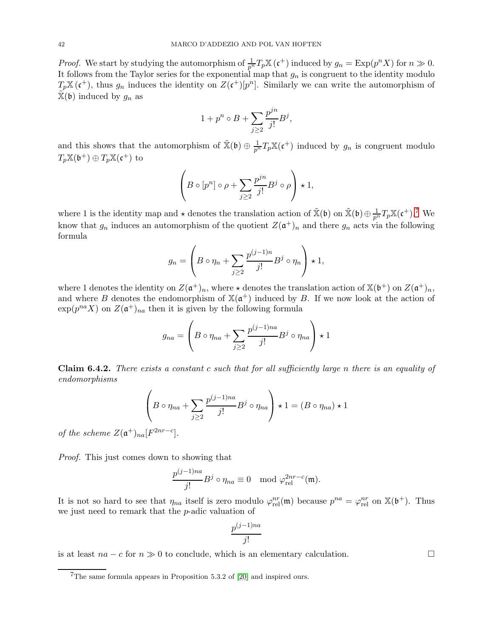*Proof.* We start by studying the automorphism of  $\frac{1}{p^n}T_p\mathbb{X}(\mathfrak{c}^+)$  induced by  $g_n = \text{Exp}(p^n X)$  for  $n \gg 0$ . It follows from the Taylor series for the exponential map that  $g_n$  is congruent to the identity modulo  $T_p\mathbb{X}(\mathfrak{c}^+)$ , thus  $g_n$  induces the identity on  $Z(\mathfrak{c}^+)[p^n]$ . Similarly we can write the automorphism of  $\mathbb{X}(\mathfrak{b})$  induced by  $g_n$  as

$$
1 + p^n \circ B + \sum_{j \ge 2} \frac{p^{jn}}{j!} B^j,
$$

and this shows that the automorphism of  $\tilde{X}(\mathfrak{b}) \oplus \frac{1}{p^n}T_pX(\mathfrak{c}^+)$  induced by  $g_n$  is congruent modulo  $T_p\mathbb{X}(\mathfrak{b}^+)\oplus T_p\mathbb{X}(\mathfrak{c}^+)$  to

$$
\left(B \circ [p^n] \circ \rho + \sum_{j \ge 2} \frac{p^{jn}}{j!} B^j \circ \rho \right) \star 1,
$$

where 1 is the identity map and  $\star$  denotes the translation action of  $\tilde{\mathbb{X}}(\mathfrak{b})$  on  $\tilde{\mathbb{X}}(\mathfrak{b}) \oplus \frac{1}{p^n}T_p \mathbb{X}(\mathfrak{c}^+).$ <sup>7</sup> We know that  $g_n$  induces an automorphism of the quotient  $Z(\mathfrak{a}^+)_n$  and there  $g_n$  acts via the following formula

$$
g_n = \left(B \circ \eta_n + \sum_{j \ge 2} \frac{p^{(j-1)n}}{j!} B^j \circ \eta_n\right) \star 1,
$$

where 1 denotes the identity on  $Z(\mathfrak{a}^+)_n$ , where  $\star$  denotes the translation action of  $\mathbb{X}(\mathfrak{b}^+)$  on  $Z(\mathfrak{a}^+)_n$ , and where B denotes the endomorphism of  $\mathbb{X}(\mathfrak{a}^+)$  induced by B. If we now look at the action of  $\exp(p^{na} X)$  on  $Z(\mathfrak{a}^+)_{na}$  then it is given by the following formula

$$
g_{na} = \left(B \circ \eta_{na} + \sum_{j \ge 2} \frac{p^{(j-1)na}}{j!} B^j \circ \eta_{na}\right) \star 1
$$

<span id="page-41-0"></span>Claim 6.4.2. There exists a constant c such that for all sufficiently large n there is an equality of endomorphisms

$$
\left(B \circ \eta_{na} + \sum_{j\geq 2} \frac{p^{(j-1)na}}{j!} B^j \circ \eta_{na}\right) \star 1 = (B \circ \eta_{na}) \star 1
$$

of the scheme  $Z(\mathfrak{a}^+)_{na}[F^{2nr-c}].$ 

Proof. This just comes down to showing that

$$
\frac{p^{(j-1)na}}{j!}B^j \circ \eta_{na} \equiv 0 \mod \varphi_{\text{rel}}^{2nr-c}(\mathfrak{m}).
$$

It is not so hard to see that  $\eta_{na}$  itself is zero modulo  $\varphi_{rel}^{nr}(\mathfrak{m})$  because  $p^{na} = \varphi_{rel}^{nr}$  on  $\mathbb{X}(\mathfrak{b}^+)$ . Thus we just need to remark that the p-adic valuation of

$$
\frac{p^{(j-1)na}}{j!}
$$

is at least  $na - c$  for  $n \gg 0$  to conclude, which is an elementary calculation.

 $7$ The same formula appears in Proposition 5.3.2 of [\[20\]](#page-59-9) and inspired ours.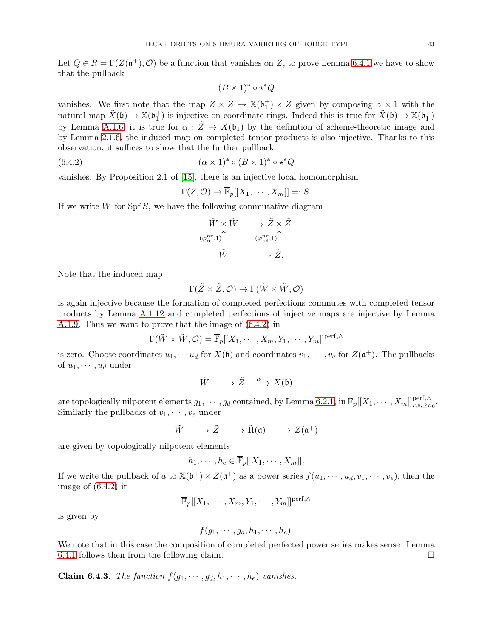Let  $Q \in R = \Gamma(Z(\mathfrak{a}^+), \mathcal{O})$  be a function that vanishes on Z, to prove Lemma [6.4.1](#page-40-2) we have to show that the pullback

$$
(B \times 1)^* \circ \star^* Q
$$

vanishes. We first note that the map  $\tilde{Z} \times Z \to \mathbb{X}(\mathfrak{b}_1^+) \times Z$  given by composing  $\alpha \times 1$  with the natural map  $\tilde{X}(\mathfrak{b}) \to \mathbb{X}(\mathfrak{b}_1^+)$  is injective on coordinate rings. Indeed this is true for  $\tilde{X}(\mathfrak{b}) \to \mathbb{X}(\mathfrak{b}_1^+)$ by Lemma [A.1.6,](#page-52-0) it is true for  $\alpha$ :  $\tilde{Z} \to X(\mathfrak{b}_1)$  by the definition of scheme-theoretic image and by Lemma [2.1.6,](#page-6-1) the induced map on completed tensor products is also injective. Thanks to this observation, it suffices to show that the further pullback

<span id="page-42-0"></span>
$$
(6.4.2) \qquad \qquad (\alpha \times 1)^* \circ (B \times 1)^* \circ \star^* Q
$$

vanishes. By Proposition 2.1 of [\[15\]](#page-58-11), there is an injective local homomorphism

$$
\Gamma(Z, \mathcal{O}) \to \overline{\mathbb{F}}_p[[X_1, \cdots, X_m]] =: S.
$$

If we write  $W$  for  $S$   $\beta$ , we have the following commutative diagram

$$
\begin{array}{ccc}\n\tilde{W} \times \tilde{W} & \longrightarrow & \tilde{Z} \times \tilde{Z} \\
(\varphi_{\text{rel}}^{nr}, 1) & & (\varphi_{\text{rel}}^{nr}, 1) \\
\tilde{W} & \longrightarrow & \tilde{Z}.\n\end{array}
$$

Note that the induced map

$$
\Gamma(\tilde{Z}\times\tilde{Z},\mathcal{O})\to\Gamma(\tilde{W}\times\tilde{W},\mathcal{O})
$$

is again injective because the formation of completed perfections commutes with completed tensor products by Lemma [A.1.12](#page-54-0) and completed perfections of injective maps are injective by Lemma [A.1.9.](#page-53-0) Thus we want to prove that the image of [\(6.4.2\)](#page-42-0) in

$$
\Gamma(\tilde{W} \times \tilde{W}, \mathcal{O}) = \overline{\mathbb{F}}_p[[X_1, \cdots, X_m, Y_1, \cdots, Y_m]]^{\text{perf}, \wedge}
$$

is zero. Choose coordinates  $u_1, \dots, u_d$  for  $X(\mathfrak{b})$  and coordinates  $v_1, \dots, v_e$  for  $Z(\mathfrak{a}^+)$ . The pullbacks of  $u_1, \dots, u_d$  under

$$
\tilde{W} \longrightarrow \tilde{Z} \stackrel{\alpha}{\longrightarrow} X(\mathfrak{b})
$$

are topologically nilpotent elements  $g_1, \cdots, g_d$  contained, by Lemma [6.2.1,](#page-37-1) in  $\overline{\mathbb{F}}_p[[X_1, \cdots, X_m]]_{r,s,\geq n_0}^{\text{perf},\wedge}$ . Similarly the pullbacks of  $v_1, \dots, v_e$  under

$$
\tilde{W} \longrightarrow \tilde{Z} \longrightarrow \tilde{\Pi}(\mathfrak{a}) \longrightarrow Z(\mathfrak{a}^+)
$$

are given by topologically nilpotent elements

$$
h_1, \cdots, h_e \in \overline{\mathbb{F}}_p[[X_1, \cdots, X_m]].
$$

If we write the pullback of a to  $\mathbb{X}(\mathfrak{b}^+) \times Z(\mathfrak{a}^+)$  as a power series  $f(u_1, \dots, u_d, v_1, \dots, v_e)$ , then the image of [\(6.4.2\)](#page-42-0) in

$$
\overline{\mathbb{F}}_p[[X_1,\cdots,X_m,Y_1,\cdots,Y_m]]^{\text{perf},\wedge}
$$

is given by

$$
f(g_1,\cdots,g_d,h_1,\cdots,h_e).
$$

We note that in this case the composition of completed perfected power series makes sense. Lemma [6.4.1](#page-40-2) follows then from the following claim.  $\square$ 

Claim 6.4.3. The function  $f(g_1, \dots, g_d, h_1, \dots, h_e)$  vanishes.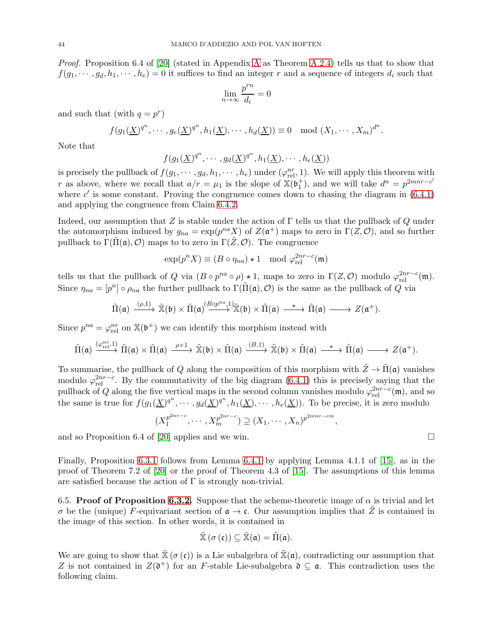Proof. Proposition 6.4 of [\[20\]](#page-59-9) (stated in [A](#page-51-0)ppendix A as Theorem [A.2.4\)](#page-57-0) tells us that to show that  $f(g_1, \dots, g_d, h_1, \dots, h_e) = 0$  it suffices to find an integer r and a sequence of integers  $d_i$  such that

$$
\lim_{n\to\infty}\frac{p^{rn}}{d_i}=0
$$

and such that (with  $q = p^r$ )

$$
f(g_1(\underline{X})^{q^n},\cdots,g_e(\underline{X})^{q^n},h_1(\underline{X}),\cdots,h_d(\underline{X}))\equiv 0 \mod (X_1,\cdots,X_m)^{d^n}.
$$

Note that

$$
f(g_1(\underline{X})^{q^n},\cdots,g_d(\underline{X})^{q^n},h_1(\underline{X}),\cdots,h_e(\underline{X}))
$$

is precisely the pullback of  $f(g_1, \dots, g_d, h_1, \dots, h_e)$  under  $(\varphi_{rel}^{nr}, 1)$ . We will apply this theorem with r as above, where we recall that  $a/r = \mu_1$  is the slope of  $\mathbb{X}(\mathfrak{b}_1^+)$ , and we will take  $d^n = p^{2mnr-c'}$ where  $c'$  is some constant. Proving the congruence comes down to chasing the diagram in  $(6.4.1)$ and applying the congruence from Claim [6.4.2.](#page-41-0)

Indeed, our assumption that Z is stable under the action of  $\Gamma$  tells us that the pullback of Q under the automorphism induced by  $g_{na} = \exp(p^{na} X)$  of  $Z(\mathfrak{a}^+)$  maps to zero in  $\Gamma(Z, \mathcal{O})$ , and so further pullback to  $\Gamma(\Pi(\mathfrak{a}), \mathcal{O})$  maps to to zero in  $\Gamma(Z, \mathcal{O})$ . The congruence

$$
\exp(p^n X) \equiv (B \circ \eta_{na}) \star 1 \mod \varphi_{\text{rel}}^{2nr-c}(\mathfrak{m})
$$

tells us that the pullback of Q via  $(B \circ p^{na} \circ \rho) \star 1$ , maps to zero in  $\Gamma(Z, \mathcal{O})$  modulo  $\varphi_{rel}^{2nr-c}(\mathfrak{m})$ . Since  $\eta_{na} = [p^n] \circ \rho_{na}$  the further pullback to  $\Gamma(\tilde{\Pi}(\mathfrak{a}), \mathcal{O})$  is the same as the pullback of Q via

$$
\tilde{\Pi}(\mathfrak{a}) \xrightarrow{(\rho,1)} \tilde{\mathbb{X}}(\mathfrak{b}) \times \tilde{\Pi}(\mathfrak{a}) \xrightarrow{(B \circ p^{na},1)} \tilde{\mathbb{X}}(\mathfrak{b}) \times \tilde{\Pi}(\mathfrak{a}) \xrightarrow{\ \star \ \ } \tilde{\Pi}(\mathfrak{a}) \xrightarrow{\ \ } Z(\mathfrak{a}^+).
$$

Since  $p^{na} = \varphi_{rel}^{nr}$  on  $\mathbb{X}(\mathfrak{b}^+)$  we can identify this morphism instead with

$$
\tilde{\Pi}(\mathfrak{a})\xrightarrow{(\varphi_{\mathrm{rel}}^{nr},1)}\tilde{\Pi}(\mathfrak{a})\times\tilde{\Pi}(\mathfrak{a})\xrightarrow{\rho\times 1}\tilde{\mathbb{X}}(\mathfrak{b})\times\tilde{\Pi}(\mathfrak{a})\xrightarrow{(B,1)}\tilde{\mathbb{X}}(\mathfrak{b})\times\tilde{\Pi}(\mathfrak{a})\xrightarrow{\star}\tilde{\Pi}(\mathfrak{a})\longrightarrow Z(\mathfrak{a}^+).
$$

To summarise, the pullback of Q along the composition of this morphism with  $\tilde{Z} \to \tilde{\Pi}(\mathfrak{a})$  vanishes modulo  $\varphi_{rel}^{2nr-c}$ . By the commutativity of the big diagram [\(6.4.1\)](#page-40-3) this is precisely saying that the pullback of Q along the five vertical maps in the second column vanishes modulo  $\varphi_{rel}^{2nr-c}(\mathfrak{m})$ , and so the same is true for  $f(g_1(\underline{X})^{q^n}, \dots, g_d(\underline{X})^{q^n}, h_1(\underline{X}), \dots, h_e(\underline{X}))$ . To be precise, it is zero modulo

$$
(X_1^{p^{2nr-c}}, \cdots, X_m^{p^{2nr-c}}) \supseteq (X_1, \cdots, X_n)^{p^{2mr-cm}}
$$

,

and so Proposition 6.4 of [\[20\]](#page-59-9) applies and we win.  $\Box$ 

Finally, Proposition [6.3.1](#page-40-0) follows from Lemma [6.4.1](#page-40-2) by applying Lemma 4.1.1 of [\[15\]](#page-58-11), as in the proof of Theorem 7.2 of [\[20\]](#page-59-9) or the proof of Theorem 4.3 of [\[15\]](#page-58-11). The assumptions of this lemma are satisfied because the action of  $\Gamma$  is strongly non-trivial.

6.5. Proof of Proposition [6.3.2.](#page-40-1) Suppose that the scheme-theoretic image of  $\alpha$  is trivial and let σ be the (unique) F-equivariant section of  $\alpha \to \mathfrak{c}$ . Our assumption implies that  $\tilde{Z}$  is contained in the image of this section. In other words, it is contained in

$$
\tilde{\mathbb{X}}(\sigma\left(\mathfrak{c}\right))\subseteq\tilde{\mathbb{X}}(\mathfrak{a})=\tilde{\Pi}(\mathfrak{a}).
$$

We are going to show that  $\tilde{\mathbb{X}}(\sigma(\mathfrak{c}))$  is a Lie subalgebra of  $\tilde{\mathbb{X}}(\mathfrak{a})$ , contradicting our assumption that Z is not contained in  $Z(\mathfrak{d}^+)$  for an F-stable Lie-subalgebra  $\mathfrak{d} \subseteq \mathfrak{a}$ . This contradiction uses the following claim.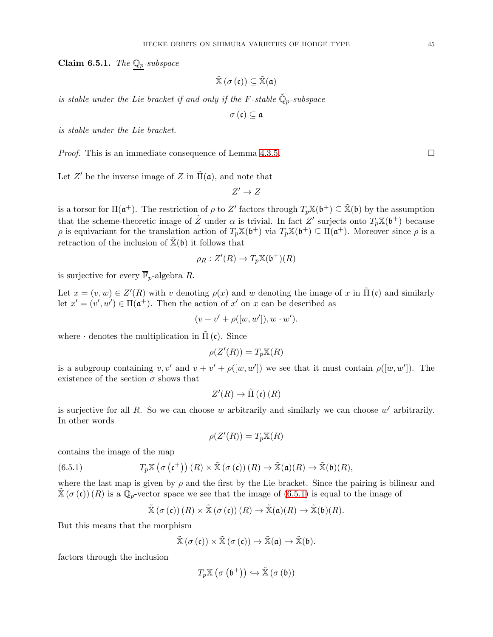<span id="page-44-1"></span>Claim 6.5.1. The  $\mathbb{Q}_p$ -subspace

$$
\tilde{\mathbb{X}}\left(\sigma\left(\mathfrak{c}\right)\right)\subseteq\tilde{\mathbb{X}}(\mathfrak{a})
$$

is stable under the Lie bracket if and only if the F-stable  $\mathbb{Q}_p$ -subspace

σ (c) ⊆ a

is stable under the Lie bracket.

*Proof.* This is an immediate consequence of Lemma [4.3.5.](#page-21-0)

Let  $Z'$  be the inverse image of  $Z$  in  $\tilde{\Pi}(\mathfrak{a})$ , and note that

$$
Z'\to Z
$$

is a torsor for  $\Pi(\mathfrak{a}^+)$ . The restriction of  $\rho$  to Z' factors through  $T_p\mathbb{X}(\mathfrak{b}^+) \subseteq \mathbb{X}(\mathfrak{b})$  by the assumption that the scheme-theoretic image of  $\tilde{Z}$  under  $\alpha$  is trivial. In fact  $Z'$  surjects onto  $T_p\mathbb{X}(\mathfrak{b}^+)$  because  $\rho$  is equivariant for the translation action of  $T_p\mathbb{X}(\mathfrak{b}^+)$  via  $T_p\mathbb{X}(\mathfrak{b}^+) \subseteq \Pi(\mathfrak{a}^+)$ . Moreover since  $\rho$  is a retraction of the inclusion of  $\tilde{\mathbb{X}}(\mathfrak{b})$  it follows that

$$
\rho_R: Z'(R) \to T_p \mathbb{X}(\mathfrak{b}^+)(R)
$$

is surjective for every  $\overline{\mathbb{F}}_p$ -algebra R.

Let  $x = (v, w) \in Z'(R)$  with v denoting  $\rho(x)$  and w denoting the image of x in  $\tilde{\Pi}(c)$  and similarly let  $x' = (v', w') \in \Pi(\mathfrak{a}^+)$ . Then the action of  $x'$  on  $x$  can be described as

$$
(v + v' + \rho([w, w')), w \cdot w').
$$

where  $\cdot$  denotes the multiplication in  $\tilde{\Pi}(\mathfrak{c})$ . Since

$$
\rho(Z'(R)) = T_p \mathbb{X}(R)
$$

is a subgroup containing  $v, v'$  and  $v + v' + \rho([w, w'])$  we see that it must contain  $\rho([w, w'])$ . The existence of the section  $\sigma$  shows that

$$
Z'(R) \to \tilde{\Pi}(\mathfrak{c})\,(R)
$$

is surjective for all  $R$ . So we can choose  $w$  arbitrarily and similarly we can choose  $w'$  arbitrarily. In other words

$$
\rho(Z'(R)) = T_p \mathbb{X}(R)
$$

contains the image of the map

<span id="page-44-0"></span>(6.5.1) 
$$
T_p \mathbb{X} \left( \sigma \left( \mathfrak{c}^+ \right) \right) (R) \times \tilde{\mathbb{X}} \left( \sigma \left( \mathfrak{c} \right) \right) (R) \to \tilde{\mathbb{X}}(\mathfrak{a})(R) \to \tilde{\mathbb{X}}(\mathfrak{b})(R),
$$

where the last map is given by  $\rho$  and the first by the Lie bracket. Since the pairing is bilinear and  $\mathbb{X}(\sigma(\mathfrak{c}))$  (R) is a  $\mathbb{Q}_p$ -vector space we see that the image of [\(6.5.1\)](#page-44-0) is equal to the image of

$$
\widetilde{\mathbb{X}}(\sigma(\mathfrak{c})) (R) \times \widetilde{\mathbb{X}}(\sigma(\mathfrak{c})) (R) \to \widetilde{\mathbb{X}}(\mathfrak{a})(R) \to \widetilde{\mathbb{X}}(\mathfrak{b})(R).
$$

But this means that the morphism

$$
\tilde{\mathbb{X}}(\sigma\left(\mathfrak{c}\right))\times\tilde{\mathbb{X}}\left(\sigma\left(\mathfrak{c}\right)\right)\to\tilde{\mathbb{X}}(\mathfrak{a})\to\tilde{\mathbb{X}}(\mathfrak{b}).
$$

factors through the inclusion

$$
T_p \mathbb{X} \left( \sigma \left( \mathfrak{b}^+ \right) \right) \hookrightarrow \tilde{\mathbb{X}} \left( \sigma \left( \mathfrak{b} \right) \right)
$$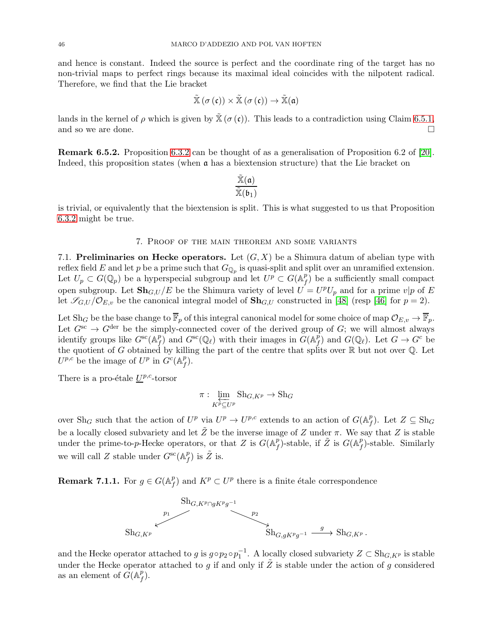and hence is constant. Indeed the source is perfect and the coordinate ring of the target has no non-trivial maps to perfect rings because its maximal ideal coincides with the nilpotent radical. Therefore, we find that the Lie bracket

$$
\mathbb{X}\left(\sigma\left(\mathfrak{c}\right)\right)\times\mathbb{X}\left(\sigma\left(\mathfrak{c}\right)\right)\to\mathbb{X}\left(\mathfrak{a}\right)
$$

lands in the kernel of  $\rho$  which is given by  $\mathbb{X}(\sigma(\mathfrak{c}))$ . This leads to a contradiction using Claim [6.5.1,](#page-44-1) and so we are done.

<span id="page-45-1"></span>Remark 6.5.2. Proposition [6.3.2](#page-40-1) can be thought of as a generalisation of Proposition 6.2 of [\[20\]](#page-59-9). Indeed, this proposition states (when  $\alpha$  has a biextension structure) that the Lie bracket on

$$
\frac{\tilde{\mathbb{X}}(\mathfrak{a})}{\tilde{\mathbb{X}}(\mathfrak{b}_1)}
$$

<span id="page-45-0"></span>is trivial, or equivalently that the biextension is split. This is what suggested to us that Proposition [6.3.2](#page-40-1) might be true.

### 7. Proof of the main theorem and some variants

7.1. Preliminaries on Hecke operators. Let  $(G, X)$  be a Shimura datum of abelian type with reflex field E and let p be a prime such that  $G_{\mathbb{Q}_p}$  is quasi-split and split over an unramified extension. Let  $U_p \subset G(\mathbb{Q}_p)$  be a hyperspecial subgroup and let  $U^p \subset G(\mathbb{A}_f^p)$  $f(f)$  be a sufficiently small compact open subgroup. Let  $\mathbf{Sh}_{G,U}/E$  be the Shimura variety of level  $U = U^p U_p$  and for a prime  $v|p$  of E let  $\mathscr{S}_{G,U}/\mathcal{O}_{E,v}$  be the canonical integral model of  $\mathbf{Sh}_{G,U}$  constructed in [\[48\]](#page-59-19) (resp [\[46\]](#page-59-20) for  $p=2$ ).

Let Sh<sub>G</sub> be the base change to  $\overline{\mathbb{F}}_p$  of this integral canonical model for some choice of map  $\mathcal{O}_{E,v} \to \overline{\mathbb{F}}_p$ . Let  $G^{sc} \to G^{der}$  be the simply-connected cover of the derived group of G; we will almost always identify groups like  $G^{\rm sc}(\mathbb{A}_f^p)$  $\int_{f}^{p}$  and  $G^{\rm sc}(\mathbb{Q}_{\ell})$  with their images in  $G(\mathbb{A}_{f}^{p})$  $_f^p$  and  $G(\mathbb{Q}_\ell)$ . Let  $G \to G^c$  be the quotient of G obtained by killing the part of the centre that splits over  $\mathbb R$  but not over  $\mathbb Q$ . Let  $U^{p,c}$  be the image of  $U^p$  in  $G^c(\mathbb{A}_f^p)$  $_f^p$ ).

There is a pro-étale  $U^{p,c}$ -torsor

$$
\pi: \varprojlim_{K^p \subseteq U^p} \text{Sh}_{G, K^p} \to \text{Sh}_G
$$

over Sh<sub>G</sub> such that the action of  $U^p$  via  $U^p \to U^{p,c}$  extends to an action of  $G(\mathbb{A}_f^p)$  $_{f}^{p}$ ). Let  $Z \subseteq \text{Sh}_{G}$ be a locally closed subvariety and let  $\tilde{Z}$  be the inverse image of Z under  $\pi$ . We say that Z is stable under the prime-to-p-Hecke operators, or that Z is  $G(\mathbb{A}_f^p)$  $\overline{f}$ )-stable, if  $\tilde{Z}$  is  $G(\mathbb{A}_{f}^{p})$  $_{f}^{p}$ )-stable. Similarly we will call Z stable under  $G^{sc}(\mathbb{A}_f^p)$  $_{f}^{p}$ ) is  $\tilde{Z}$  is.

**Remark 7.1.1.** For  $g \in G(\mathbb{A}_f^p)$  $f(f)$  and  $K^p \subset U^p$  there is a finite étale correspondence



and the Hecke operator attached to g is  $g \circ p_2 \circ p_1^{-1}$ . A locally closed subvariety  $Z \subset Sh_{G, K^p}$  is stable under the Hecke operator attached to g if and only if  $\tilde{Z}$  is stable under the action of g considered as an element of  $\tilde{G}(\mathbb{A}_f^p)$  $_f^p$ ).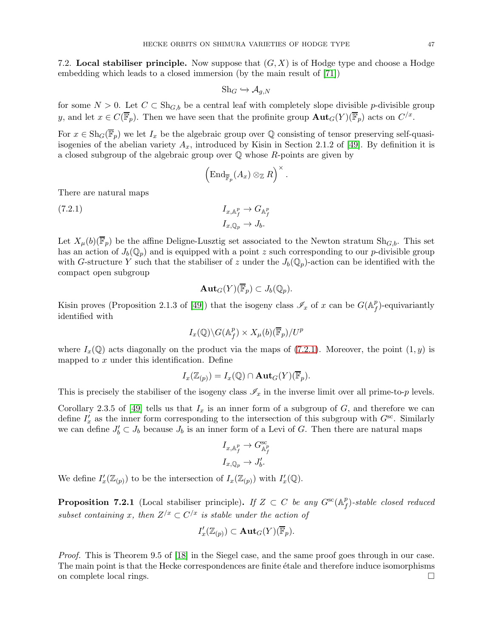7.2. Local stabiliser principle. Now suppose that  $(G, X)$  is of Hodge type and choose a Hodge embedding which leads to a closed immersion (by the main result of [\[71\]](#page-60-16))

$$
Sh_G \hookrightarrow \mathcal{A}_{g,N}
$$

for some  $N > 0$ . Let  $C \subset Sh_{G,b}$  be a central leaf with completely slope divisible p-divisible group y, and let  $x \in C(\overline{\mathbb{F}}_p)$ . Then we have seen that the profinite group  $\text{Aut}_G(Y)(\overline{\mathbb{F}}_p)$  acts on  $C/x$ .

For  $x \in \text{Sh}_G(\overline{\mathbb{F}}_p)$  we let  $I_x$  be the algebraic group over Q consisting of tensor preserving self-quasiisogenies of the abelian variety  $A_x$ , introduced by Kisin in Section 2.1.2 of [\[49\]](#page-60-4). By definition it is a closed subgroup of the algebraic group over  $\mathbb Q$  whose  $R$ -points are given by

$$
\left(\mathrm{End}_{\overline{\mathbb{F}}_p}(A_x)\otimes_{\mathbb{Z}}R\right)^{\times}
$$

.

There are natural maps

<span id="page-46-0"></span>(7.2.1) 
$$
I_{x, \mathbb{A}_f^p} \to G_{\mathbb{A}_f^p}
$$

$$
I_{x, \mathbb{Q}_p} \to J_b.
$$

Let  $X_\mu(b)(\mathbb{F}_p)$  be the affine Deligne-Lusztig set associated to the Newton stratum  $\text{Sh}_{G,b}$ . This set has an action of  $J_b(\mathbb{Q}_p)$  and is equipped with a point z such corresponding to our p-divisible group with G-structure Y such that the stabiliser of z under the  $J_b(\mathbb{Q}_p)$ -action can be identified with the compact open subgroup

$$
\mathbf{Aut}_G(Y)(\overline{\mathbb{F}}_p) \subset J_b(\mathbb{Q}_p).
$$

Kisin proves (Proposition 2.1.3 of [\[49\]](#page-60-4)) that the isogeny class  $\mathscr{I}_x$  of x can be  $G(\mathbb{A}^p_f)$  $_{f}^{p}$ )-equivariantly identified with

$$
I_x(\mathbb{Q})\backslash G(\mathbb{A}_f^p)\times X_\mu(b)(\overline{\mathbb{F}}_p)/U^p
$$

where  $I_x(\mathbb{Q})$  acts diagonally on the product via the maps of [\(7.2.1\)](#page-46-0). Moreover, the point  $(1, y)$  is mapped to  $x$  under this identification. Define

$$
I_x(\mathbb{Z}_{(p)})=I_x(\mathbb{Q})\cap {\rm Aut}_G(Y)(\overline{\mathbb{F}}_p).
$$

This is precisely the stabiliser of the isogeny class  $\mathscr{I}_x$  in the inverse limit over all prime-to-p levels.

Corollary 2.3.5 of [\[49\]](#page-60-4) tells us that  $I_x$  is an inner form of a subgroup of G, and therefore we can define  $I'_x$  as the inner form corresponding to the intersection of this subgroup with  $G^{sc}$ . Similarly we can define  $J'_b \subset J_b$  because  $J_b$  is an inner form of a Levi of G. Then there are natural maps

$$
\begin{aligned} I_{x,\mathbb{A}_f^p} &\to G_{\mathbb{A}_f^p}^{\text{sc}} \\ I_{x,\mathbb{Q}_p} &\to J_b'. \end{aligned}
$$

We define  $I'_x(\mathbb{Z}_{(p)})$  to be the intersection of  $I_x(\mathbb{Z}_{(p)})$  with  $I'_x(\mathbb{Q})$ .

<span id="page-46-1"></span>**Proposition 7.2.1** (Local stabiliser principle). If  $Z \subset C$  be any  $G^{sc}(\mathbb{A}_{\ell}^{p})$  $_{f}^{p})$ -stable closed reduced subset containing x, then  $Z/x \subset C/x$  is stable under the action of

$$
I'_x(\mathbb{Z}_{(p)}) \subset \textbf{Aut}_G(Y)(\overline{\mathbb{F}}_p).
$$

Proof. This is Theorem 9.5 of [\[18\]](#page-58-17) in the Siegel case, and the same proof goes through in our case. The main point is that the Hecke correspondences are finite étale and therefore induce isomorphisms on complete local rings.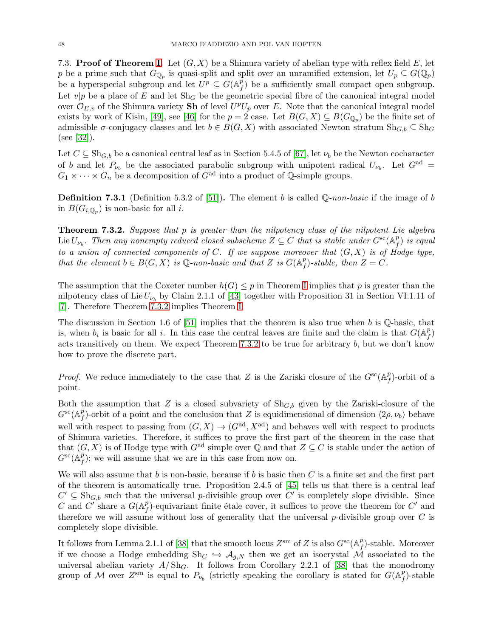7.3. Proof of Theorem [I.](#page-1-0) Let  $(G, X)$  be a Shimura variety of abelian type with reflex field E, let p be a prime such that  $G_{\mathbb{Q}_p}$  is quasi-split and split over an unramified extension, let  $U_p \subseteq G(\mathbb{Q}_p)$ be a hyperspecial subgroup and let  $U^p \subseteq G(\mathbb{A}_f^p)$  $f(f)$  be a sufficiently small compact open subgroup. Let  $v|p$  be a place of E and let  $\text{Sh}_G$  be the geometric special fibre of the canonical integral model over  $\mathcal{O}_{E,v}$  of the Shimura variety **Sh** of level  $U^pU_p$  over E. Note that the canonical integral model exists by work of Kisin, [\[49\]](#page-60-4), see [\[46\]](#page-59-20) for the  $p = 2$  case. Let  $B(G, X) \subseteq B(G_{\mathbb{Q}_p})$  be the finite set of admissible  $\sigma$ -conjugacy classes and let  $b \in B(G, X)$  with associated Newton stratum  $\text{Sh}_{G,b} \subseteq \text{Sh}_G$ (see [\[32\]](#page-59-1)).

Let  $C \subseteq Sh_{G,b}$  be a canonical central leaf as in Section 5.4.5 of [\[67\]](#page-60-18), let  $\nu_b$  be the Newton cocharacter of b and let  $P_{\nu_b}$  be the associated parabolic subgroup with unipotent radical  $U_{\nu_b}$ . Let  $G^{ad}$  =  $G_1 \times \cdots \times G_n$  be a decomposition of  $G^{\text{ad}}$  into a product of  $\mathbb{Q}$ -simple groups.

**Definition 7.3.1** (Definition 5.3.2 of [\[51\]](#page-60-3)). The element b is called  $\mathbb{Q}$ -non-basic if the image of b in  $B(G_{i,\mathbb{Q}_p})$  is non-basic for all *i*.

<span id="page-47-0"></span>**Theorem 7.3.2.** Suppose that p is greater than the nilpotency class of the nilpotent Lie algebra Lie  $U_{\nu_b}$ . Then any nonempty reduced closed subscheme  $Z \subseteq C$  that is stable under  $G^{\rm sc}(\mathbb{A}_f^p)$  $_{f}^{p})$  is equal to a union of connected components of C. If we suppose moreover that  $(G, X)$  is of Hodge type, that the element  $b \in B(G, X)$  is Q-non-basic and that Z is  $G(A_f^p)$  $f(f)$ -stable, then  $Z = C$ .

The assumption that the Coxeter number  $h(G) \leq p$  in Theorem [I](#page-1-0) implies that p is greater than the nilpotency class of Lie  $U_{\nu_b}$  by Claim 2.1.1 of [\[43\]](#page-59-26) together with Proposition 31 in Section VI.1.11 of [\[7\]](#page-58-18). Therefore Theorem [7.3.2](#page-47-0) implies Theorem [I.](#page-1-0)

The discussion in Section 1.6 of [\[51\]](#page-60-3) implies that the theorem is also true when b is  $\mathbb Q$ -basic, that is, when  $b_i$  is basic for all i. In this case the central leaves are finite and the claim is that  $G(A_f^p)$  $_f^p)$ acts transitively on them. We expect Theorem [7.3.2](#page-47-0) to be true for arbitrary  $b$ , but we don't know how to prove the discrete part.

*Proof.* We reduce immediately to the case that Z is the Zariski closure of the  $G^{sc}(\mathbb{A}_f^p)$  $_{f}^{p}$ )-orbit of a point.

Both the assumption that Z is a closed subvariety of  $\text{Sh}_{G,b}$  given by the Zariski-closure of the  $G^{\rm sc}(\mathbb{A}_f^p)$ <sup>p</sup><sub>f</sub>)-orbit of a point and the conclusion that Z is equidimensional of dimension  $\langle 2\rho, \nu_b \rangle$  behave well with respect to passing from  $(G, X) \to (G^{\text{ad}}, X^{\text{ad}})$  and behaves well with respect to products of Shimura varieties. Therefore, it suffices to prove the first part of the theorem in the case that that  $(G, X)$  is of Hodge type with  $G^{ad}$  simple over Q and that  $Z \subseteq C$  is stable under the action of  $G^{\rm sc}(\hat{\mathbb{A}}_{f}^{p}% ,\hat{b}_{f}^{\ast})=G^{\rm sc}(\hat{\mathbb{A}}_{f}^{p})$  $f(f)$ ; we will assume that we are in this case from now on.

We will also assume that b is non-basic, because if b is basic then  $C$  is a finite set and the first part of the theorem is automatically true. Proposition 2.4.5 of [\[45\]](#page-59-2) tells us that there is a central leaf  $C' \subseteq Sh_{G,b}$  such that the universal p-divisible group over  $C'$  is completely slope divisible. Since C and C' share a  $G(\mathbb{A}_{\rho}^p)$ <sup>*p*</sup><sub>f</sub>)-equivariant finite étale cover, it suffices to prove the theorem for  $C'$  and therefore we will assume without loss of generality that the universal  $p$ -divisible group over C is completely slope divisible.

It follows from Lemma 2.1.1 of [\[38\]](#page-59-4) that the smooth locus  $Z^{\rm sm}$  of Z is also  $G^{\rm sc}(\mathbb{A}_{\ell}^p)$  $_{f}^{p}$ )-stable. Moreover if we choose a Hodge embedding Sh<sub>G</sub>  $\hookrightarrow$   $\mathcal{A}_{q,N}$  then we get an isocrystal M associated to the universal abelian variety  $A/\mathrm{Sh}_G$ . It follows from Corollary 2.2.1 of [\[38\]](#page-59-4) that the monodromy group of M over  $Z^{\rm sm}$  is equal to  $P_{\nu_b}$  (strictly speaking the corollary is stated for  $G(\mathbb{A}_f^p)$  $_{f}^{p})$ -stable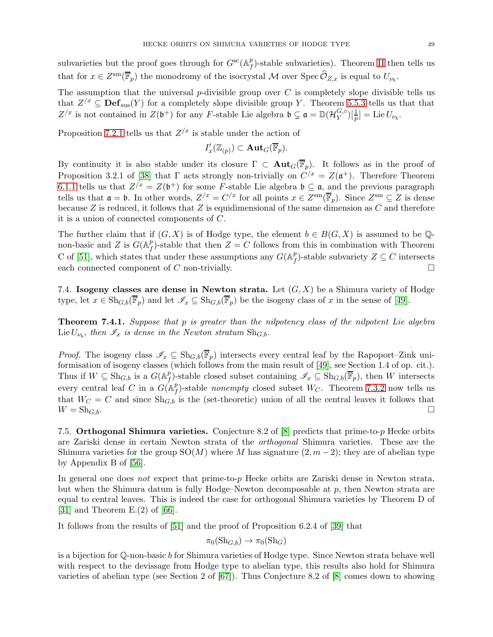subvarieties but the proof goes through for  $G^{sc}(\mathbb{A}^p)$  $_{f}^{p}$ )-stable subvarieties). Theorem [II](#page-2-0) then tells us that for  $x \in Z^{\text{sm}}(\overline{\mathbb{F}}_p)$  the monodromy of the isocrystal M over  $\text{Spec } \widehat{\mathcal{O}}_{Z,x}$  is equal to  $U_{\nu_b}$ .

The assumption that the universal  $p$ -divisible group over  $C$  is completely slope divisible tells us that  $Z^{x} \subseteq \text{Def}_{\text{sus}}(Y)$  for a completely slope divisible group Y. Theorem [5.5.3](#page-33-0) tells us that that  $Z^{x}$  is not contained in  $Z(\mathfrak{b}^{+})$  for any F-stable Lie algebra  $\mathfrak{b} \subsetneq \mathfrak{a} = \mathbb{D}(\mathcal{H}_{Y}^{G,\circ})$  $Y^{G,\circ}_{Y}$  $\left[\frac{1}{p}\right]$  = Lie  $U_{\nu_b}$ .

Proposition [7.2.1](#page-46-1) tells us that  $Z^{x}$  is stable under the action of

$$
I'_x(\mathbb{Z}_{(p)})\subset\mathbf{Aut}_G(\overline{\mathbb{F}}_p).
$$

By continuity it is also stable under its closure  $\Gamma \subset \text{Aut}_G(\overline{\mathbb{F}}_p)$ . It follows as in the proof of Proposition 3.2.1 of [\[38\]](#page-59-4) that  $\Gamma$  acts strongly non-trivially on  $C^{x} = Z(\mathfrak{a}^{+})$ . Therefore Theorem [6.1.1](#page-36-1) tells us that  $Z^{\prime x} = Z(\mathfrak{b}^+)$  for some F-stable Lie algebra  $\mathfrak{b} \subseteq \mathfrak{a}$ , and the previous paragraph tells us that  $\mathfrak{a} = \mathfrak{b}$ . In other words,  $Z^{x} = C^{x}$  for all points  $x \in Z^{\text{sm}}(\overline{\mathbb{F}}_p)$ . Since  $Z^{\text{sm}} \subseteq Z$  is dense because  $Z$  is reduced, it follows that  $Z$  is equidimensional of the same dimension as  $C$  and therefore it is a union of connected components of C.

The further claim that if  $(G, X)$  is of Hodge type, the element  $b \in B(G, X)$  is assumed to be Qnon-basic and Z is  $G(\mathbb{A}_{\rho}^p)$ <sup>p</sup><sub>f</sub>)-stable that then  $Z = C$  follows from this in combination with Theorem C of [\[51\]](#page-60-3), which states that under these assumptions any  $G(A<sup>p</sup>)$  $f(f)$ -stable subvariety  $Z \subseteq C$  intersects each connected component of C non-trivially.  $\square$ 

7.4. Isogeny classes are dense in Newton strata. Let  $(G, X)$  be a Shimura variety of Hodge type, let  $x \in \text{Sh}_{G,b}(\overline{\mathbb{F}}_p)$  and let  $\mathscr{I}_x \subseteq \text{Sh}_{G,b}(\overline{\mathbb{F}}_p)$  be the isogeny class of x in the sense of [\[49\]](#page-60-4).

<span id="page-48-0"></span>**Theorem 7.4.1.** Suppose that p is greater than the nilpotency class of the nilpotent Lie algebra Lie  $U_{\nu_b}$ , then  $\mathscr{I}_x$  is dense in the Newton stratum  $\text{Sh}_{G,b}$ .

*Proof.* The isogeny class  $\mathscr{I}_x \subseteq \text{Sh}_{G,b}(\overline{\mathbb{F}}_p)$  intersects every central leaf by the Rapoport–Zink uniformisation of isogeny classes (which follows from the main result of [\[49\]](#page-60-4), see Section 1.4 of op. cit.). Thus if  $W \subseteq \text{Sh}_{G,b}$  is a  $G(\mathbb{A}_f^p)$ <sup>p</sup><sub>f</sub>)-stable closed subset containing  $\mathscr{I}_x \subseteq \text{Sh}_{G,b}(\overline{\mathbb{F}}_p)$ , then W intersects every central leaf C in a  $G(\mathbb{A}_f^p)$  $_{f}^{p}$ )-stable nonempty closed subset W<sub>C</sub>. Theorem [7.3.2](#page-47-0) now tells us that  $W_C = C$  and since  $\text{Sh}_{G,b}$  is the (set-theoretic) union of all the central leaves it follows that  $W = \text{Sh}_{G,b}.$ 

<span id="page-48-1"></span>7.5. Orthogonal Shimura varieties. Conjecture 8.2 of  $[8]$  predicts that prime-to-p Hecke orbits are Zariski dense in certain Newton strata of the orthogonal Shimura varieties. These are the Shimura varieties for the group  $SO(M)$  where M has signature  $(2, m-2)$ ; they are of abelian type by Appendix B of [\[56\]](#page-60-19).

In general one does not expect that prime-to-p Hecke orbits are Zariski dense in Newton strata, but when the Shimura datum is fully Hodge–Newton decomposable at  $p$ , then Newton strata are equal to central leaves. This is indeed the case for orthogonal Shimura varieties by Theorem D of [\[31\]](#page-59-27) and Theorem  $E(2)$  of [\[66\]](#page-60-20).

It follows from the results of [\[51\]](#page-60-3) and the proof of Proposition 6.2.4 of [\[39\]](#page-59-0) that

$$
\pi_0(\mathrm{Sh}_{G,b}) \to \pi_0(\mathrm{Sh}_G)
$$

is a bijection for  $\mathbb{Q}$ -non-basic b for Shimura varieties of Hodge type. Since Newton strata behave well with respect to the devissage from Hodge type to abelian type, this results also hold for Shimura varieties of abelian type (see Section 2 of [\[67\]](#page-60-18)). Thus Conjecture 8.2 of [\[8\]](#page-58-5) comes down to showing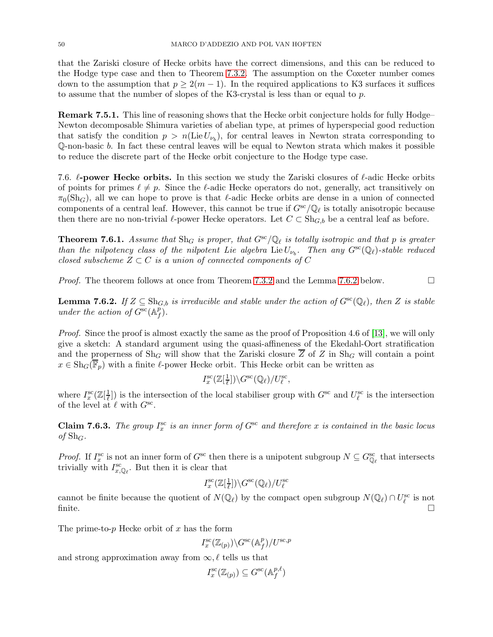that the Zariski closure of Hecke orbits have the correct dimensions, and this can be reduced to the Hodge type case and then to Theorem [7.3.2.](#page-47-0) The assumption on the Coxeter number comes down to the assumption that  $p \geq 2(m-1)$ . In the required applications to K3 surfaces it suffices to assume that the number of slopes of the K3-crystal is less than or equal to  $p$ .

Remark 7.5.1. This line of reasoning shows that the Hecke orbit conjecture holds for fully Hodge– Newton decomposable Shimura varieties of abelian type, at primes of hyperspecial good reduction that satisfy the condition  $p > n(\text{Lie } U_{\nu_b})$ , for central leaves in Newton strata corresponding to Q-non-basic b. In fact these central leaves will be equal to Newton strata which makes it possible to reduce the discrete part of the Hecke orbit conjecture to the Hodge type case.

7.6.  $\ell$ -power Hecke orbits. In this section we study the Zariski closures of  $\ell$ -adic Hecke orbits of points for primes  $\ell \neq p$ . Since the  $\ell$ -adic Hecke operators do not, generally, act transitively on  $\pi_0(\text{Sh}_G)$ , all we can hope to prove is that  $\ell$ -adic Hecke orbits are dense in a union of connected components of a central leaf. However, this cannot be true if  $G^{sc} / \mathbb{Q}_{\ell}$  is totally anisotropic because then there are no non-trivial  $\ell$ -power Hecke operators. Let  $C \subset Sh_{G,b}$  be a central leaf as before.

<span id="page-49-0"></span>**Theorem 7.6.1.** Assume that  $\text{Sh}_G$  is proper, that  $G^{sc}(\mathbb{Q}_\ell)$  is totally isotropic and that p is greater than the nilpotency class of the nilpotent Lie algebra  $\text{Lie } U_{\nu_b}$ . Then any  $G^{\rm sc}(\mathbb{Q}_\ell)$ -stable reduced closed subscheme  $Z \subset C$  is a union of connected components of C

*Proof.* The theorem follows at once from Theorem [7.3.2](#page-47-0) and the Lemma [7.6.2](#page-49-1) below.

<span id="page-49-1"></span>**Lemma 7.6.2.** If  $Z \subseteq Sh_{G,b}$  is irreducible and stable under the action of  $G^{sc}(\mathbb{Q}_{\ell})$ , then Z is stable under the action of  $G^{\rm sc}(\mathbb{A}_f^p)$  $_f^p$ ).

Proof. Since the proof is almost exactly the same as the proof of Proposition 4.6 of [\[13\]](#page-58-4), we will only give a sketch: A standard argument using the quasi-affineness of the Ekedahl-Oort stratification and the properness of  $\text{Sh}_G$  will show that the Zariski closure  $\overline{Z}$  of Z in  $\text{Sh}_G$  will contain a point  $x \in \text{Sh}_G(\overline{\mathbb{F}}_p)$  with a finite  $\ell$ -power Hecke orbit. This Hecke orbit can be written as

$$
I_x^{\rm sc}(\mathbb{Z}[\tfrac{1}{\ell}]) \backslash G^{\rm sc}(\mathbb{Q}_\ell) / U_\ell^{\rm sc},
$$

where  $I_x^{\rm sc}(\mathbb{Z}[\frac{1}{\ell}$  $(\frac{1}{\ell})$  is the intersection of the local stabiliser group with  $G^{\rm sc}$  and  $U_{\ell}^{\rm sc}$  is the intersection of the level at  $\ell$  with  $G^{\rm sc}$ .

**Claim 7.6.3.** The group  $I_x^{\text{sc}}$  is an inner form of  $G^{\text{sc}}$  and therefore x is contained in the basic locus of  $\text{Sh}_G$ .

*Proof.* If  $I_x^{\text{sc}}$  is not an inner form of  $G^{\text{sc}}$  then there is a unipotent subgroup  $N \subseteq G_{\mathbb{Q}_{\ell}}^{\text{sc}}$  that intersects trivially with  $I_{x,\mathbb{Q}_\ell}^{\rm sc}$ . But then it is clear that

$$
I_x^{\text{sc}}(\mathbb{Z}[\tfrac{1}{\ell}]) \backslash G^{\text{sc}}(\mathbb{Q}_\ell) / U_\ell^{\text{sc}}
$$

cannot be finite because the quotient of  $N(\mathbb{Q}_{\ell})$  by the compact open subgroup  $N(\mathbb{Q}_{\ell}) \cap U_{\ell}^{\text{sc}}$  is not finite.  $\Box$ 

The prime-to- $p$  Hecke orbit of  $x$  has the form

$$
I_x^{\text{sc}}(\mathbb{Z}_{(p)})\backslash G^{\text{sc}}(\mathbb{A}_f^p)/U^{\text{sc},p}
$$

and strong approximation away from  $\infty, \ell$  tells us that

$$
I_x^{\text{sc}}(\mathbb{Z}_{(p)}) \subseteq G^{\text{sc}}(\mathbb{A}_f^{p,\ell})
$$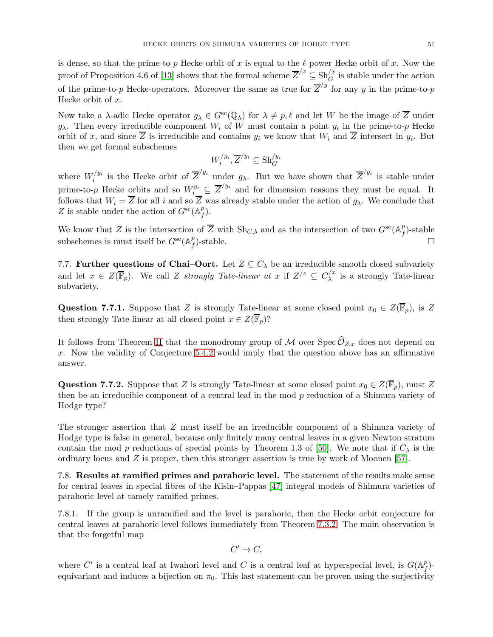is dense, so that the prime-to-p Hecke orbit of x is equal to the  $\ell$ -power Hecke orbit of x. Now the proof of Proposition 4.6 of [\[13\]](#page-58-4) shows that the formal scheme  $\overline{Z}^{/x} \subseteq \text{Sh}_{G}^{/x}$  is stable under the action of the prime-to-p Hecke-operators. Moreover the same as true for  $\overline{Z}^{/y}$  for any y in the prime-to-p Hecke orbit of  $x$ .

Now take a  $\lambda$ -adic Hecke operator  $q_{\lambda} \in G^{sc}(\mathbb{Q}_{\lambda})$  for  $\lambda \neq p, \ell$  and let W be the image of  $\overline{Z}$  under  $g_{\lambda}$ . Then every irreducible component  $W_i$  of W must contain a point  $y_i$  in the prime-to-p Hecke orbit of x, and since Z is irreducible and contains  $y_i$  we know that  $W_i$  and Z intersect in  $y_i$ . But then we get formal subschemes

$$
W_i^{/y_i}, \overline{Z}^{/y_i} \subseteq \text{Sh}_G^{/y_i}
$$

where  $W_i^{/y_i}$  is the Hecke orbit of  $\overline{Z}^{/y_i}$  under  $g_\lambda$ . But we have shown that  $\overline{Z}^{/y_i}$  is stable under i prime-to-p Hecke orbits and so  $W_i^{y_i} \subseteq \overline{Z}^{/y_i}$  and for dimension reasons they must be equal. It follows that  $W_i = Z$  for all i and so Z was already stable under the action of  $g_\lambda$ . We conclude that  $\overline{Z}$  is stable under the action of  $G^{sc}(\mathbb{A}_f^p)$  $_f^p$ ).

We know that Z is the intersection of  $\overline{Z}$  with  $\text{Sh}_{G,b}$  and as the intersection of two  $G^{\rm sc}(\mathbb{A}_f^p)$  $_{f}^{p}$ )-stable subschemes is must itself be  $G^{sc}(\mathbb{A}_f^p)$  $\bigcap_{f}^p$ -stable.

7.7. Further questions of Chai–Oort. Let  $Z \subseteq C_{\lambda}$  be an irreducible smooth closed subvariety and let  $x \in Z(\overline{\mathbb{F}}_p)$ . We call Z strongly Tate-linear at x if  $Z/z \subseteq C_{\lambda}^{/x}$  $\lambda^{'}$  is a strongly Tate-linear subvariety.

Question 7.7.1. Suppose that Z is strongly Tate-linear at some closed point  $x_0 \in Z(\overline{\mathbb{F}}_p)$ , is Z then strongly Tate-linear at all closed point  $x \in Z(\overline{\mathbb{F}}_p)$ ?

It follows from Theorem [II](#page-2-0) that the monodromy group of M over  $\widehat{\mathcal{O}}_{Z,x}$  does not depend on x. Now the validity of Conjecture [5.4.2](#page-32-1) would imply that the question above has an affirmative answer.

Question 7.7.2. Suppose that Z is strongly Tate-linear at some closed point  $x_0 \in Z(\overline{\mathbb{F}}_p)$ , must Z then be an irreducible component of a central leaf in the mod  $p$  reduction of a Shimura variety of Hodge type?

The stronger assertion that Z must itself be an irreducible component of a Shimura variety of Hodge type is false in general, because only finitely many central leaves in a given Newton stratum contain the mod p reductions of special points by Theorem 1.3 of [\[50\]](#page-60-21). We note that if  $C_{\lambda}$  is the ordinary locus and  $Z$  is proper, then this stronger assertion is true by work of Moonen [\[57\]](#page-60-22).

7.8. Results at ramified primes and parahoric level. The statement of the results make sense for central leaves in special fibres of the Kisin–Pappas [\[47\]](#page-59-28) integral models of Shimura varieties of parahoric level at tamely ramified primes.

<span id="page-50-0"></span>7.8.1. If the group is unramified and the level is parahoric, then the Hecke orbit conjecture for central leaves at parahoric level follows immediately from Theorem [7.3.2.](#page-47-0) The main observation is that the forgetful map

$$
C'\to C,
$$

where C' is a central leaf at Iwahori level and C is a central leaf at hyperspecial level, is  $G(\mathbb{A}_f^p)$  $_f^p$ )equivariant and induces a bijection on  $\pi_0$ . This last statement can be proven using the surjectivity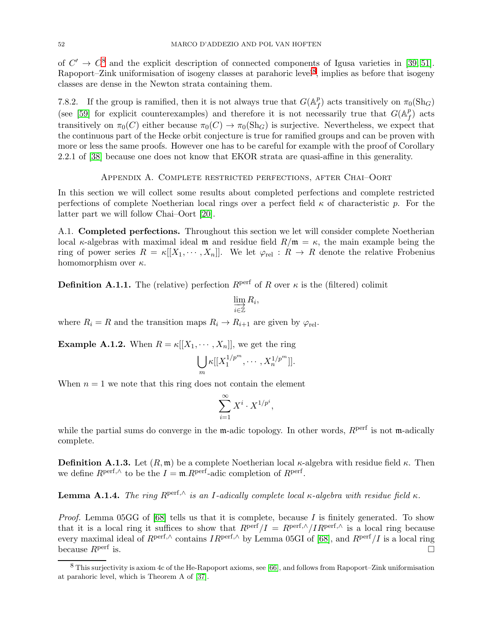of  $C' \rightarrow C^8$  and the explicit description of connected components of Igusa varieties in [\[39,](#page-59-0) [51\]](#page-60-3). Rapoport–Zink uniformisation of isogeny classes at parahoric level<sup>[8](#page-50-0)</sup>, implies as before that isogeny classes are dense in the Newton strata containing them.

7.8.2. If the group is ramified, then it is not always true that  $G(A<sup>p</sup>)$  $f_f^p$ ) acts transitively on  $\pi_0(\text{Sh}_G)$ (see [\[59\]](#page-60-23) for explicit counterexamples) and therefore it is not necessarily true that  $G(A<sup>p</sup>)$  $_{f}^{p}$ ) acts transitively on  $\pi_0(C)$  either because  $\pi_0(C) \to \pi_0(\text{Sh}_G)$  is surjective. Nevertheless, we expect that the continuous part of the Hecke orbit conjecture is true for ramified groups and can be proven with more or less the same proofs. However one has to be careful for example with the proof of Corollary 2.2.1 of [\[38\]](#page-59-4) because one does not know that EKOR strata are quasi-affine in this generality.

### Appendix A. Complete restricted perfections, after Chai–Oort

<span id="page-51-0"></span>In this section we will collect some results about completed perfections and complete restricted perfections of complete Noetherian local rings over a perfect field  $\kappa$  of characteristic p. For the latter part we will follow Chai–Oort [\[20\]](#page-59-9).

A.1. Completed perfections. Throughout this section we let will consider complete Noetherian local κ-algebras with maximal ideal m and residue field  $R/\mathfrak{m} = \kappa$ , the main example being the ring of power series  $R = \kappa[[X_1, \cdots, X_n]]$ . We let  $\varphi_{rel} : R \to R$  denote the relative Frobenius homomorphism over  $\kappa$ .

**Definition A.1.1.** The (relative) perfection  $R^{\text{perf}}$  of R over  $\kappa$  is the (filtered) colimit

$$
\varinjlim_{i\in\mathbb{Z}} R_i,
$$

where  $R_i = R$  and the transition maps  $R_i \rightarrow R_{i+1}$  are given by  $\varphi_{rel}$ .

**Example A.1.2.** When  $R = \kappa[[X_1, \cdots, X_n]],$  we get the ring

$$
\bigcup_m \kappa[[X_1^{1/p^m},\cdots,X_n^{1/p^m}]].
$$

When  $n = 1$  we note that this ring does not contain the element

$$
\sum_{i=1}^{\infty} X^i \cdot X^{1/p^i},
$$

while the partial sums do converge in the  $m$ -adic topology. In other words,  $R<sup>perf</sup>$  is not  $m$ -adically complete.

**Definition A.1.3.** Let  $(R, \mathfrak{m})$  be a complete Noetherian local  $\kappa$ -algebra with residue field  $\kappa$ . Then we define  $R^{\text{perf},\wedge}$  to be the  $I = \mathfrak{m} \cdot R^{\text{perf}}$ -adic completion of  $R^{\text{perf}}$ .

**Lemma A.1.4.** The ring  $R^{\text{perf},\wedge}$  is an I-adically complete local  $\kappa$ -algebra with residue field  $\kappa$ .

*Proof.* Lemma 05GG of  $[68]$  tells us that it is complete, because I is finitely generated. To show that it is a local ring it suffices to show that  $R^{\text{perf}}/I = R^{\text{perf},\wedge}/IR^{\text{perf},\wedge}$  is a local ring because every maximal ideal of  $R<sup>perf,\wedge</sup>$  contains  $IR<sup>perf,\wedge</sup>$  by Lemma 05GI of [\[68\]](#page-60-12), and  $R<sup>perf</sup>/I$  is a local ring because  $R^{\text{perf}}$  is.

 $8$  This surjectivity is axiom 4c of the He-Rapoport axioms, see [\[66\]](#page-60-20), and follows from Rapoport–Zink uniformisation at parahoric level, which is Theorem A of [\[37\]](#page-59-29).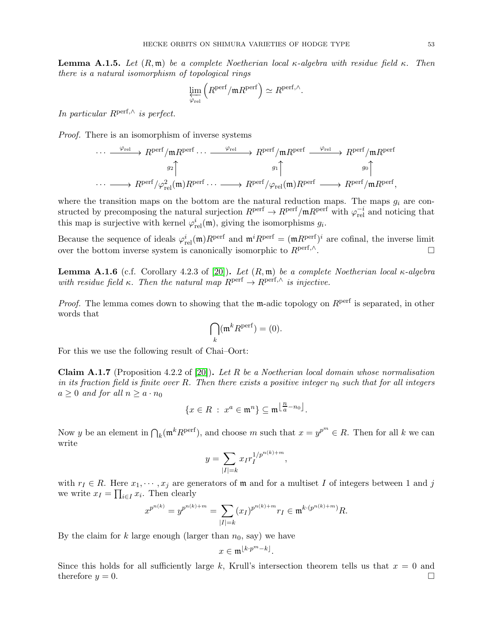**Lemma A.1.5.** Let  $(R, \mathfrak{m})$  be a complete Noetherian local κ-algebra with residue field κ. Then there is a natural isomorphism of topological rings

$$
\varprojlim_{\varphi_{\text{rel}}} \left( R^{\text{perf}} / \mathfrak{m} R^{\text{perf}} \right) \simeq R^{\text{perf}, \wedge}.
$$

In particular  $R^{\text{perf},\wedge}$  is perfect.

Proof. There is an isomorphism of inverse systems

$$
\cdots \xrightarrow{\varphi_{\text{rel}}} R^{\text{perf}}/\mathfrak{m} R^{\text{perf}} \cdots \xrightarrow{\varphi_{\text{rel}}} R^{\text{perf}}/\mathfrak{m} R^{\text{perf}} \xrightarrow{g_1} R^{\text{perf}}/\mathfrak{m} R^{\text{perf}} \rightarrow R^{\text{perf}}/\mathfrak{m} R^{\text{perf}} \rightarrow R^{\text{perf}}/\mathfrak{m} R^{\text{perf}} \rightarrow R^{\text{perf}}/\mathfrak{m} R^{\text{perf}},
$$
  

$$
\cdots \longrightarrow R^{\text{perf}}/\varphi_{\text{rel}}^2(\mathfrak{m}) R^{\text{perf}} \cdots \longrightarrow R^{\text{perf}}/\varphi_{\text{rel}}(\mathfrak{m}) R^{\text{perf}} \longrightarrow R^{\text{perf}}/\mathfrak{m} R^{\text{perf}},
$$

where the transition maps on the bottom are the natural reduction maps. The maps  $g_i$  are constructed by precomposing the natural surjection  $R^{perf} \to R^{perf}/mR^{perf}$  with  $\varphi_{rel}^{-i}$  and noticing that this map is surjective with kernel  $\varphi_{rel}^i(\mathfrak{m})$ , giving the isomorphisms  $g_i$ .

Because the sequence of ideals  $\varphi_{rel}^i(\mathfrak{m})R^{perf}$  and  $\mathfrak{m}^i R^{perf} = (\mathfrak{m}R^{perf})^i$  are cofinal, the inverse limit over the bottom inverse system is canonically isomorphic to  $R^{\text{perf},\wedge}$ .

<span id="page-52-0"></span>Lemma A.1.6 (c.f. Corollary 4.2.3 of [\[20\]](#page-59-9)). Let  $(R, \mathfrak{m})$  be a complete Noetherian local  $\kappa$ -algebra with residue field κ. Then the natural map  $R^{\text{perf}} \to R^{\text{perf},\wedge}$  is injective.

*Proof.* The lemma comes down to showing that the m-adic topology on  $R<sup>perf</sup>$  is separated, in other words that

$$
\bigcap_k (\mathfrak{m}^k R^{\text{perf}}) = (0).
$$

For this we use the following result of Chai–Oort:

<span id="page-52-1"></span>**Claim A.1.7** (Proposition 4.2.2 of [\[20\]](#page-59-9)). Let R be a Noetherian local domain whose normalisation in its fraction field is finite over R. Then there exists a positive integer  $n_0$  such that for all integers  $a \geq 0$  and for all  $n \geq a \cdot n_0$ 

$$
\{x\in R\ :\ x^a\in\mathfrak{m}^n\}\subseteq\mathfrak{m}^{\left\lfloor\frac{n}{a}-n_0\right\rfloor}.
$$

Now y be an element in  $\bigcap_k (\mathfrak{m}^k R^{\text{perf}})$ , and choose m such that  $x = y^{p^m} \in R$ . Then for all k we can write

$$
y = \sum_{|I|=k} x_I r_I^{1/p^{n(k)+m}},
$$

with  $r_I \in R$ . Here  $x_1, \dots, x_j$  are generators of  $\mathfrak m$  and for a multiset I of integers between 1 and j we write  $x_I = \prod_{i \in I} x_i$ . Then clearly

$$
x^{p^{n(k)}} = y^{p^{n(k)+m}} = \sum_{|I|=k} (x_I)^{p^{n(k)+m}} r_I \in \mathfrak{m}^{k \cdot (p^{n(k)+m})} R.
$$

By the claim for k large enough (larger than  $n_0$ , say) we have

$$
x \in \mathfrak{m}^{\lfloor k \cdot p^m - k \rfloor}.
$$

Since this holds for all sufficiently large k, Krull's intersection theorem tells us that  $x = 0$  and therefore  $y = 0$ .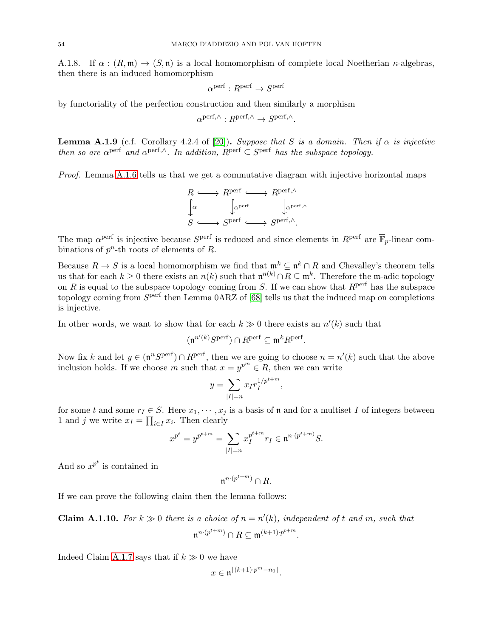A.1.8. If  $\alpha : (R, \mathfrak{m}) \to (S, \mathfrak{n})$  is a local homomorphism of complete local Noetherian  $\kappa$ -algebras, then there is an induced homomorphism

$$
\alpha^{\mathrm{perf}}: R^{\mathrm{perf}} \to S^{\mathrm{perf}}
$$

by functoriality of the perfection construction and then similarly a morphism

$$
\alpha^{\text{perf}, \wedge}: R^{\text{perf}, \wedge} \to S^{\text{perf}, \wedge}.
$$

<span id="page-53-0"></span>**Lemma A.1.9** (c.f. Corollary 4.2.4 of [\[20\]](#page-59-9)). Suppose that S is a domain. Then if  $\alpha$  is injective then so are  $\alpha^{\text{perf}}$  and  $\alpha^{\text{perf},\wedge}$ . In addition,  $R^{\text{perf}} \subseteq S^{\text{perf}}$  has the subspace topology.

Proof. Lemma [A.1.6](#page-52-0) tells us that we get a commutative diagram with injective horizontal maps

$$
R \longleftrightarrow R^{\text{perf}} \longrightarrow R^{\text{perf}, \wedge}
$$

$$
\downarrow^{\alpha} \qquad \downarrow^{\text{aperf}, \wedge}
$$

$$
S \longleftrightarrow S^{\text{perf}} \longrightarrow S^{\text{perf}, \wedge}.
$$

The map  $\alpha^{\text{perf}}$  is injective because  $S^{\text{perf}}$  is reduced and since elements in  $R^{\text{perf}}$  are  $\overline{\mathbb{F}}_p$ -linear combinations of  $p^n$ -th roots of elements of R.

Because  $R \to S$  is a local homomorphism we find that  $\mathfrak{m}^k \subseteq \mathfrak{n}^k \cap R$  and Chevalley's theorem tells us that for each  $k \geq 0$  there exists an  $n(k)$  such that  $\mathfrak{n}^{n(k)} \cap R \subseteq \mathfrak{m}^k$ . Therefore the m-adic topology on R is equal to the subspace topology coming from S. If we can show that  $R<sup>perf</sup>$  has the subspace topology coming from  $S<sup>perf</sup>$  then Lemma 0ARZ of [\[68\]](#page-60-12) tells us that the induced map on completions is injective.

In other words, we want to show that for each  $k \gg 0$  there exists an  $n'(k)$  such that

$$
(\mathfrak{n}^{n'(k)}S^{\text{perf}})\cap R^{\text{perf}}\subseteq \mathfrak{m}^kR^{\text{perf}}.
$$

Now fix k and let  $y \in (\mathfrak{n}^n S^{\text{perf}}) \cap R^{\text{perf}}$ , then we are going to choose  $n = n'(k)$  such that the above inclusion holds. If we choose m such that  $x = y^{p^m} \in R$ , then we can write

$$
y = \sum_{|I|=n} x_I r_I^{1/p^{t+m}},
$$

for some t and some  $r_1 \in S$ . Here  $x_1, \dots, x_j$  is a basis of n and for a multiset I of integers between 1 and j we write  $x_I = \prod_{i \in I} x_i$ . Then clearly

$$
x^{p^t} = y^{p^{t+m}} = \sum_{|I|=n} x_I^{p^{t+m}} r_I \in \mathfrak{n}^{n \cdot (p^{t+m})} S.
$$

And so  $x^{p^t}$  is contained in

 $\mathfrak{n}^{n \cdot (p^{t+m})} \cap R.$ 

If we can prove the following claim then the lemma follows:

<span id="page-53-1"></span>**Claim A.1.10.** For  $k \gg 0$  there is a choice of  $n = n'(k)$ , independent of t and m, such that  $\mathfrak{n}^{n \cdot (p^{t+m})} \cap R \subseteq \mathfrak{m}^{(k+1) \cdot p^{t+m}}.$ 

Indeed Claim [A.1.7](#page-52-1) says that if  $k \gg 0$  we have

$$
x\in \mathfrak{n}^{\lfloor (k+1)\cdot p^m-n_0\rfloor}.
$$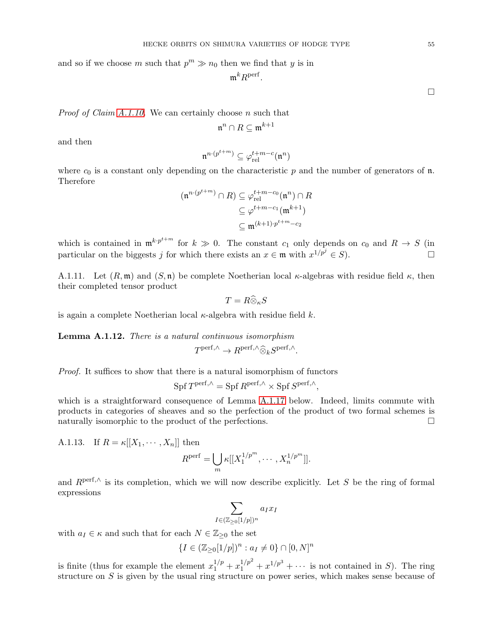and so if we choose m such that  $p^m \gg n_0$  then we find that y is in

$$
{\mathfrak m}^k R^{\text{perf}}.
$$

*Proof of Claim [A.1.10.](#page-53-1)* We can certainly choose  $n$  such that

$$
\mathfrak{n}^n\cap R\subseteq\mathfrak{m}^{k+1}
$$

and then

$$
\mathfrak{n}^{n \cdot (p^{t+m})} \subseteq \varphi_{\text{rel}}^{t+m-c}(\mathfrak{n}^n)
$$

where  $c_0$  is a constant only depending on the characteristic p and the number of generators of n. Therefore

$$
(\mathfrak{n}^{n \cdot (p^{t+m})} \cap R) \subseteq \varphi_{\text{rel}}^{t+m-c_0}(\mathfrak{n}^n) \cap R
$$

$$
\subseteq \varphi^{t+m-c_1}(\mathfrak{m}^{k+1})
$$

$$
\subseteq \mathfrak{m}^{(k+1) \cdot p^{t+m}-c_2}
$$

which is contained in  $\mathfrak{m}^{k} \cdot p^{t+m}$  for  $k \gg 0$ . The constant  $c_1$  only depends on  $c_0$  and  $R \to S$  (in particular on the biggests j for which there exists an  $x \in \mathfrak{m}$  with  $x^{1/p^j} \in S$ ).

A.1.11. Let  $(R, \mathfrak{m})$  and  $(S, \mathfrak{n})$  be complete Noetherian local  $\kappa$ -algebras with residue field  $\kappa$ , then their completed tensor product

$$
T = R \widehat{\otimes}_{\kappa} S
$$

is again a complete Noetherian local  $\kappa$ -algebra with residue field k.

<span id="page-54-0"></span>Lemma A.1.12. There is a natural continuous isomorphism  $T^{\text{perf},\wedge} \to R^{\text{perf},\wedge} \widehat{\otimes}_k S^{\text{perf},\wedge}.$ 

Proof. It suffices to show that there is a natural isomorphism of functors

$$
Spf T^{perf, \wedge} = Spf R^{perf, \wedge} \times Spf S^{perf, \wedge},
$$

which is a straightforward consequence of Lemma [A.1.17](#page-55-0) below. Indeed, limits commute with products in categories of sheaves and so the perfection of the product of two formal schemes is naturally isomorphic to the product of the perfections.

A.1.13. If  $R = \kappa[[X_1, \cdots, X_n]]$  then

$$
R^{\text{perf}} = \bigcup_{m} \kappa[[X_1^{1/p^m}, \cdots, X_n^{1/p^m}]].
$$

and  $R<sup>perf, \wedge</sup>$  is its completion, which we will now describe explicitly. Let S be the ring of formal expressions

$$
\sum_{I \in (\mathbb{Z}_{\geq 0}[1/p])^n} a_I x_I
$$

with  $a_I \in \kappa$  and such that for each  $N \in \mathbb{Z}_{\geq 0}$  the set

$$
\{I \in (\mathbb{Z}_{\geq 0}[1/p])^n : a_I \neq 0\} \cap [0,N]^n
$$

is finite (thus for example the element  $x_1^{1/p} + x_1^{1/p^2} + x^{1/p^3} + \cdots$  is not contained in S). The ring structure on S is given by the usual ring structure on power series, which makes sense because of

 $\Box$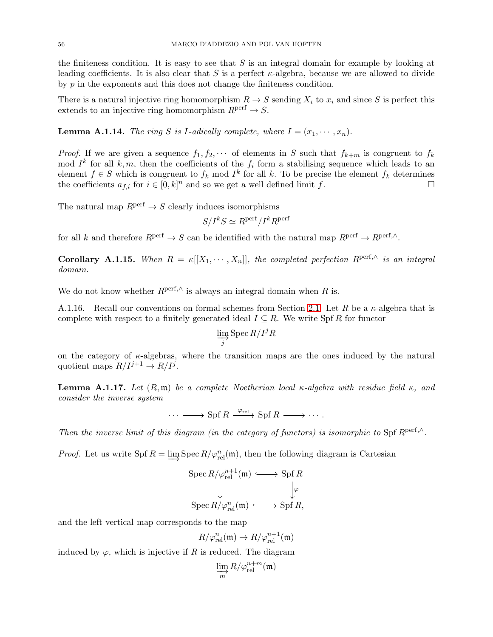the finiteness condition. It is easy to see that  $S$  is an integral domain for example by looking at leading coefficients. It is also clear that S is a perfect  $\kappa$ -algebra, because we are allowed to divide by  $p$  in the exponents and this does not change the finiteness condition.

There is a natural injective ring homomorphism  $R \to S$  sending  $X_i$  to  $x_i$  and since S is perfect this extends to an injective ring homomorphism  $R<sup>perf</sup> \rightarrow S$ .

**Lemma A.1.14.** The ring S is I-adically complete, where  $I = (x_1, \dots, x_n)$ .

*Proof.* If we are given a sequence  $f_1, f_2, \cdots$  of elements in S such that  $f_{k+m}$  is congruent to  $f_k$ mod  $I^k$  for all  $k, m$ , then the coefficients of the  $f_i$  form a stabilising sequence which leads to an element  $f \in S$  which is congruent to  $f_k$  mod  $I^k$  for all k. To be precise the element  $f_k$  determines the coefficients  $a_{f,i}$  for  $i \in [0,k]^n$  and so we get a well defined limit f.

The natural map  $R<sup>perf</sup> \to S$  clearly induces isomorphisms

$$
S/I^kS \simeq R^{\text{perf}}/I^kR^{\text{perf}}
$$

for all k and therefore  $R^{\text{perf}} \to S$  can be identified with the natural map  $R^{\text{perf}} \to R^{\text{perf},\wedge}$ .

**Corollary A.1.15.** When  $R = \kappa[[X_1, \cdots, X_n]],$  the completed perfection  $R^{\text{perf},\wedge}$  is an integral domain.

We do not know whether  $R^{\text{perf},\wedge}$  is always an integral domain when R is.

A.1.16. Recall our conventions on formal schemes from Section [2.1:](#page-4-1) Let R be a  $\kappa$ -algebra that is complete with respect to a finitely generated ideal  $I \subseteq R$ . We write Spf R for functor

$$
\varinjlim_{j} \mathrm{Spec}\, R/I^{j}R
$$

on the category of  $\kappa$ -algebras, where the transition maps are the ones induced by the natural quotient maps  $R/I^{j+1} \to R/I^j$ .

<span id="page-55-0"></span>**Lemma A.1.17.** Let  $(R, \mathfrak{m})$  be a complete Noetherian local κ-algebra with residue field κ, and consider the inverse system

 $\cdots \longrightarrow \text{Spf } R \xrightarrow{\varphi_{\text{rel}}} \text{Spf } R \longrightarrow \cdots.$ 

Then the inverse limit of this diagram (in the category of functors) is isomorphic to Spf  $R<sup>perf.</sup>$ .

*Proof.* Let us write Spf  $R = \varinjlim \text{Spec } R/\varphi_{rel}^n(\mathfrak{m})$ , then the following diagram is Cartesian

$$
\operatorname{Spec} R/\varphi_{\operatorname{rel}}^{n+1}(\mathfrak{m}) \xrightarrow{\smile\cdots} \operatorname{Spf} R
$$

$$
\downarrow \qquad \qquad \downarrow \varphi
$$

$$
\operatorname{Spec} R/\varphi_{\operatorname{rel}}^n(\mathfrak{m}) \xrightarrow{\smile\cdots} \operatorname{Spf} R,
$$

and the left vertical map corresponds to the map

$$
R/\varphi_{\text{rel}}^n(\mathfrak{m}) \to R/\varphi_{\text{rel}}^{n+1}(\mathfrak{m})
$$

induced by  $\varphi$ , which is injective if R is reduced. The diagram

$$
\varinjlim_{m} R/\varphi_{\mathrm{rel}}^{n+m}(\mathfrak{m})
$$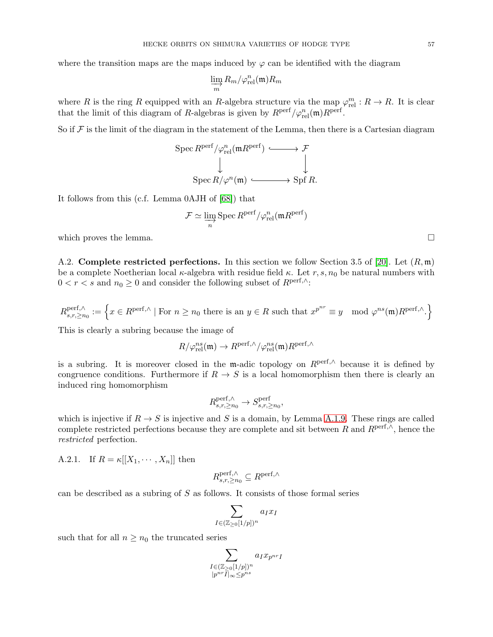where the transition maps are the maps induced by  $\varphi$  can be identified with the diagram

$$
\varinjlim_m R_m/\varphi_{\mathrm{rel}}^n(\mathfrak{m})R_m
$$

where R is the ring R equipped with an R-algebra structure via the map  $\varphi_{rel}^m : R \to R$ . It is clear that the limit of this diagram of R-algebras is given by  $R^{\text{perf}}/\varphi_{\text{rel}}^n(\mathfrak{m})R^{\text{perf}}$ .

So if  $\mathcal F$  is the limit of the diagram in the statement of the Lemma, then there is a Cartesian diagram

$$
\operatorname{Spec} R^{\text{perf}}/\varphi_{\text{rel}}^n(\mathfrak{m} R^{\text{perf}}) \xrightarrow{\qquad} \mathcal{F}
$$
\n
$$
\downarrow \qquad \qquad \downarrow
$$
\n
$$
\operatorname{Spec} R/\varphi^n(\mathfrak{m}) \xrightarrow{\qquad} \operatorname{Spf} R.
$$

It follows from this (c.f. Lemma 0AJH of [\[68\]](#page-60-12)) that

$$
\mathcal{F} \simeq \varinjlim_{n} \text{Spec } R^{\text{perf}} / \varphi_{\text{rel}}^n(\mathfrak{m} R^{\text{perf}})
$$

which proves the lemma.  $\Box$ 

A.2. Complete restricted perfections. In this section we follow Section 3.5 of [\[20\]](#page-59-9). Let  $(R, \mathfrak{m})$ be a complete Noetherian local  $\kappa$ -algebra with residue field  $\kappa$ . Let  $r, s, n_0$  be natural numbers with  $0 < r < s$  and  $n_0 \geq 0$  and consider the following subset of  $R^{\text{perf},\wedge}$ :

$$
R_{s,r,\geq n_0}^{\text{perf},\wedge} := \left\{ x \in R^{\text{perf},\wedge} \mid \text{For } n \geq n_0 \text{ there is an } y \in R \text{ such that } x^{p^{nr}} \equiv y \mod \varphi^{ns}(\mathfrak{m}) R^{\text{perf},\wedge} \right\}
$$

This is clearly a subring because the image of

$$
R/\varphi^{ns}_{\text{rel}}(\mathfrak{m})\to R^{\text{perf},\wedge}/\varphi^{ns}_{\text{rel}}(\mathfrak{m})R^{\text{perf},\wedge}
$$

is a subring. It is moreover closed in the m-adic topology on  $R<sup>perf, \wedge</sup>$  because it is defined by congruence conditions. Furthermore if  $R \to S$  is a local homomorphism then there is clearly an induced ring homomorphism

$$
R_{s,r,\geq n_0}^{\text{perf},\wedge} \to S_{s,r,\geq n_0}^{\text{perf}},
$$

which is injective if  $R \to S$  is injective and S is a domain, by Lemma [A.1.9.](#page-53-0) These rings are called complete restricted perfections because they are complete and sit between R and  $R^{\text{perf},\wedge}$ , hence the restricted perfection.

A.2.1. If  $R = \kappa[[X_1, \cdots, X_n]]$  then

$$
R_{s,r,\geq n_0}^{\text{perf},\wedge} \subseteq R^{\text{perf},\wedge}
$$

can be described as a subring of  $S$  as follows. It consists of those formal series

$$
\sum_{I \in (\mathbb{Z}_{\geq 0}[1/p])^n} a_I x_I
$$

such that for all  $n \geq n_0$  the truncated series

$$
\sum_{\substack{I \in (\mathbb{Z}_{\geq 0}[1/p])^n \\ |p^{nr}\bar{I}|_{\infty} \leq p^{ns}}}\,a_{I}x_{p^{nr}I}
$$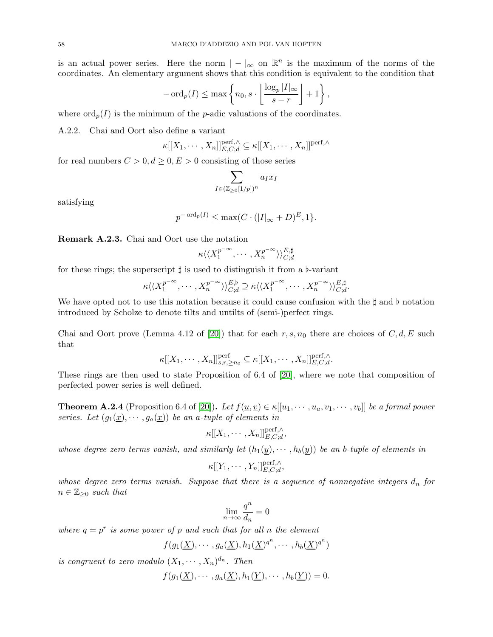is an actual power series. Here the norm  $| - |_{\infty}$  on  $\mathbb{R}^{n}$  is the maximum of the norms of the coordinates. An elementary argument shows that this condition is equivalent to the condition that

$$
-\operatorname{ord}_p(I) \le \max\left\{n_0, s \cdot \left\lfloor \frac{\log_p |I|_{\infty}}{s-r} \right\rfloor + 1\right\},\,
$$

where  $\text{ord}_p(I)$  is the minimum of the *p*-adic valuations of the coordinates.

A.2.2. Chai and Oort also define a variant

$$
\kappa[[X_1,\cdots,X_n]]_{E,C;d}^{\text{perf},\wedge} \subseteq \kappa[[X_1,\cdots,X_n]]^{\text{perf},\wedge}
$$

for real numbers  $C > 0, d \ge 0, E > 0$  consisting of those series

$$
\sum_{I \in (\mathbb{Z}_{\geq 0}[1/p])^n} a_I x_I
$$

satisfying

$$
p^{-\operatorname{ord}_p(I)} \le \max(C \cdot (|I|_{\infty} + D)^{E}, 1\}.
$$

<span id="page-57-1"></span>Remark A.2.3. Chai and Oort use the notation

$$
\kappa \langle \langle X_1^{p^{-\infty}}, \cdots, X_n^{p^{-\infty}} \rangle \rangle_{C;d}^{E, \sharp}
$$

for these rings; the superscript  $\sharp$  is used to distinguish it from a  $\flat$ -variant

$$
\kappa \langle \langle X_1^{p^{-\infty}}, \cdots, X_n^{p^{-\infty}} \rangle \rangle_{C;d}^{E,b} \supseteq \kappa \langle \langle X_1^{p^{-\infty}}, \cdots, X_n^{p^{-\infty}} \rangle \rangle_{C;d}^{E,\sharp}.
$$

We have opted not to use this notation because it could cause confusion with the ‡ and ♭ notation introduced by Scholze to denote tilts and untilts of (semi-)perfect rings.

Chai and Oort prove (Lemma 4.12 of [\[20\]](#page-59-9)) that for each  $r, s, n_0$  there are choices of  $C, d, E$  such that

$$
\kappa[[X_1,\cdots,X_n]]_{s,r,\geq n_0}^{\text{perf}} \subseteq \kappa[[X_1,\cdots,X_n]]_{E,C,d}^{\text{perf},\wedge}.
$$

These rings are then used to state Proposition of 6.4 of [\[20\]](#page-59-9), where we note that composition of perfected power series is well defined.

<span id="page-57-0"></span>**Theorem A.2.4** (Proposition 6.4 of [\[20\]](#page-59-9)). Let  $f(\underline{u}, \underline{v}) \in \kappa[[u_1, \dots, u_a, v_1, \dots, v_b]]$  be a formal power series. Let  $(g_1(\underline{x}), \dots, g_a(\underline{x}))$  be an a-tuple of elements in

$$
\kappa[[X_1,\cdots,X_n]]_{E,C;d}^{\text{perf},\wedge},
$$

whose degree zero terms vanish, and similarly let  $(h_1(y), \dots, h_b(y))$  be an b-tuple of elements in

$$
\kappa[[Y_1,\cdots,Y_n]]_{E,C;d}^{\text{perf},\wedge},
$$

whose degree zero terms vanish. Suppose that there is a sequence of nonnegative integers  $d_n$  for  $n \in \mathbb{Z}_{\geq 0}$  such that

$$
\lim_{n\to\infty}\frac{q^n}{d_n}=0
$$

where  $q = p^r$  is some power of p and such that for all n the element

$$
f(g_1(\underline{X}),\cdots,g_a(\underline{X}),h_1(\underline{X})^{q^n},\cdots,h_b(\underline{X})^{q^n})
$$

is congruent to zero modulo  $(X_1, \dots, X_n)^{d_n}$ . Then

$$
f(g_1(\underline{X}),\cdots,g_a(\underline{X}),h_1(\underline{Y}),\cdots,h_b(\underline{Y}))=0.
$$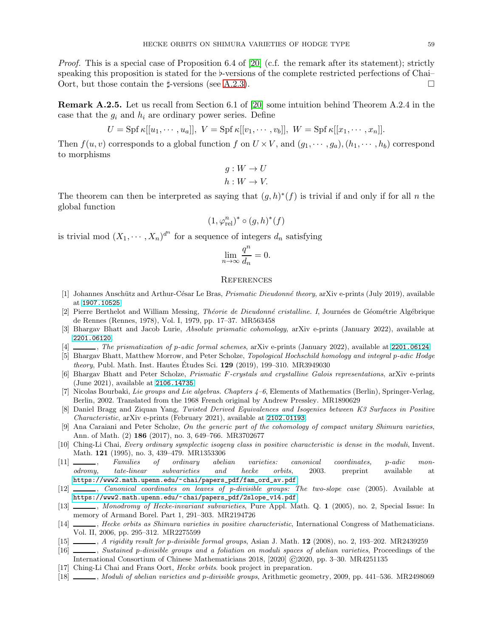*Proof.* This is a special case of Proposition 6.4 of [\[20\]](#page-59-9) (c.f. the remark after its statement); strictly speaking this proposition is stated for the ♭-versions of the complete restricted perfections of Chai– Oort, but those contain the  $\sharp$ -versions (see [A.2.3\)](#page-57-1).

Remark A.2.5. Let us recall from Section 6.1 of [\[20\]](#page-59-9) some intuition behind Theorem A.2.4 in the case that the  $g_i$  and  $h_i$  are ordinary power series. Define

$$
U = \mathrm{Spf} \,\kappa[[u_1,\cdots,u_a]], \; V = \mathrm{Spf} \,\kappa[[v_1,\cdots,v_b]], \; W = \mathrm{Spf} \,\kappa[[x_1,\cdots,x_n]].
$$

Then  $f(u, v)$  corresponds to a global function f on  $U \times V$ , and  $(q_1, \dots, q_n)$ ,  $(h_1, \dots, h_b)$  correspond to morphisms

$$
g: W \to U
$$

$$
h: W \to V.
$$

The theorem can then be interpreted as saying that  $(g,h)^*(f)$  is trivial if and only if for all n the global function

$$
(1,\varphi_{\mathrm{rel}}^n)^*\circ(g,h)^*(f)
$$

is trivial mod  $(X_1, \dots, X_n)^{d^n}$  for a sequence of integers  $d_n$  satisfying

$$
\lim_{n \to \infty} \frac{q^n}{d_n} = 0.
$$

## <span id="page-58-0"></span>**REFERENCES**

- <span id="page-58-15"></span>[1] Johannes Anschütz and Arthur-César Le Bras, *Prismatic Dieudonné theory*, arXiv e-prints (July 2019), available at <1907.10525>.
- <span id="page-58-7"></span>[2] Pierre Berthelot and William Messing, *Théorie de Dieudonné cristalline. I*, Journées de Géométrie Algébrique de Rennes (Rennes, 1978), Vol. I, 1979, pp. 17–37. MR563458
- <span id="page-58-12"></span>[3] Bhargav Bhatt and Jacob Lurie, Absolute prismatic cohomology, arXiv e-prints (January 2022), available at <2201.06120>.
- <span id="page-58-10"></span>[4] , The prismatization of p-adic formal schemes, arXiv e-prints (January 2022), available at <2201.06124>.
- <span id="page-58-14"></span>[5] Bhargav Bhatt, Matthew Morrow, and Peter Scholze, Topological Hochschild homology and integral p-adic Hodge *theory*, Publ. Math. Inst. Hautes Etudes Sci.  $129$  (2019), 199–310. MR3949030
- <span id="page-58-13"></span>[6] Bhargav Bhatt and Peter Scholze, Prismatic F-crystals and crystalline Galois representations, arXiv e-prints (June 2021), available at <2106.14735>.
- <span id="page-58-18"></span>[7] Nicolas Bourbaki, Lie groups and Lie algebras. Chapters 4–6, Elements of Mathematics (Berlin), Springer-Verlag, Berlin, 2002. Translated from the 1968 French original by Andrew Pressley. MR1890629
- <span id="page-58-5"></span>[8] Daniel Bragg and Ziquan Yang, Twisted Derived Equivalences and Isogenies between K3 Surfaces in Positive Characteristic, arXiv e-prints (February 2021), available at <2102.01193>.
- <span id="page-58-8"></span>[9] Ana Caraiani and Peter Scholze, On the generic part of the cohomology of compact unitary Shimura varieties, Ann. of Math. (2) 186 (2017), no. 3, 649–766. MR3702677
- <span id="page-58-3"></span>[10] Ching-Li Chai, Every ordinary symplectic isogeny class in positive characteristic is dense in the moduli, Invent. Math. 121 (1995), no. 3, 439–479. MR1353306
- <span id="page-58-6"></span>[11] , Families of ordinary abelian varieties: canonical coordinates, p-adic monodromy, tate-linear subvarieties and hecke orbits, 2003. preprint available at [https://www2.math.upenn.edu/~chai/papers\\_pdf/fam\\_ord\\_av.pdf](https://www2.math.upenn.edu/~chai/papers_pdf/fam_ord_av.pdf).
- <span id="page-58-16"></span>[12] , Canonical coordinates on leaves of p-divisible groups: The two-slope case (2005). Available at [https://www2.math.upenn.edu/~chai/papers\\_pdf/2slope\\_v14.pdf](https://www2.math.upenn.edu/~chai/papers_pdf/2slope_v14.pdf).
- <span id="page-58-4"></span>[13]  $\_\_\_\_\_\_\_\$  Monodromy of Hecke-invariant subvarieties, Pure Appl. Math. Q. 1 (2005), no. 2, Special Issue: In memory of Armand Borel. Part 1, 291–303. MR2194726
- <span id="page-58-1"></span>[14] , Hecke orbits as Shimura varieties in positive characteristic, International Congress of Mathematicians. Vol. II, 2006, pp. 295–312. MR2275599
- <span id="page-58-11"></span>[15] , A rigidity result for p-divisible formal groups, Asian J. Math. 12 (2008), no. 2, 193–202. MR2439259
- <span id="page-58-9"></span>[16] , Sustained p-divisible groups and a foliation on moduli spaces of abelian varieties, Proceedings of the International Consortium of Chinese Mathematicians 2018, [2020] ©2020, pp. 3–30. MR4251135
- <span id="page-58-2"></span>[17] Ching-Li Chai and Frans Oort, Hecke orbits. book project in preparation.
- <span id="page-58-17"></span>[18] , Moduli of abelian varieties and p-divisible groups, Arithmetic geometry, 2009, pp. 441–536. MR2498069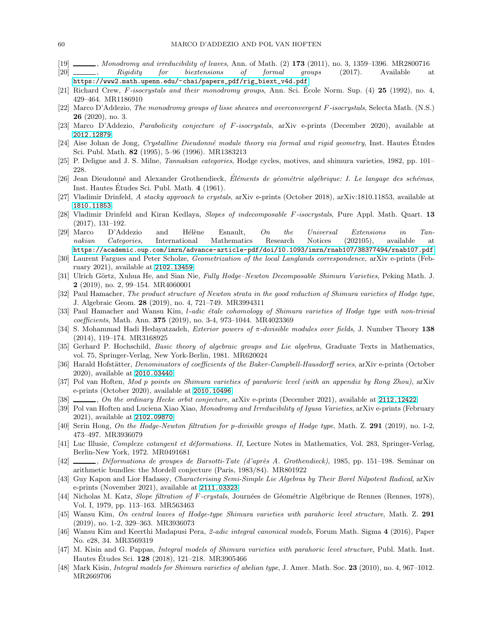- <span id="page-59-3"></span>[19]  $\frac{1}{20}$ , Monodromy and irreducibility of leaves, Ann. of Math. (2) 173 (2011), no. 3, 1359–1396. MR2800716<br>[20]  $\frac{1}{20}$ , Rigidity for biextensions of formal groups (2017). Available a
- <span id="page-59-9"></span>[20]  $\frac{1}{20}$ , Rigidity for biextensions of formal groups (2017). Available at [https://www2.math.upenn.edu/~chai/papers\\_pdf/rig\\_biext\\_v4d.pdf](https://www2.math.upenn.edu/~chai/papers_pdf/rig_biext_v4d.pdf).
- <span id="page-59-5"></span>[21] Richard Crew, F-isocrystals and their monodromy groups, Ann. Sci. Ecole Norm. Sup.  $(4)$  25 (1992), no. 4, 429–464. MR1186910
- <span id="page-59-24"></span>[22] Marco D'Addezio, The monodromy groups of lisse sheaves and overconvergent F-isocrystals, Selecta Math. (N.S.) 26 (2020), no. 3.
- <span id="page-59-6"></span>[23] Marco D'Addezio, Parabolicity conjecture of F-isocrystals, arXiv e-prints (December 2020), available at <2012.12879>.
- <span id="page-59-15"></span>[24] Aise Johan de Jong, Crystalline Dieudonné module theory via formal and rigid geometry, Inst. Hautes Etudes Sci. Publ. Math. 82 (1995), 5–96 (1996). MR1383213
- <span id="page-59-25"></span>[25] P. Deligne and J. S. Milne, Tannakian categories, Hodge cycles, motives, and shimura varieties, 1982, pp. 101– 228.
- <span id="page-59-11"></span>[26] Jean Dieudonné and Alexander Grothendieck, Eléments de géométrie algébrique: I. Le langage des schémas, Inst. Hautes Etudes Sci. Publ. Math. 4 (1961).
- <span id="page-59-7"></span>[27] Vladimir Drinfeld, A stacky approach to crystals, arXiv e-prints (October 2018), arXiv:1810.11853, available at <1810.11853>.
- <span id="page-59-13"></span>[28] Vladimir Drinfeld and Kiran Kedlaya, Slopes of indecomposable F-isocrystals, Pure Appl. Math. Quart. 13 (2017), 131–192.
- <span id="page-59-12"></span> $[29]$  Marco D'Addezio and Hélène Esnault, On the Universal Extensions in Tannakian Categories, International Mathematics Research Notices (202105), available at <https://academic.oup.com/imrn/advance-article-pdf/doi/10.1093/imrn/rnab107/38377494/rnab107.pdf>.
- <span id="page-59-10"></span>[30] Laurent Fargues and Peter Scholze, Geometrization of the local Langlands correspondence, arXiv e-prints (February 2021), available at <2102.13459>.
- <span id="page-59-27"></span>[31] Ulrich Görtz, Xuhua He, and Sian Nie, Fully Hodge–Newton Decomposable Shimura Varieties, Peking Math. J. 2 (2019), no. 2, 99–154. MR4060001
- <span id="page-59-1"></span>[32] Paul Hamacher, The product structure of Newton strata in the good reduction of Shimura varieties of Hodge type, J. Algebraic Geom. 28 (2019), no. 4, 721–749. MR3994311
- <span id="page-59-21"></span>[33] Paul Hamacher and Wansu Kim, *l-adic étale cohomology of Shimura varieties of Hodge type with non-trivial* coefficients, Math. Ann. 375 (2019), no. 3-4, 973–1044. MR4023369
- <span id="page-59-17"></span>[34] S. Mohammad Hadi Hedayatzadeh, *Exterior powers of*  $\pi$ *-divisible modules over fields*, J. Number Theory 138 (2014), 119–174. MR3168925
- <span id="page-59-16"></span>[35] Gerhard P. Hochschild, *Basic theory of algebraic groups and Lie algebras*, Graduate Texts in Mathematics, vol. 75, Springer-Verlag, New York-Berlin, 1981. MR620024
- <span id="page-59-18"></span>[36] Harald Hofstätter, *Denominators of coefficients of the Baker-Campbell-Hausdorff series*, arXiv e-prints (October 2020), available at <2010.03440>.
- <span id="page-59-29"></span>[37] Pol van Hoften, Mod p points on Shimura varieties of parahoric level (with an appendix by Rong Zhou), arXiv e-prints (October 2020), available at <2010.10496>.
- <span id="page-59-4"></span>[38]  $\ldots$ , On the ordinary Hecke orbit conjecture, arXiv e-prints (December 2021), available at <2112.12422>.
- <span id="page-59-0"></span>[39] Pol van Hoften and Luciena Xiao Xiao, Monodromy and Irreducibility of Igusa Varieties, arXiv e-prints (February 2021), available at <2102.09870>.
- <span id="page-59-8"></span>[40] Serin Hong, On the Hodge-Newton filtration for p-divisible groups of Hodge type, Math. Z. 291 (2019), no. 1-2, 473–497. MR3936079
- <span id="page-59-22"></span>[41] Luc Illusie, *Complexe cotangent et déformations. II*, Lecture Notes in Mathematics, Vol. 283, Springer-Verlag, Berlin-New York, 1972. MR0491681
- <span id="page-59-23"></span>[42] , Déformations de groupes de Barsotti-Tate (d'après A. Grothendieck), 1985, pp. 151–198. Seminar on arithmetic bundles: the Mordell conjecture (Paris, 1983/84). MR801922
- <span id="page-59-26"></span>[43] Guy Kapon and Lior Hadassy, Characterising Semi-Simple Lie Algebras by Their Borel Nilpotent Radical, arXiv e-prints (November 2021), available at <2111.03323>.
- <span id="page-59-14"></span>[44] Nicholas M. Katz, Slope filtration of F-crystals, Journées de Géométrie Algébrique de Rennes (Rennes, 1978), Vol. I, 1979, pp. 113–163. MR563463
- <span id="page-59-2"></span>[45] Wansu Kim, On central leaves of Hodge-type Shimura varieties with parahoric level structure, Math. Z. 291 (2019), no. 1-2, 329–363. MR3936073
- <span id="page-59-20"></span>[46] Wansu Kim and Keerthi Madapusi Pera, 2-adic integral canonical models, Forum Math. Sigma 4 (2016), Paper No. e28, 34. MR3569319
- <span id="page-59-28"></span>[47] M. Kisin and G. Pappas, Integral models of Shimura varieties with parahoric level structure, Publ. Math. Inst. Hautes Études Sci. **128** (2018), 121–218. MR3905466
- <span id="page-59-19"></span>[48] Mark Kisin, Integral models for Shimura varieties of abelian type, J. Amer. Math. Soc. 23 (2010), no. 4, 967–1012. MR2669706